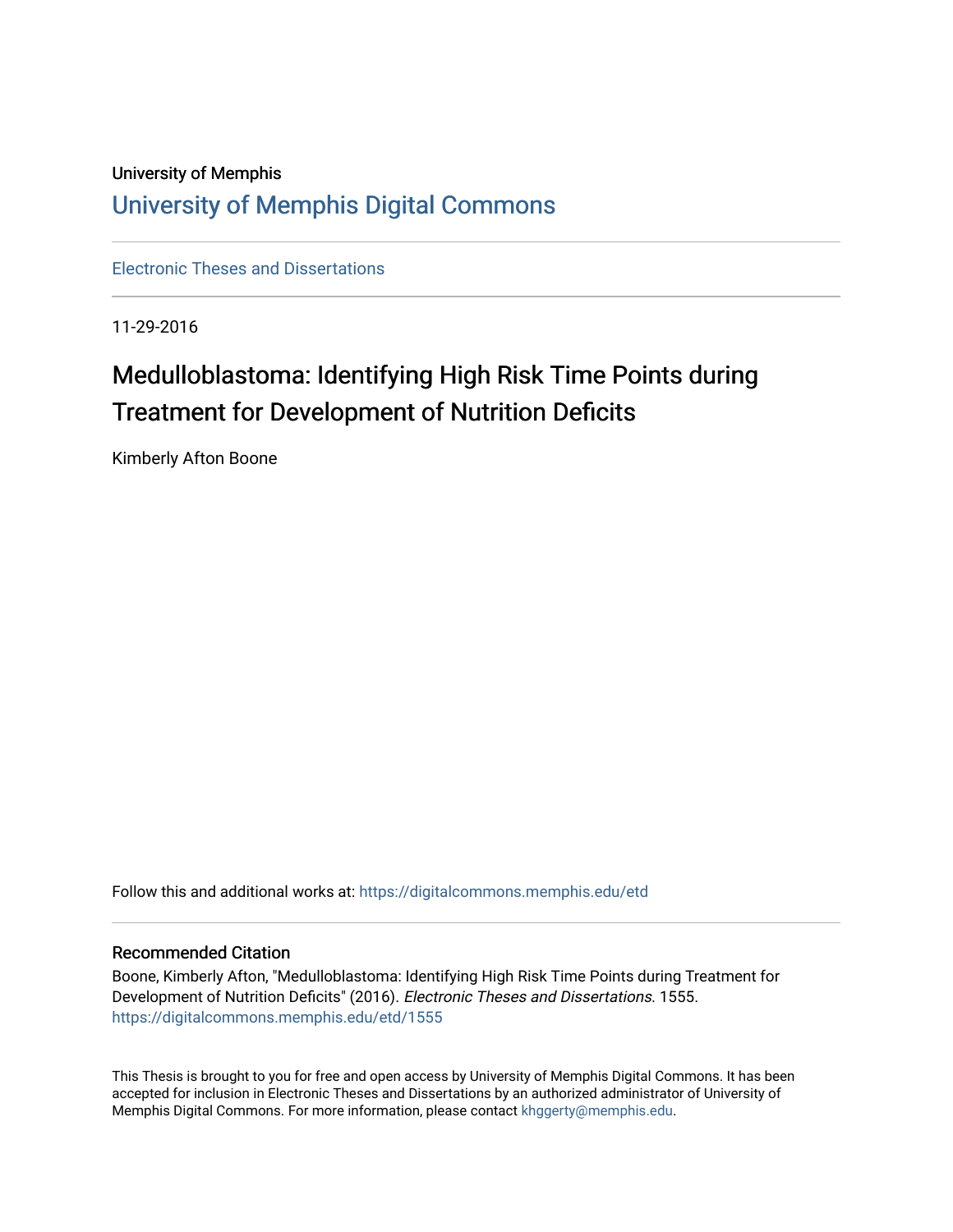# University of Memphis [University of Memphis Digital Commons](https://digitalcommons.memphis.edu/)

[Electronic Theses and Dissertations](https://digitalcommons.memphis.edu/etd)

11-29-2016

# Medulloblastoma: Identifying High Risk Time Points during Treatment for Development of Nutrition Deficits

Kimberly Afton Boone

Follow this and additional works at: [https://digitalcommons.memphis.edu/etd](https://digitalcommons.memphis.edu/etd?utm_source=digitalcommons.memphis.edu%2Fetd%2F1555&utm_medium=PDF&utm_campaign=PDFCoverPages) 

#### Recommended Citation

Boone, Kimberly Afton, "Medulloblastoma: Identifying High Risk Time Points during Treatment for Development of Nutrition Deficits" (2016). Electronic Theses and Dissertations. 1555. [https://digitalcommons.memphis.edu/etd/1555](https://digitalcommons.memphis.edu/etd/1555?utm_source=digitalcommons.memphis.edu%2Fetd%2F1555&utm_medium=PDF&utm_campaign=PDFCoverPages) 

This Thesis is brought to you for free and open access by University of Memphis Digital Commons. It has been accepted for inclusion in Electronic Theses and Dissertations by an authorized administrator of University of Memphis Digital Commons. For more information, please contact [khggerty@memphis.edu.](mailto:khggerty@memphis.edu)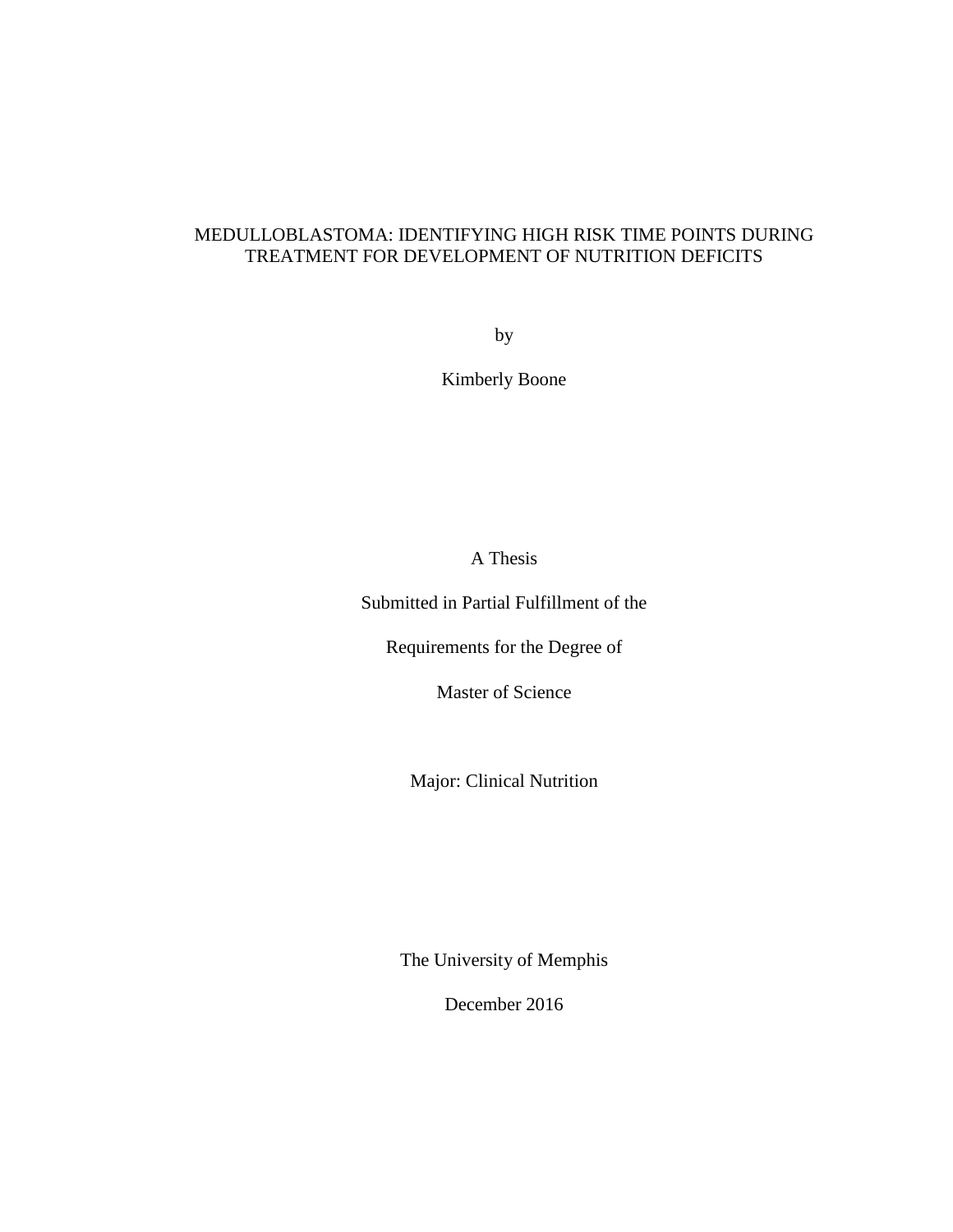### MEDULLOBLASTOMA: IDENTIFYING HIGH RISK TIME POINTS DURING TREATMENT FOR DEVELOPMENT OF NUTRITION DEFICITS

by

Kimberly Boone

A Thesis

Submitted in Partial Fulfillment of the

Requirements for the Degree of

Master of Science

Major: Clinical Nutrition

The University of Memphis

December 2016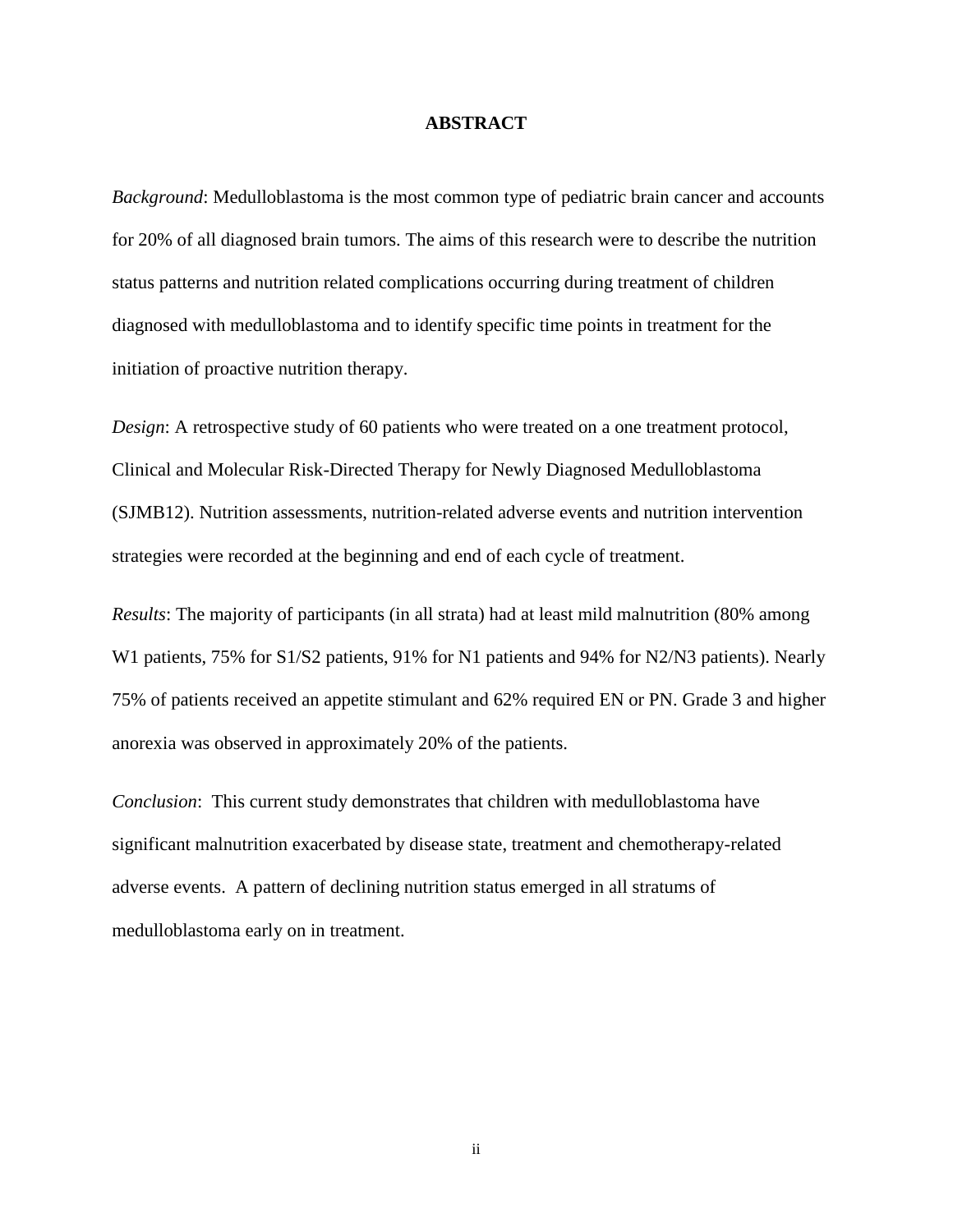#### **ABSTRACT**

*Background*: Medulloblastoma is the most common type of pediatric brain cancer and accounts for 20% of all diagnosed brain tumors. The aims of this research were to describe the nutrition status patterns and nutrition related complications occurring during treatment of children diagnosed with medulloblastoma and to identify specific time points in treatment for the initiation of proactive nutrition therapy.

*Design*: A retrospective study of 60 patients who were treated on a one treatment protocol, Clinical and Molecular Risk-Directed Therapy for Newly Diagnosed Medulloblastoma (SJMB12). Nutrition assessments, nutrition-related adverse events and nutrition intervention strategies were recorded at the beginning and end of each cycle of treatment.

*Results*: The majority of participants (in all strata) had at least mild malnutrition (80% among W1 patients, 75% for S1/S2 patients, 91% for N1 patients and 94% for N2/N3 patients). Nearly 75% of patients received an appetite stimulant and 62% required EN or PN. Grade 3 and higher anorexia was observed in approximately 20% of the patients.

*Conclusion*: This current study demonstrates that children with medulloblastoma have significant malnutrition exacerbated by disease state, treatment and chemotherapy-related adverse events. A pattern of declining nutrition status emerged in all stratums of medulloblastoma early on in treatment.

ii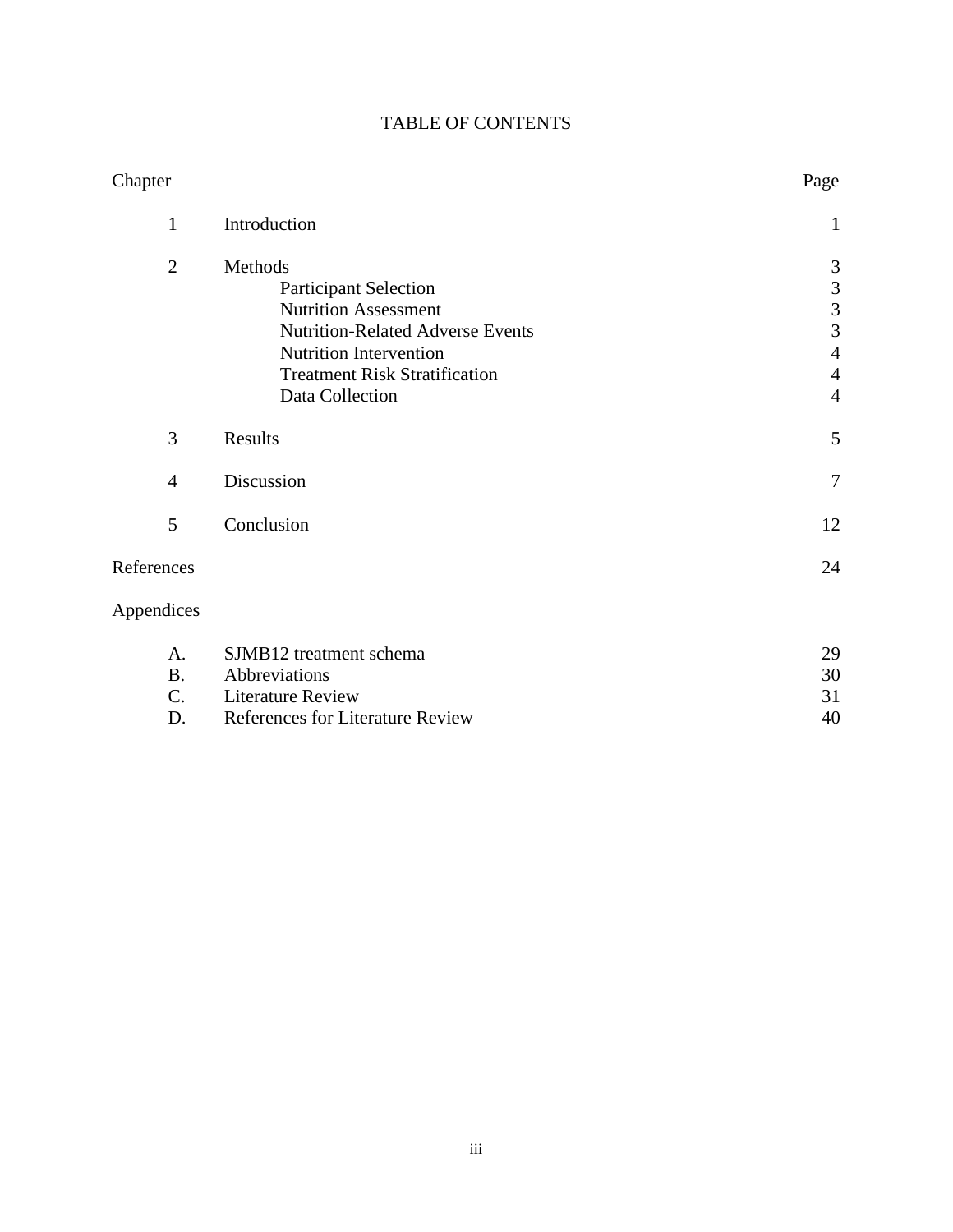| <b>TABLE OF CONTENTS</b> |  |
|--------------------------|--|
|--------------------------|--|

| Chapter        |                                         | Page           |
|----------------|-----------------------------------------|----------------|
| $\mathbf{1}$   | Introduction                            | 1              |
| $\overline{2}$ | Methods                                 | 3              |
|                | <b>Participant Selection</b>            | $\mathfrak{Z}$ |
|                | <b>Nutrition Assessment</b>             | $\overline{3}$ |
|                | <b>Nutrition-Related Adverse Events</b> | 3              |
|                | Nutrition Intervention                  | $\overline{4}$ |
|                | <b>Treatment Risk Stratification</b>    | $\overline{4}$ |
|                | Data Collection                         | $\overline{4}$ |
| 3              | Results                                 | 5              |
| $\overline{4}$ | Discussion                              | $\overline{7}$ |
| 5              | Conclusion                              | 12             |
| References     |                                         | 24             |
| Appendices     |                                         |                |
| A.             | SJMB12 treatment schema                 | 29             |
| <b>B.</b>      | Abbreviations                           | 30             |
| C.             | <b>Literature Review</b>                | 31             |
| D.             | References for Literature Review        | 40             |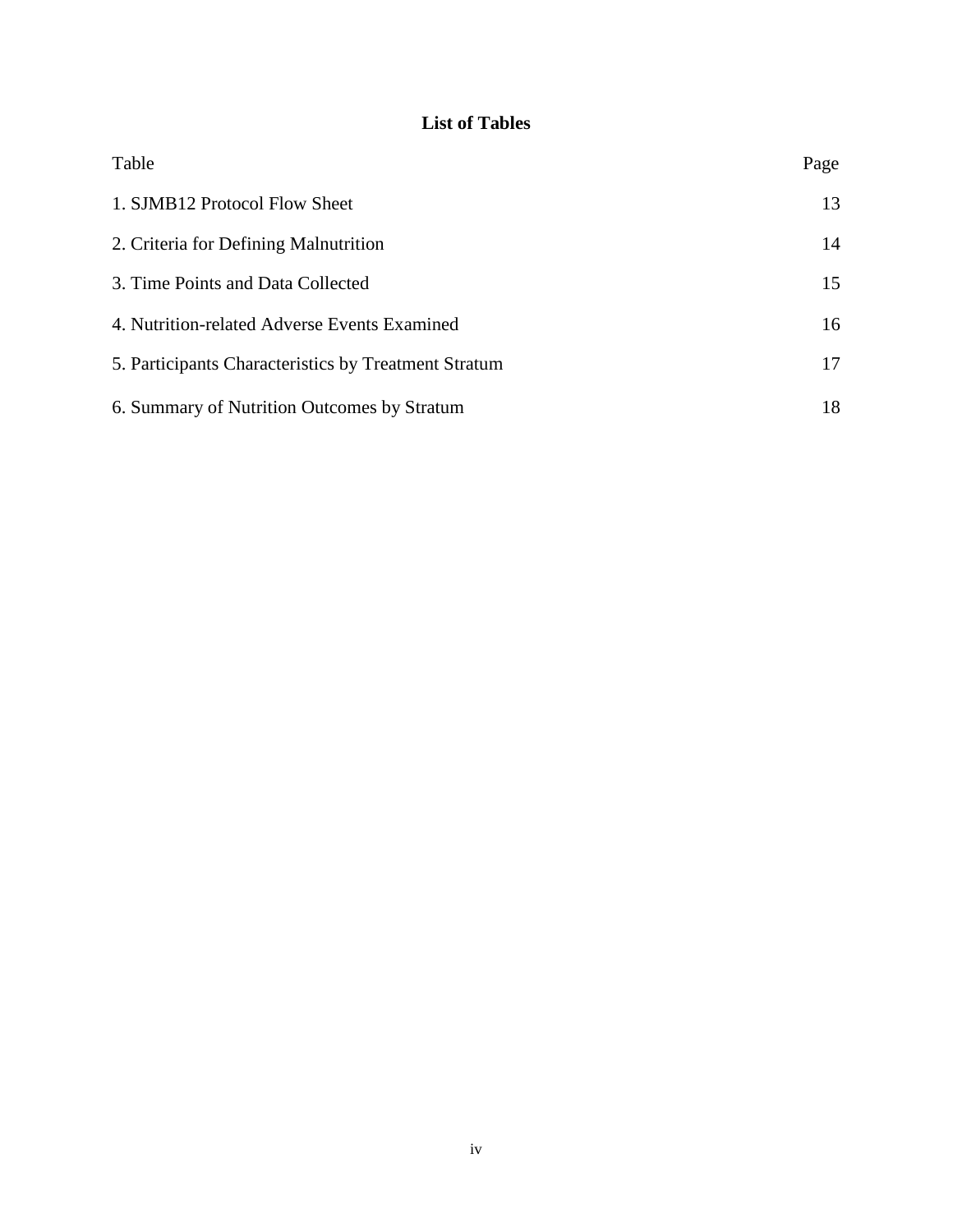### **List of Tables**

| Table                                                | Page |
|------------------------------------------------------|------|
| 1. SJMB12 Protocol Flow Sheet                        | 13   |
| 2. Criteria for Defining Malnutrition                | 14   |
| 3. Time Points and Data Collected                    | 15   |
| 4. Nutrition-related Adverse Events Examined         | 16   |
| 5. Participants Characteristics by Treatment Stratum | 17   |
| 6. Summary of Nutrition Outcomes by Stratum          | 18   |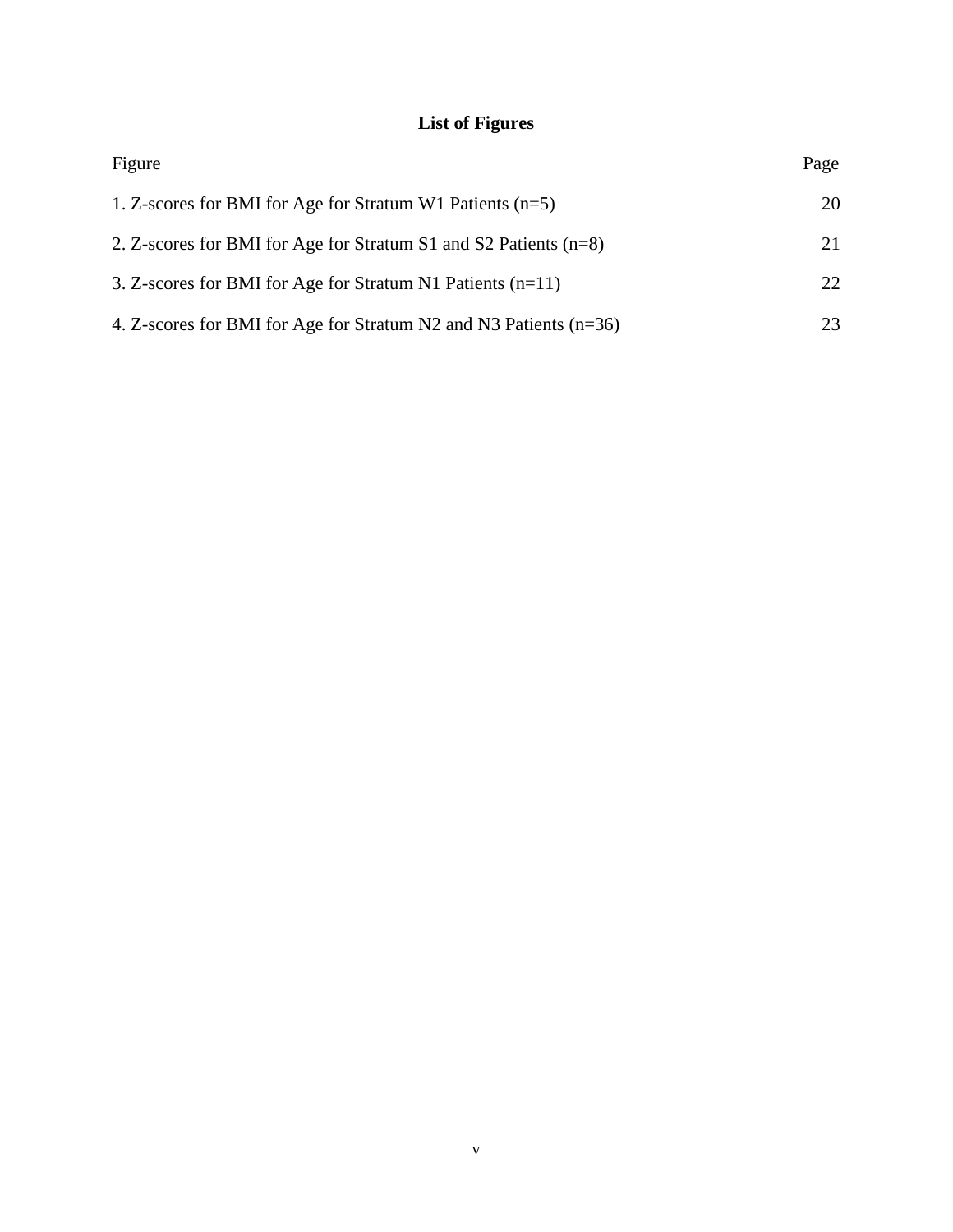# **List of Figures**

| Figure                                                              | Page |
|---------------------------------------------------------------------|------|
| 1. Z-scores for BMI for Age for Stratum W1 Patients $(n=5)$         | 20   |
| 2. Z-scores for BMI for Age for Stratum S1 and S2 Patients $(n=8)$  | 21   |
| 3. Z-scores for BMI for Age for Stratum N1 Patients $(n=11)$        | 22   |
| 4. Z-scores for BMI for Age for Stratum N2 and N3 Patients $(n=36)$ | 23   |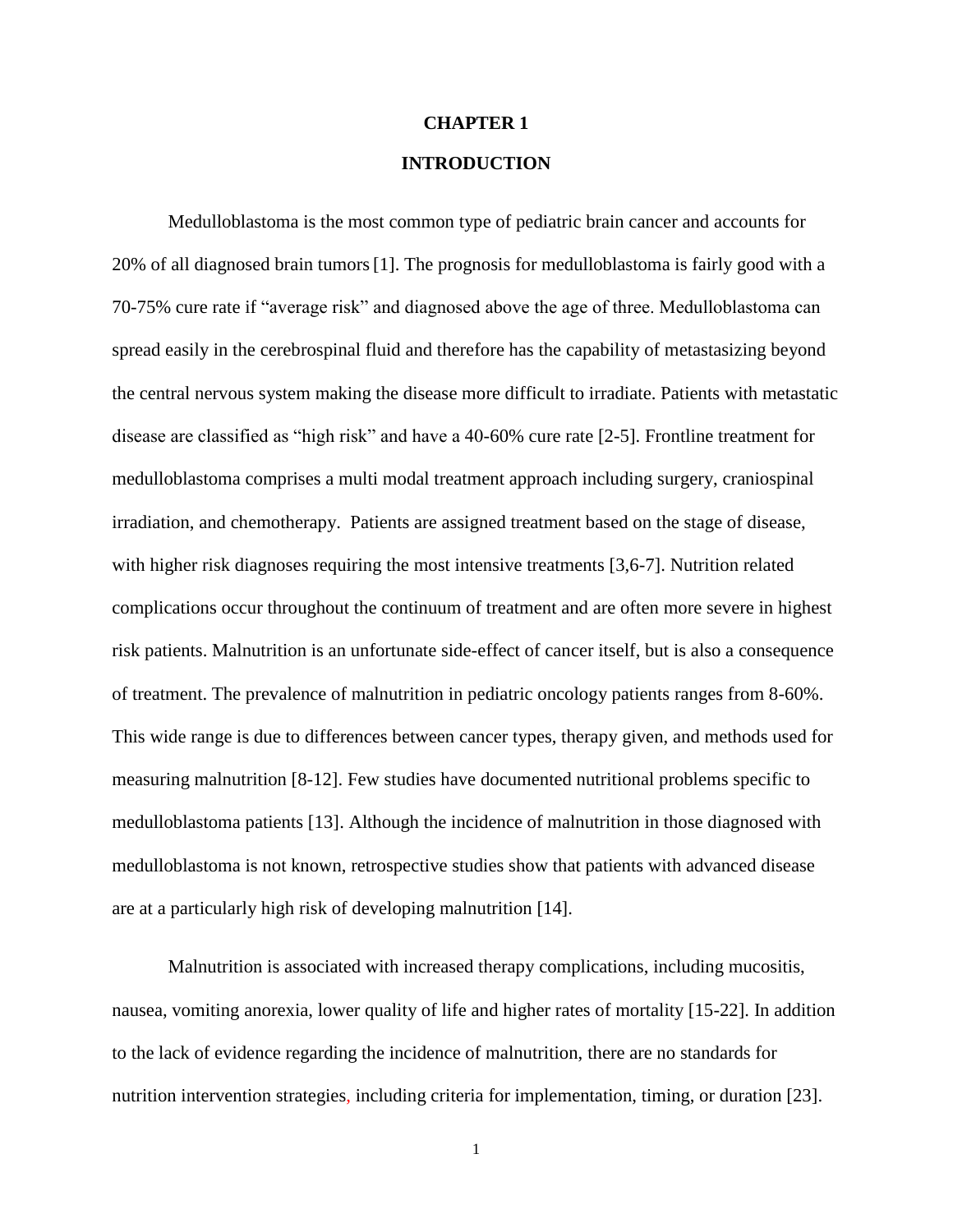# **CHAPTER 1 INTRODUCTION**

Medulloblastoma is the most common type of pediatric brain cancer and accounts for 20% of all diagnosed brain tumors[1]. The prognosis for medulloblastoma is fairly good with a 70-75% cure rate if "average risk" and diagnosed above the age of three. Medulloblastoma can spread easily in the cerebrospinal fluid and therefore has the capability of metastasizing beyond the central nervous system making the disease more difficult to irradiate. Patients with metastatic disease are classified as "high risk" and have a 40-60% cure rate [2-5]. Frontline treatment for medulloblastoma comprises a multi modal treatment approach including surgery, craniospinal irradiation, and chemotherapy. Patients are assigned treatment based on the stage of disease, with higher risk diagnoses requiring the most intensive treatments [3,6-7]. Nutrition related complications occur throughout the continuum of treatment and are often more severe in highest risk patients. Malnutrition is an unfortunate side-effect of cancer itself, but is also a consequence of treatment. The prevalence of malnutrition in pediatric oncology patients ranges from 8-60%. This wide range is due to differences between cancer types, therapy given, and methods used for measuring malnutrition [8-12]. Few studies have documented nutritional problems specific to medulloblastoma patients [13]. Although the incidence of malnutrition in those diagnosed with medulloblastoma is not known, retrospective studies show that patients with advanced disease are at a particularly high risk of developing malnutrition [14].

Malnutrition is associated with increased therapy complications, including mucositis, nausea, vomiting anorexia, lower quality of life and higher rates of mortality [15-22]. In addition to the lack of evidence regarding the incidence of malnutrition, there are no standards for nutrition intervention strategies, including criteria for implementation, timing, or duration [23].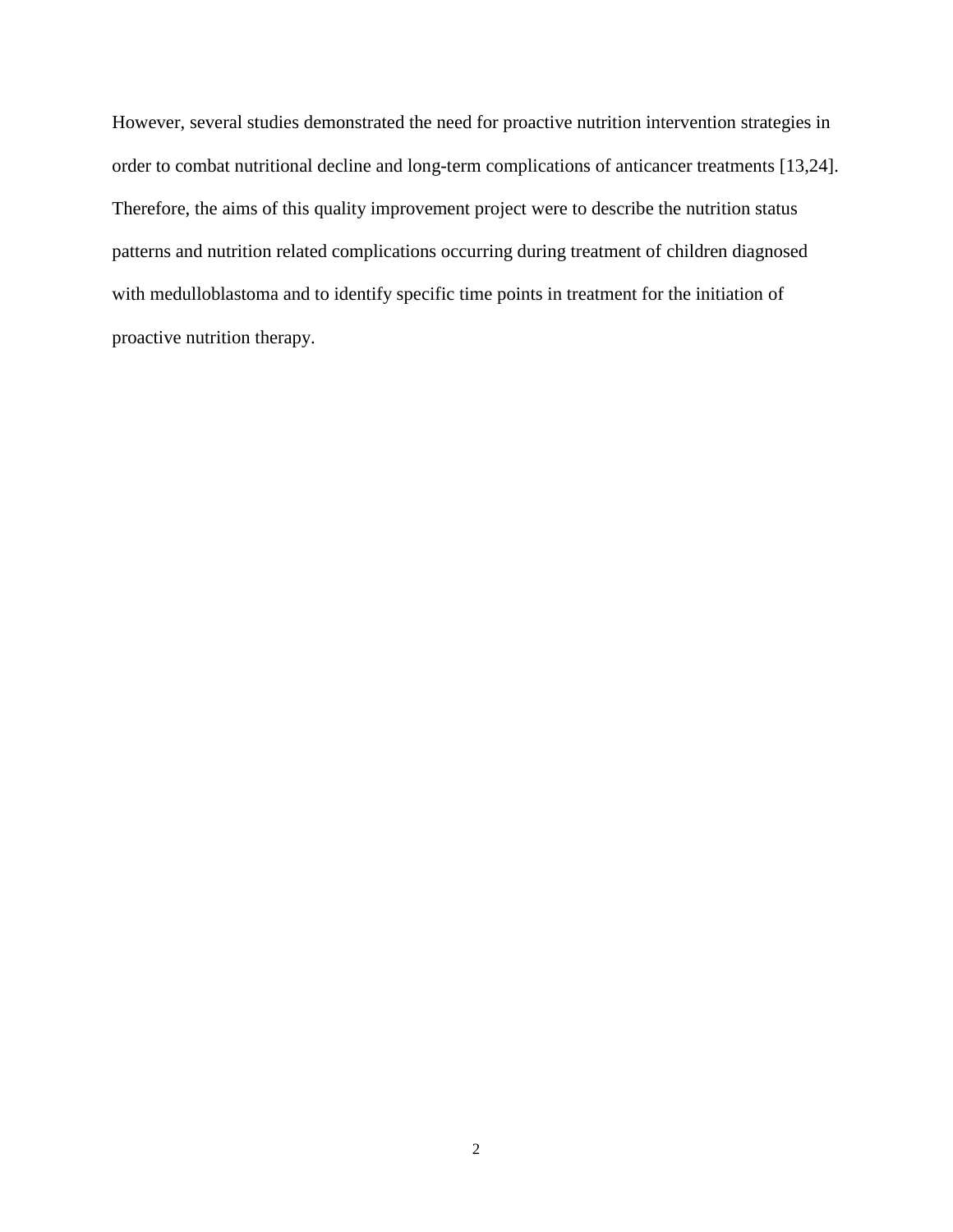However, several studies demonstrated the need for proactive nutrition intervention strategies in order to combat nutritional decline and long-term complications of anticancer treatments [13,24]. Therefore, the aims of this quality improvement project were to describe the nutrition status patterns and nutrition related complications occurring during treatment of children diagnosed with medulloblastoma and to identify specific time points in treatment for the initiation of proactive nutrition therapy.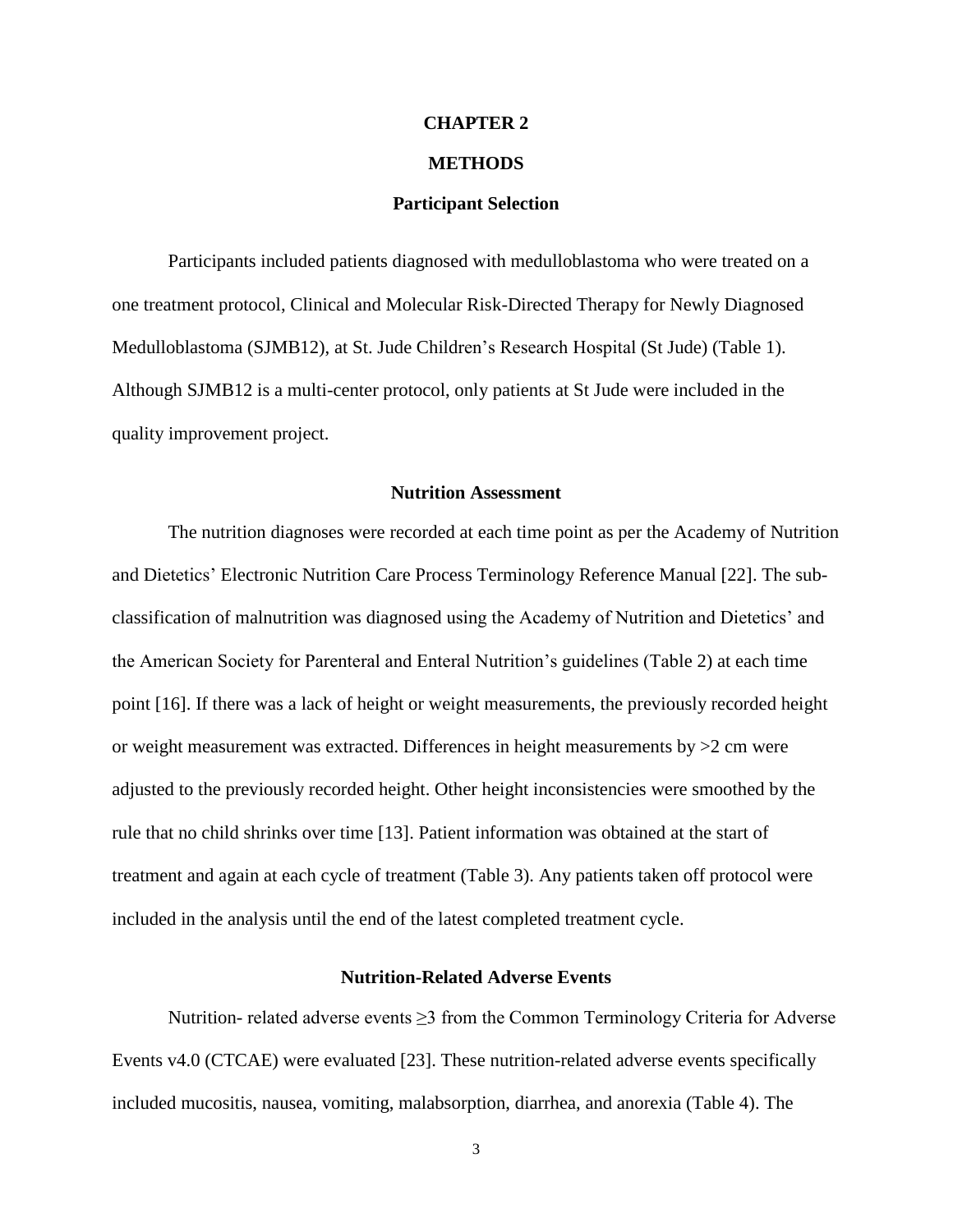#### **CHAPTER 2**

#### **METHODS**

#### **Participant Selection**

Participants included patients diagnosed with medulloblastoma who were treated on a one treatment protocol, Clinical and Molecular Risk-Directed Therapy for Newly Diagnosed Medulloblastoma (SJMB12), at St. Jude Children's Research Hospital (St Jude) (Table 1). Although SJMB12 is a multi-center protocol, only patients at St Jude were included in the quality improvement project.

#### **Nutrition Assessment**

The nutrition diagnoses were recorded at each time point as per the Academy of Nutrition and Dietetics' Electronic Nutrition Care Process Terminology Reference Manual [22]. The subclassification of malnutrition was diagnosed using the Academy of Nutrition and Dietetics' and the American Society for Parenteral and Enteral Nutrition's guidelines (Table 2) at each time point [16]. If there was a lack of height or weight measurements, the previously recorded height or weight measurement was extracted. Differences in height measurements by  $>2$  cm were adjusted to the previously recorded height. Other height inconsistencies were smoothed by the rule that no child shrinks over time [13]. Patient information was obtained at the start of treatment and again at each cycle of treatment (Table 3). Any patients taken off protocol were included in the analysis until the end of the latest completed treatment cycle.

#### **Nutrition-Related Adverse Events**

Nutrition- related adverse events ≥3 from the Common Terminology Criteria for Adverse Events v4.0 (CTCAE) were evaluated [23]. These nutrition-related adverse events specifically included mucositis, nausea, vomiting, malabsorption, diarrhea, and anorexia (Table 4). The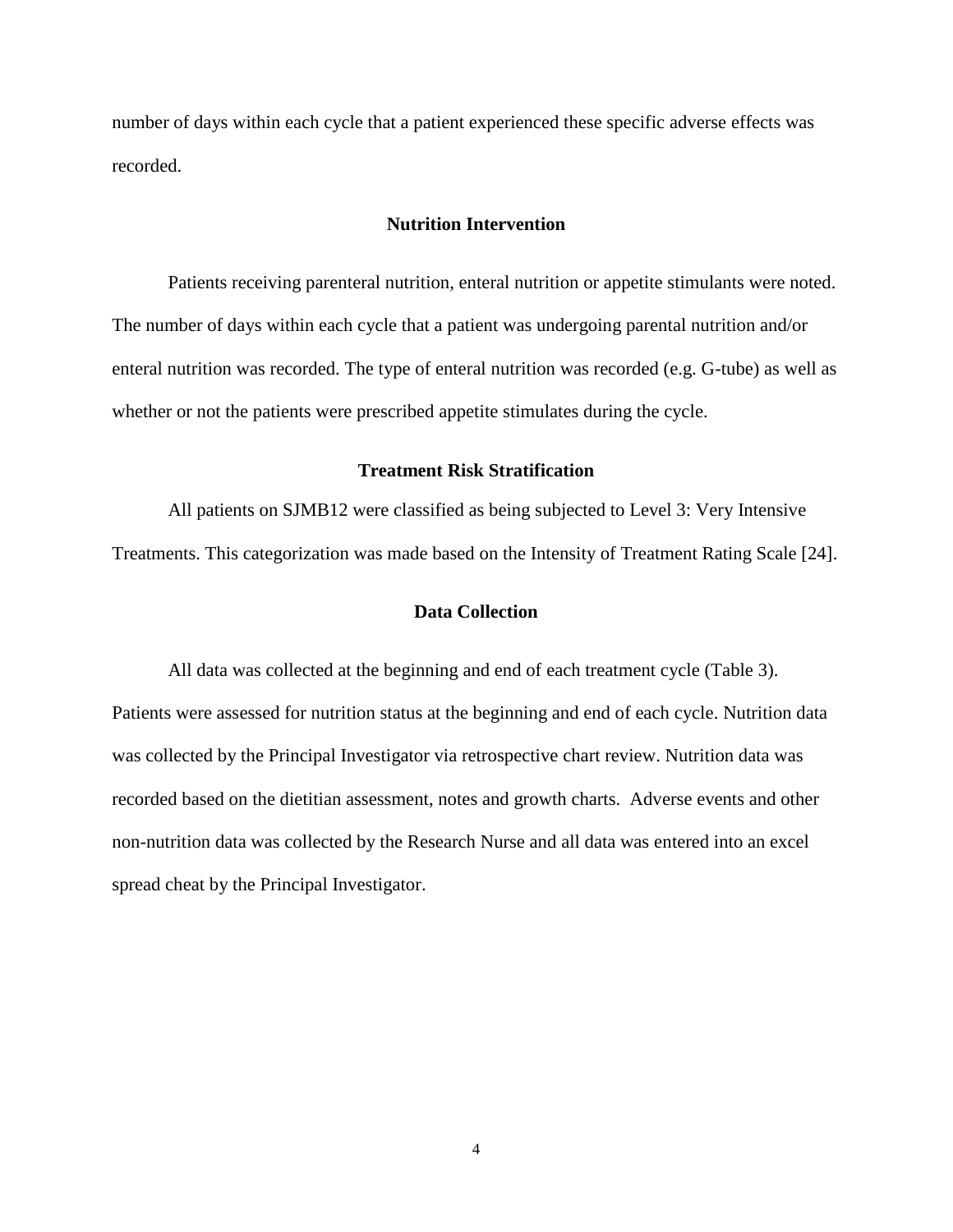number of days within each cycle that a patient experienced these specific adverse effects was recorded.

#### **Nutrition Intervention**

Patients receiving parenteral nutrition, enteral nutrition or appetite stimulants were noted. The number of days within each cycle that a patient was undergoing parental nutrition and/or enteral nutrition was recorded. The type of enteral nutrition was recorded (e.g. G-tube) as well as whether or not the patients were prescribed appetite stimulates during the cycle.

#### **Treatment Risk Stratification**

All patients on SJMB12 were classified as being subjected to Level 3: Very Intensive Treatments. This categorization was made based on the Intensity of Treatment Rating Scale [24].

#### **Data Collection**

All data was collected at the beginning and end of each treatment cycle (Table 3). Patients were assessed for nutrition status at the beginning and end of each cycle. Nutrition data was collected by the Principal Investigator via retrospective chart review. Nutrition data was recorded based on the dietitian assessment, notes and growth charts. Adverse events and other non-nutrition data was collected by the Research Nurse and all data was entered into an excel spread cheat by the Principal Investigator.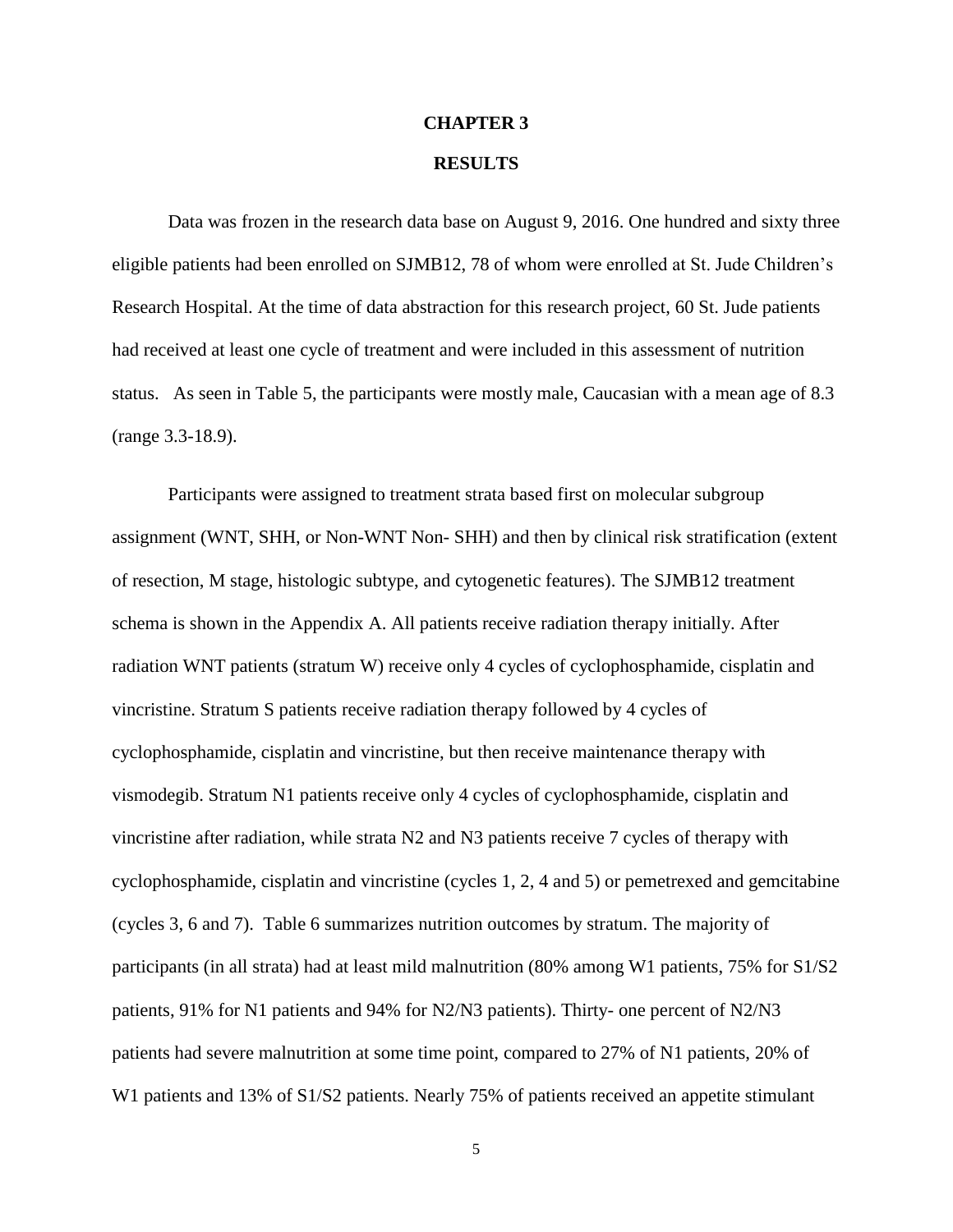#### **CHAPTER 3**

#### **RESULTS**

Data was frozen in the research data base on August 9, 2016. One hundred and sixty three eligible patients had been enrolled on SJMB12, 78 of whom were enrolled at St. Jude Children's Research Hospital. At the time of data abstraction for this research project, 60 St. Jude patients had received at least one cycle of treatment and were included in this assessment of nutrition status. As seen in Table 5, the participants were mostly male, Caucasian with a mean age of 8.3 (range 3.3-18.9).

Participants were assigned to treatment strata based first on molecular subgroup assignment (WNT, SHH, or Non-WNT Non- SHH) and then by clinical risk stratification (extent of resection, M stage, histologic subtype, and cytogenetic features). The SJMB12 treatment schema is shown in the Appendix A. All patients receive radiation therapy initially. After radiation WNT patients (stratum W) receive only 4 cycles of cyclophosphamide, cisplatin and vincristine. Stratum S patients receive radiation therapy followed by 4 cycles of cyclophosphamide, cisplatin and vincristine, but then receive maintenance therapy with vismodegib. Stratum N1 patients receive only 4 cycles of cyclophosphamide, cisplatin and vincristine after radiation, while strata N2 and N3 patients receive 7 cycles of therapy with cyclophosphamide, cisplatin and vincristine (cycles 1, 2, 4 and 5) or pemetrexed and gemcitabine (cycles 3, 6 and 7). Table 6 summarizes nutrition outcomes by stratum. The majority of participants (in all strata) had at least mild malnutrition (80% among W1 patients, 75% for S1/S2 patients, 91% for N1 patients and 94% for N2/N3 patients). Thirty- one percent of N2/N3 patients had severe malnutrition at some time point, compared to 27% of N1 patients, 20% of W<sub>1</sub> patients and 13% of S<sub>1</sub>/S<sub>2</sub> patients. Nearly 75% of patients received an appetite stimulant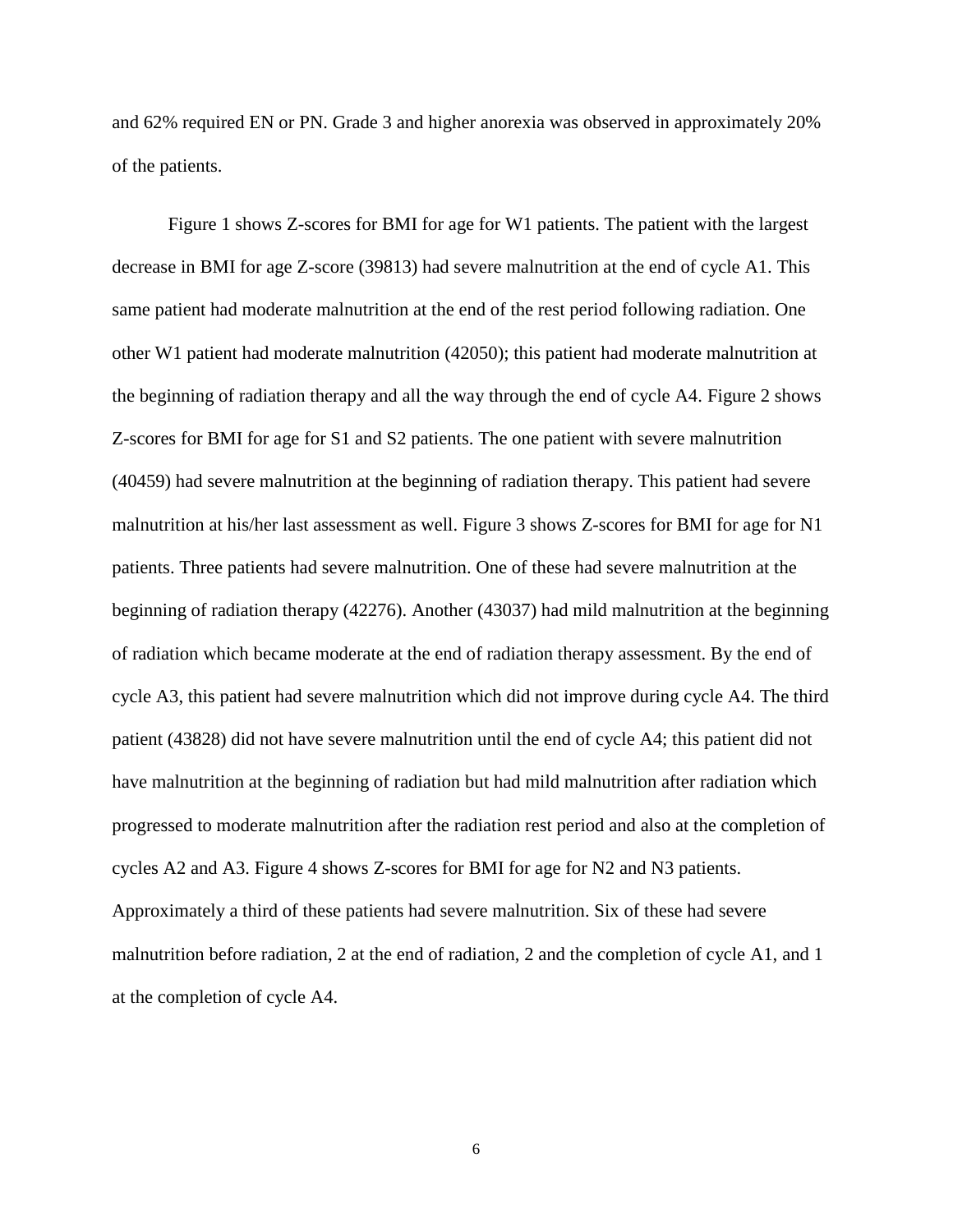and 62% required EN or PN. Grade 3 and higher anorexia was observed in approximately 20% of the patients.

Figure 1 shows Z-scores for BMI for age for W1 patients. The patient with the largest decrease in BMI for age Z-score (39813) had severe malnutrition at the end of cycle A1. This same patient had moderate malnutrition at the end of the rest period following radiation. One other W1 patient had moderate malnutrition (42050); this patient had moderate malnutrition at the beginning of radiation therapy and all the way through the end of cycle A4. Figure 2 shows Z-scores for BMI for age for S1 and S2 patients. The one patient with severe malnutrition (40459) had severe malnutrition at the beginning of radiation therapy. This patient had severe malnutrition at his/her last assessment as well. Figure 3 shows Z-scores for BMI for age for N1 patients. Three patients had severe malnutrition. One of these had severe malnutrition at the beginning of radiation therapy (42276). Another (43037) had mild malnutrition at the beginning of radiation which became moderate at the end of radiation therapy assessment. By the end of cycle A3, this patient had severe malnutrition which did not improve during cycle A4. The third patient (43828) did not have severe malnutrition until the end of cycle A4; this patient did not have malnutrition at the beginning of radiation but had mild malnutrition after radiation which progressed to moderate malnutrition after the radiation rest period and also at the completion of cycles A2 and A3. Figure 4 shows Z-scores for BMI for age for N2 and N3 patients. Approximately a third of these patients had severe malnutrition. Six of these had severe malnutrition before radiation, 2 at the end of radiation, 2 and the completion of cycle A1, and 1 at the completion of cycle A4.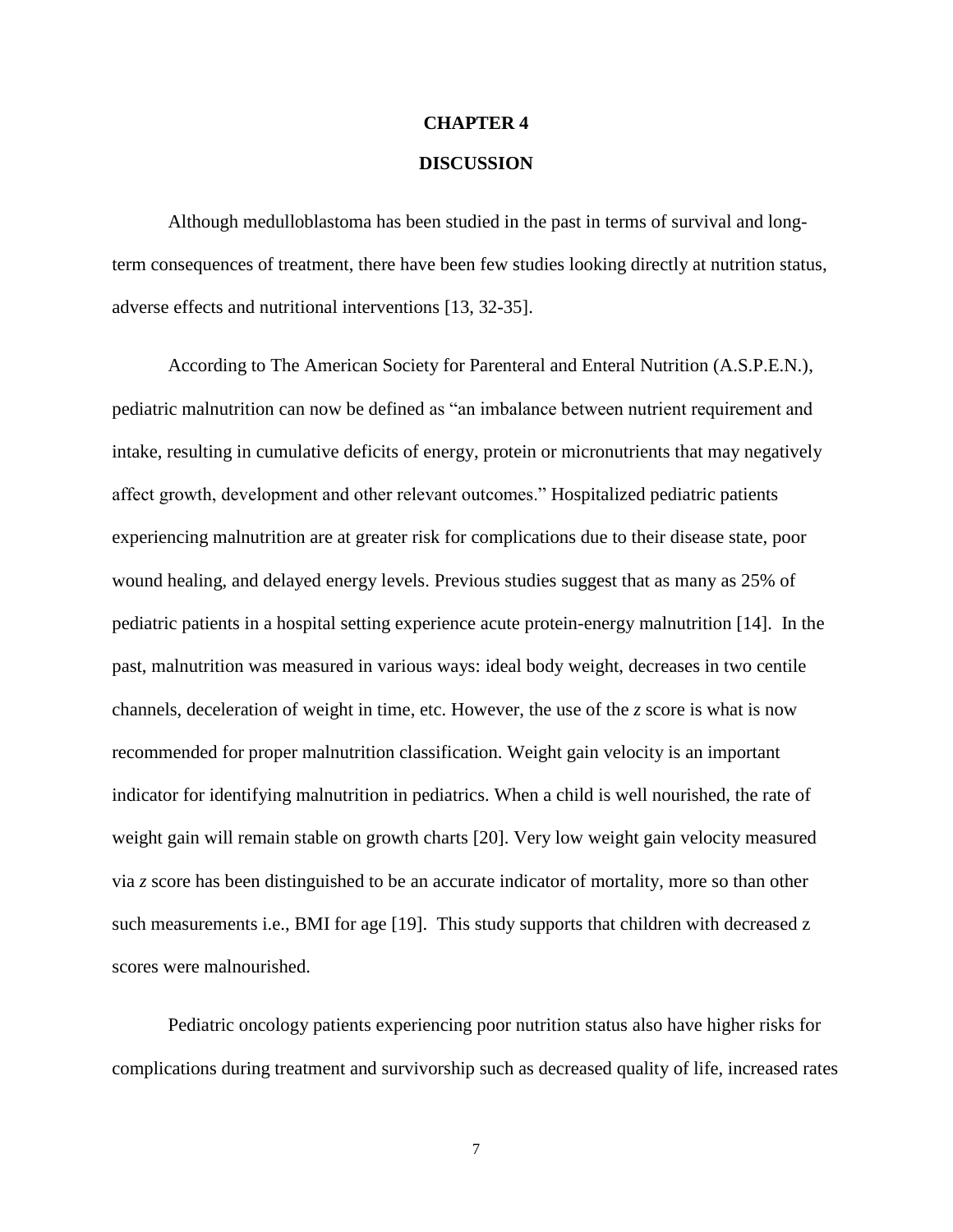# **CHAPTER 4 DISCUSSION**

Although medulloblastoma has been studied in the past in terms of survival and longterm consequences of treatment, there have been few studies looking directly at nutrition status, adverse effects and nutritional interventions [13, 32-35].

According to The American Society for Parenteral and Enteral Nutrition (A.S.P.E.N.), pediatric malnutrition can now be defined as "an imbalance between nutrient requirement and intake, resulting in cumulative deficits of energy, protein or micronutrients that may negatively affect growth, development and other relevant outcomes." Hospitalized pediatric patients experiencing malnutrition are at greater risk for complications due to their disease state, poor wound healing, and delayed energy levels. Previous studies suggest that as many as 25% of pediatric patients in a hospital setting experience acute protein-energy malnutrition [14]. In the past, malnutrition was measured in various ways: ideal body weight, decreases in two centile channels, deceleration of weight in time, etc. However, the use of the *z* score is what is now recommended for proper malnutrition classification. Weight gain velocity is an important indicator for identifying malnutrition in pediatrics. When a child is well nourished, the rate of weight gain will remain stable on growth charts [20]. Very low weight gain velocity measured via *z* score has been distinguished to be an accurate indicator of mortality, more so than other such measurements i.e., BMI for age [19]. This study supports that children with decreased z scores were malnourished.

Pediatric oncology patients experiencing poor nutrition status also have higher risks for complications during treatment and survivorship such as decreased quality of life, increased rates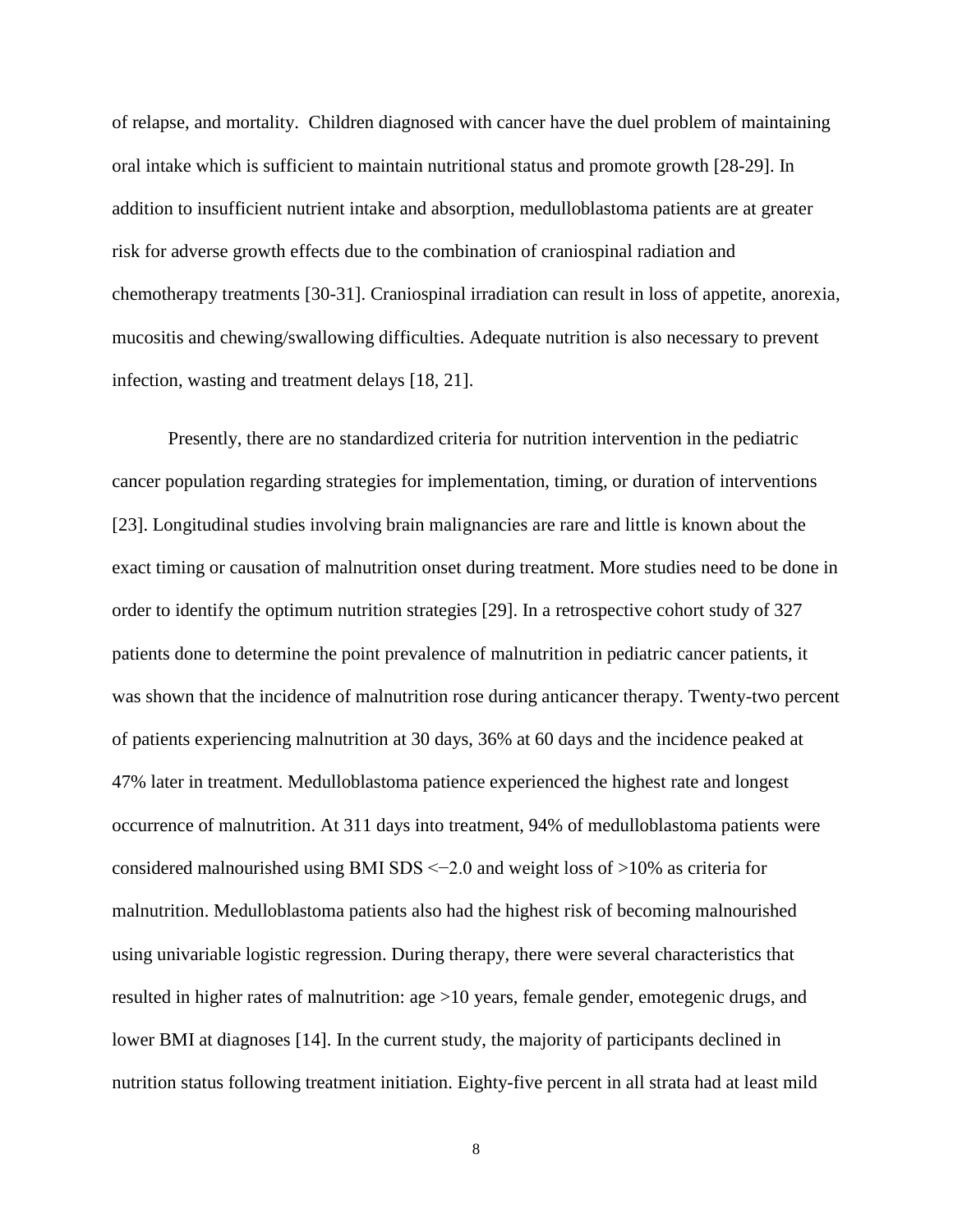of relapse, and mortality.Children diagnosed with cancer have the duel problem of maintaining oral intake which is sufficient to maintain nutritional status and promote growth [28-29]. In addition to insufficient nutrient intake and absorption, medulloblastoma patients are at greater risk for adverse growth effects due to the combination of craniospinal radiation and chemotherapy treatments [30-31]. Craniospinal irradiation can result in loss of appetite, anorexia, mucositis and chewing/swallowing difficulties. Adequate nutrition is also necessary to prevent infection, wasting and treatment delays [18, 21].

Presently, there are no standardized criteria for nutrition intervention in the pediatric cancer population regarding strategies for implementation, timing, or duration of interventions [23]. Longitudinal studies involving brain malignancies are rare and little is known about the exact timing or causation of malnutrition onset during treatment. More studies need to be done in order to identify the optimum nutrition strategies [29]. In a retrospective cohort study of 327 patients done to determine the point prevalence of malnutrition in pediatric cancer patients, it was shown that the incidence of malnutrition rose during anticancer therapy. Twenty-two percent of patients experiencing malnutrition at 30 days, 36% at 60 days and the incidence peaked at 47% later in treatment. Medulloblastoma patience experienced the highest rate and longest occurrence of malnutrition. At 311 days into treatment, 94% of medulloblastoma patients were considered malnourished using BMI SDS <−2.0 and weight loss of >10% as criteria for malnutrition. Medulloblastoma patients also had the highest risk of becoming malnourished using univariable logistic regression. During therapy, there were several characteristics that resulted in higher rates of malnutrition: age >10 years, female gender, emotegenic drugs, and lower BMI at diagnoses [14]. In the current study, the majority of participants declined in nutrition status following treatment initiation. Eighty-five percent in all strata had at least mild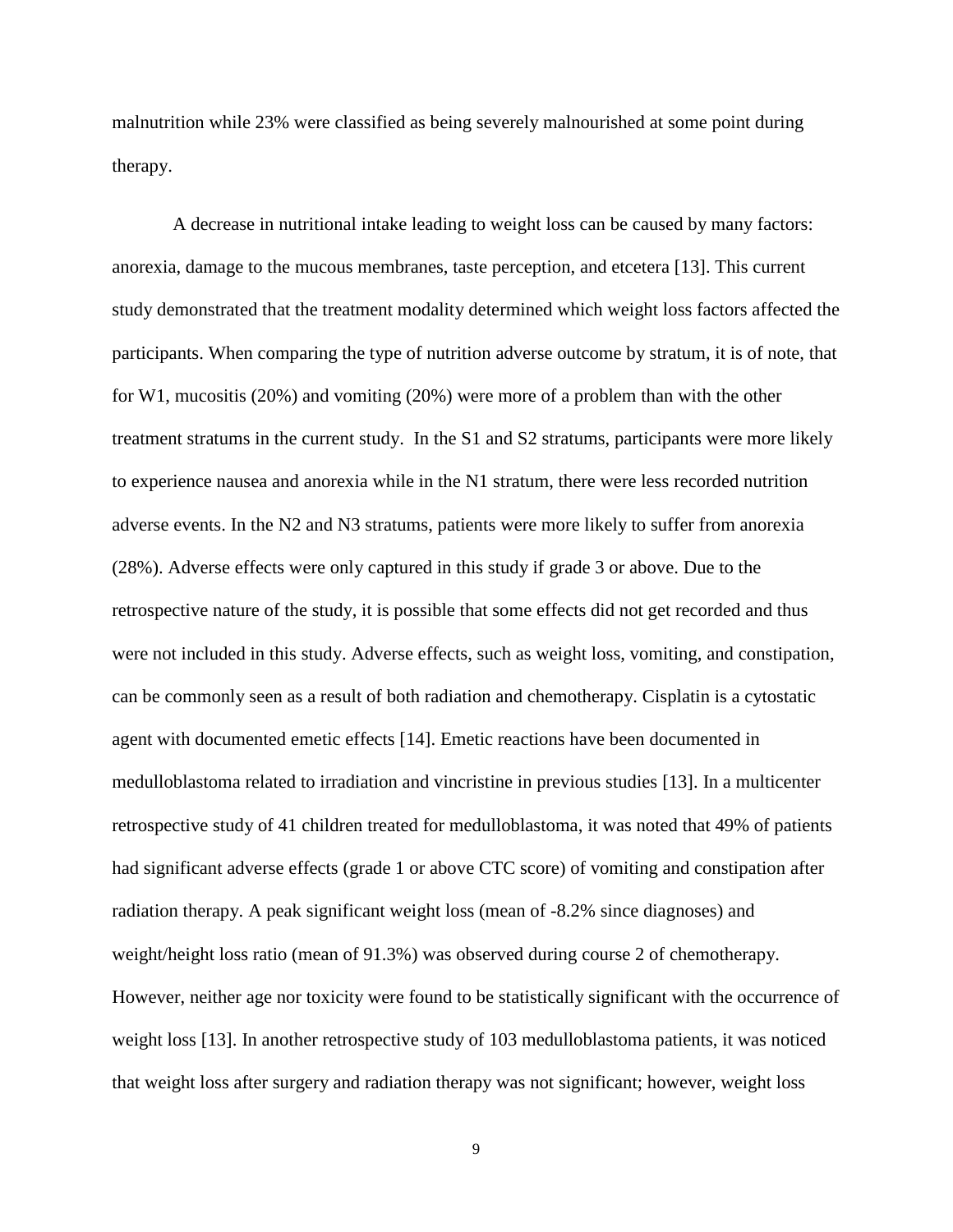malnutrition while 23% were classified as being severely malnourished at some point during therapy.

A decrease in nutritional intake leading to weight loss can be caused by many factors: anorexia, damage to the mucous membranes, taste perception, and etcetera [13]. This current study demonstrated that the treatment modality determined which weight loss factors affected the participants. When comparing the type of nutrition adverse outcome by stratum, it is of note, that for W1, mucositis (20%) and vomiting (20%) were more of a problem than with the other treatment stratums in the current study. In the S1 and S2 stratums, participants were more likely to experience nausea and anorexia while in the N1 stratum, there were less recorded nutrition adverse events. In the N2 and N3 stratums, patients were more likely to suffer from anorexia (28%). Adverse effects were only captured in this study if grade 3 or above. Due to the retrospective nature of the study, it is possible that some effects did not get recorded and thus were not included in this study. Adverse effects, such as weight loss, vomiting, and constipation, can be commonly seen as a result of both radiation and chemotherapy. Cisplatin is a cytostatic agent with documented emetic effects [14]. Emetic reactions have been documented in medulloblastoma related to irradiation and vincristine in previous studies [13]. In a multicenter retrospective study of 41 children treated for medulloblastoma, it was noted that 49% of patients had significant adverse effects (grade 1 or above CTC score) of vomiting and constipation after radiation therapy. A peak significant weight loss (mean of -8.2% since diagnoses) and weight/height loss ratio (mean of 91.3%) was observed during course 2 of chemotherapy. However, neither age nor toxicity were found to be statistically significant with the occurrence of weight loss [13]. In another retrospective study of 103 medulloblastoma patients, it was noticed that weight loss after surgery and radiation therapy was not significant; however, weight loss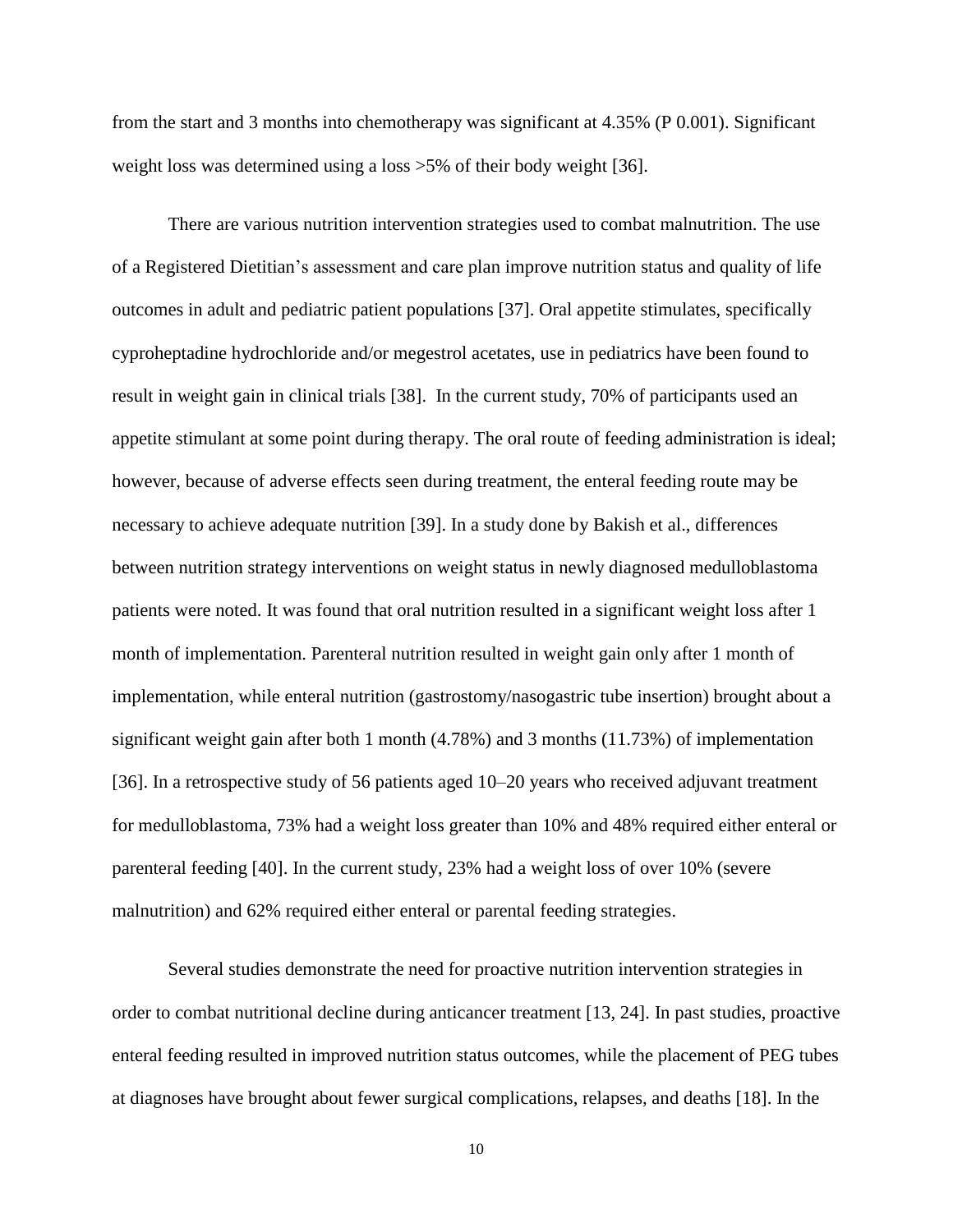from the start and 3 months into chemotherapy was significant at 4.35% (P 0.001). Significant weight loss was determined using a loss >5% of their body weight [36].

There are various nutrition intervention strategies used to combat malnutrition. The use of a Registered Dietitian's assessment and care plan improve nutrition status and quality of life outcomes in adult and pediatric patient populations [37]. Oral appetite stimulates, specifically cyproheptadine hydrochloride and/or megestrol acetates, use in pediatrics have been found to result in weight gain in clinical trials [38]. In the current study, 70% of participants used an appetite stimulant at some point during therapy. The oral route of feeding administration is ideal; however, because of adverse effects seen during treatment, the enteral feeding route may be necessary to achieve adequate nutrition [39]. In a study done by Bakish et al., differences between nutrition strategy interventions on weight status in newly diagnosed medulloblastoma patients were noted. It was found that oral nutrition resulted in a significant weight loss after 1 month of implementation. Parenteral nutrition resulted in weight gain only after 1 month of implementation, while enteral nutrition (gastrostomy/nasogastric tube insertion) brought about a significant weight gain after both 1 month (4.78%) and 3 months (11.73%) of implementation [36]. In a retrospective study of 56 patients aged 10–20 years who received adjuvant treatment for medulloblastoma, 73% had a weight loss greater than 10% and 48% required either enteral or parenteral feeding [40]. In the current study, 23% had a weight loss of over 10% (severe malnutrition) and 62% required either enteral or parental feeding strategies.

Several studies demonstrate the need for proactive nutrition intervention strategies in order to combat nutritional decline during anticancer treatment [13, 24]. In past studies, proactive enteral feeding resulted in improved nutrition status outcomes, while the placement of PEG tubes at diagnoses have brought about fewer surgical complications, relapses, and deaths [18]. In the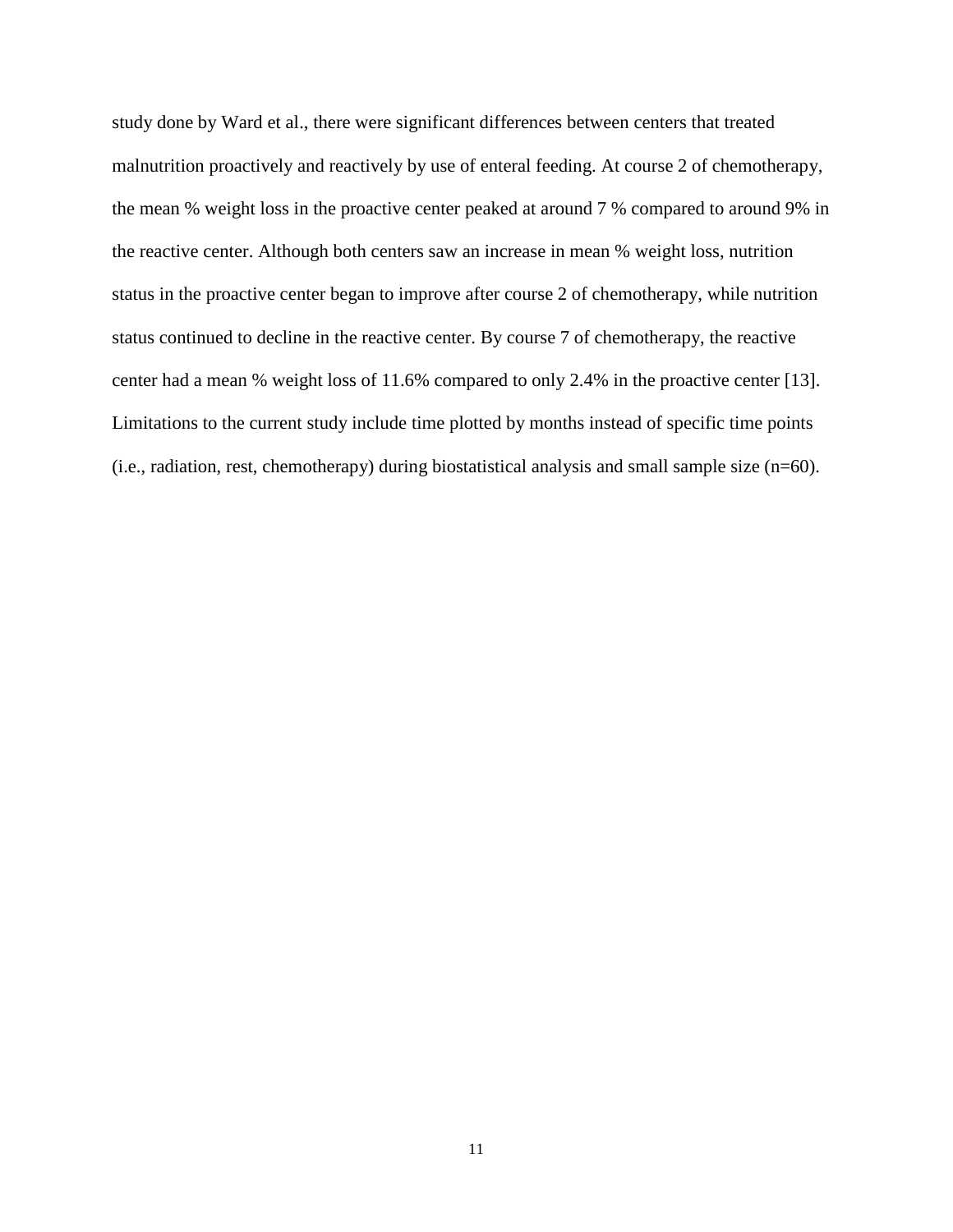study done by Ward et al., there were significant differences between centers that treated malnutrition proactively and reactively by use of enteral feeding. At course 2 of chemotherapy, the mean % weight loss in the proactive center peaked at around 7 % compared to around 9% in the reactive center. Although both centers saw an increase in mean % weight loss, nutrition status in the proactive center began to improve after course 2 of chemotherapy, while nutrition status continued to decline in the reactive center. By course 7 of chemotherapy, the reactive center had a mean % weight loss of 11.6% compared to only 2.4% in the proactive center [13]. Limitations to the current study include time plotted by months instead of specific time points (i.e., radiation, rest, chemotherapy) during biostatistical analysis and small sample size (n=60).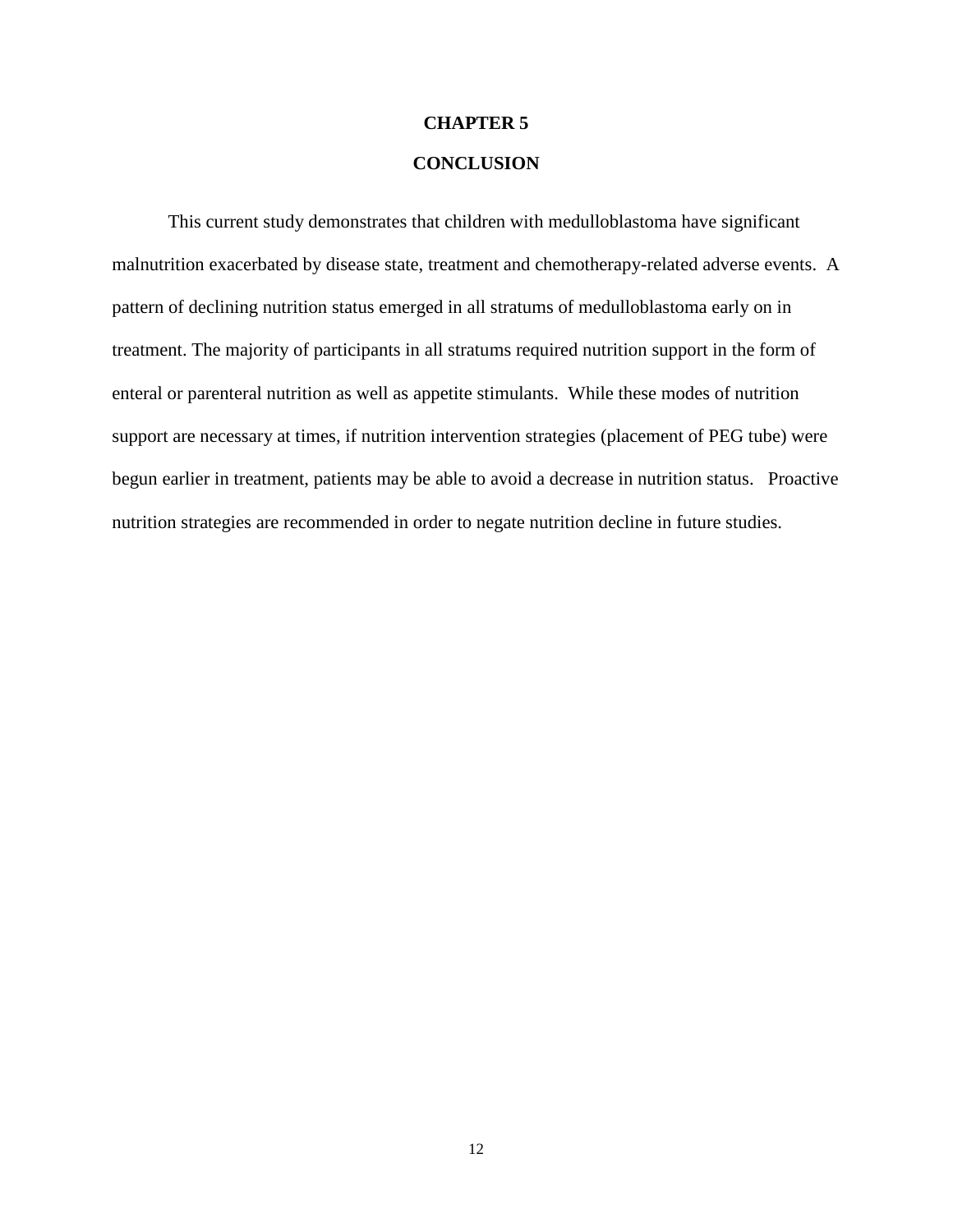#### **CHAPTER 5**

#### **CONCLUSION**

This current study demonstrates that children with medulloblastoma have significant malnutrition exacerbated by disease state, treatment and chemotherapy-related adverse events. A pattern of declining nutrition status emerged in all stratums of medulloblastoma early on in treatment. The majority of participants in all stratums required nutrition support in the form of enteral or parenteral nutrition as well as appetite stimulants. While these modes of nutrition support are necessary at times, if nutrition intervention strategies (placement of PEG tube) were begun earlier in treatment, patients may be able to avoid a decrease in nutrition status. Proactive nutrition strategies are recommended in order to negate nutrition decline in future studies.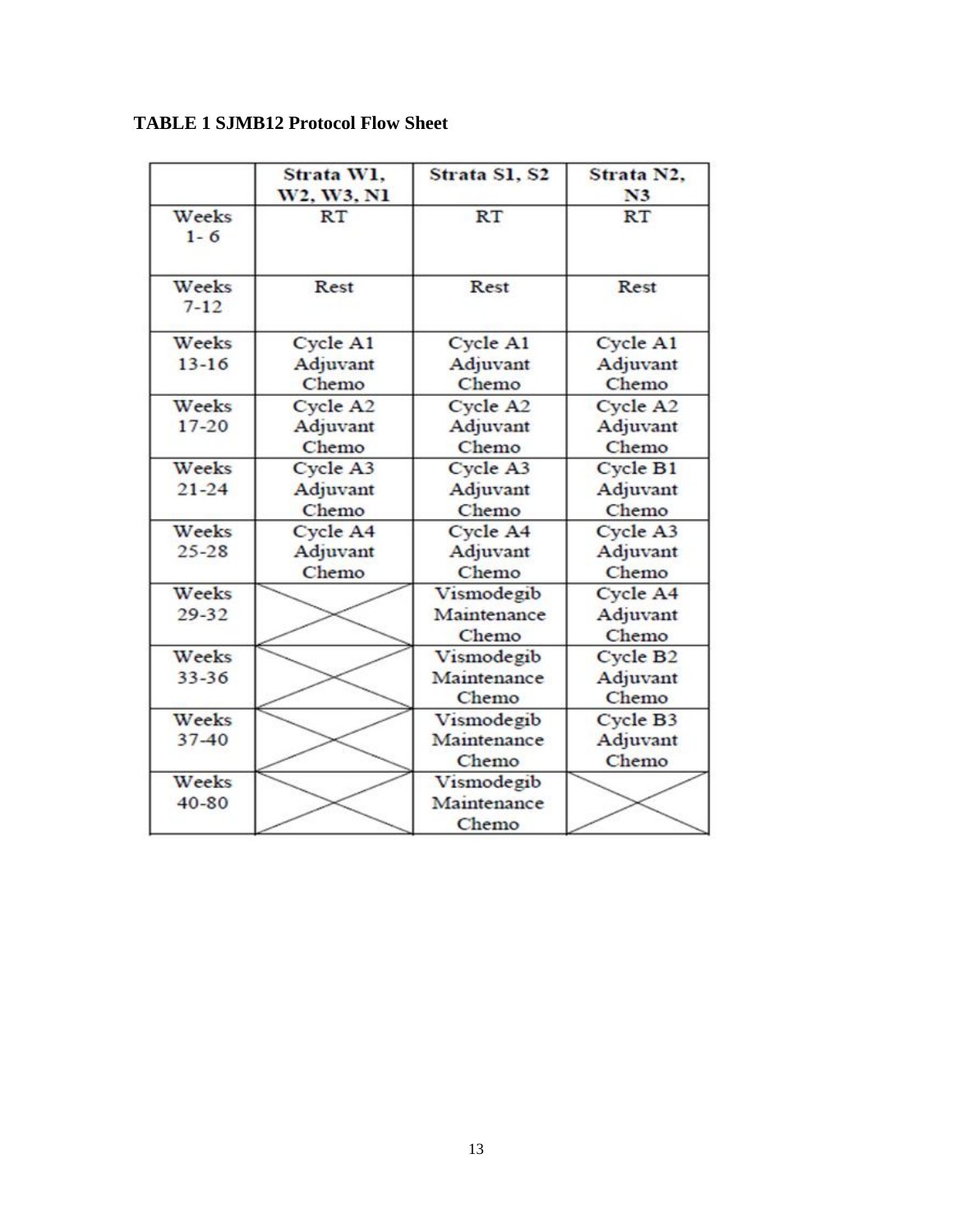|                   | Strata W1,<br>W2, W3, N1 | Strata S1, S2     | Strata N2.<br>N <sub>3</sub> |
|-------------------|--------------------------|-------------------|------------------------------|
| Weeks<br>$1 - 6$  | <b>RT</b>                | RT                | RT                           |
| Weeks<br>$7 - 12$ | Rest                     | Rest              | Rest                         |
| Weeks             | Cycle A1                 | Cycle A1          | Cycle A1                     |
| $13 - 16$         | Adjuvant<br>Chemo        | Adjuvant<br>Chemo | Adjuvant<br>Chemo            |
| Weeks             | Cycle A2                 | Cycle A2          | Cycle A2                     |
| $17 - 20$         | Adjuvant                 | Adjuvant          | Adjuvant                     |
|                   | Chemo                    | Chemo             | Chemo                        |
| Weeks             | Cycle A3                 | Cycle A3          | Cycle B1                     |
| $21 - 24$         | Adjuvant                 | Adjuvant          | Adjuvant                     |
|                   | Chemo                    | Chemo             | Chemo                        |
| Weeks             | Cycle A4                 | Cycle A4          | Cycle A3                     |
| $25 - 28$         | Adjuvant                 | Adjuvant          | Adjuvant                     |
|                   | Chemo                    | Chemo             | Chemo                        |
| Weeks             |                          | Vismodegib        | Cycle A4                     |
| $29 - 32$         |                          | Maintenance       | Adjuvant                     |
|                   |                          | Chemo             | Chemo                        |
| Weeks             |                          | Vismodegib        | Cycle B <sub>2</sub>         |
| $33 - 36$         |                          | Maintenance       | Adjuvant                     |
|                   |                          | Chemo             | Chemo                        |
| Weeks             |                          | Vismodegib        | Cycle B3                     |
| $37 - 40$         |                          | Maintenance       | Adjuvant                     |
|                   |                          | Chemo             | Chemo                        |
| Weeks             |                          | Vismodegib        |                              |
| $40 - 80$         |                          | Maintenance       |                              |
|                   |                          | Chemo             |                              |

### **TABLE 1 SJMB12 Protocol Flow Sheet**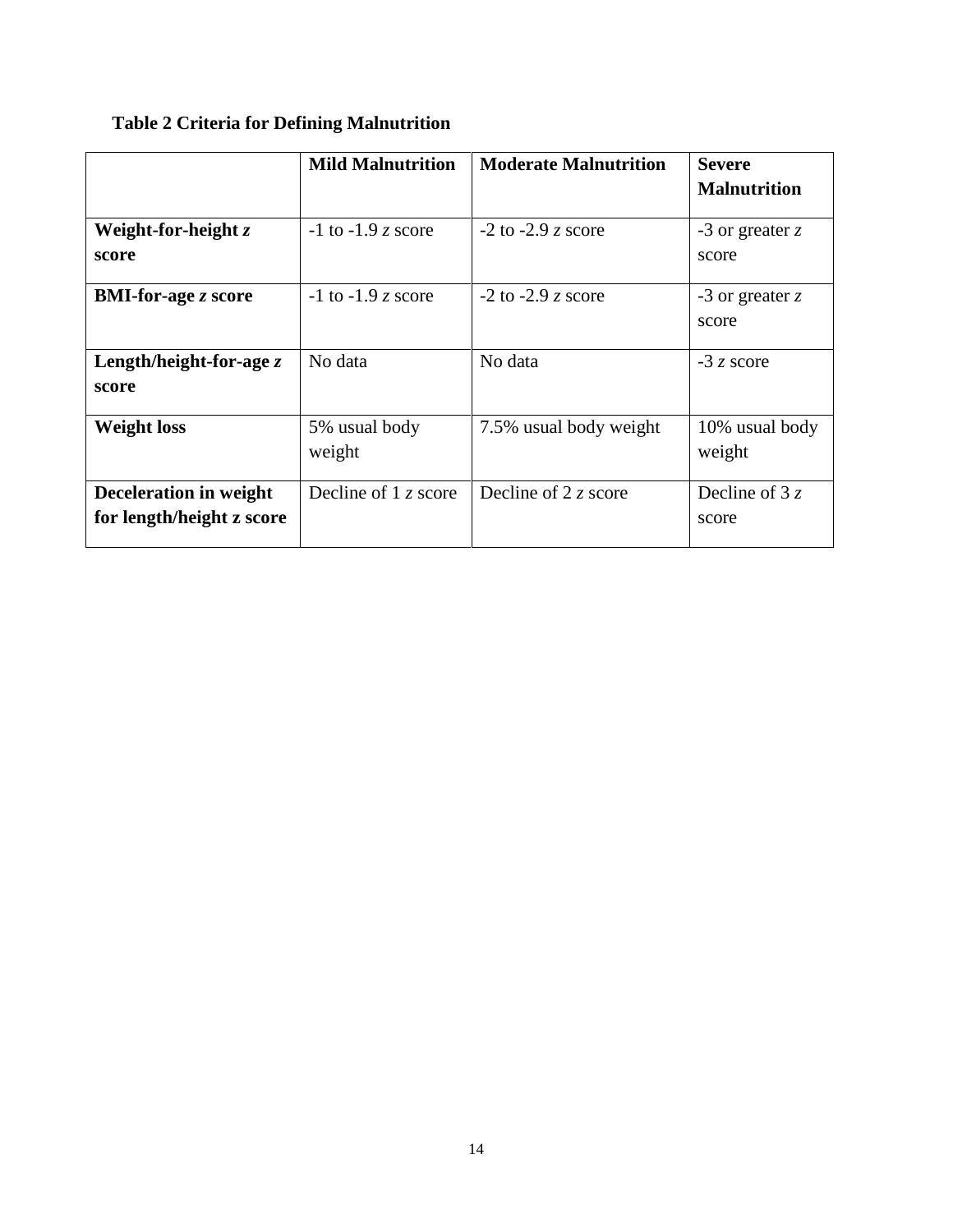### **Table 2 Criteria for Defining Malnutrition**

|                                                     | <b>Mild Malnutrition</b> | <b>Moderate Malnutrition</b> | <b>Severe</b>              |
|-----------------------------------------------------|--------------------------|------------------------------|----------------------------|
|                                                     |                          |                              | <b>Malnutrition</b>        |
| Weight-for-height $z$<br>score                      | $-1$ to $-1.9$ z score   | $-2$ to $-2.9$ z score       | -3 or greater $z$<br>score |
| <b>BMI-for-age z score</b>                          | $-1$ to $-1.9$ z score   | $-2$ to $-2.9$ z score       | -3 or greater $z$<br>score |
| Length/height-for-age $z$<br>score                  | No data                  | No data                      | $-3z$ score                |
| <b>Weight loss</b>                                  | 5% usual body<br>weight  | 7.5% usual body weight       | 10% usual body<br>weight   |
| Deceleration in weight<br>for length/height z score | Decline of $1z$ score    | Decline of 2 $\zeta$ score   | Decline of 3 $z$<br>score  |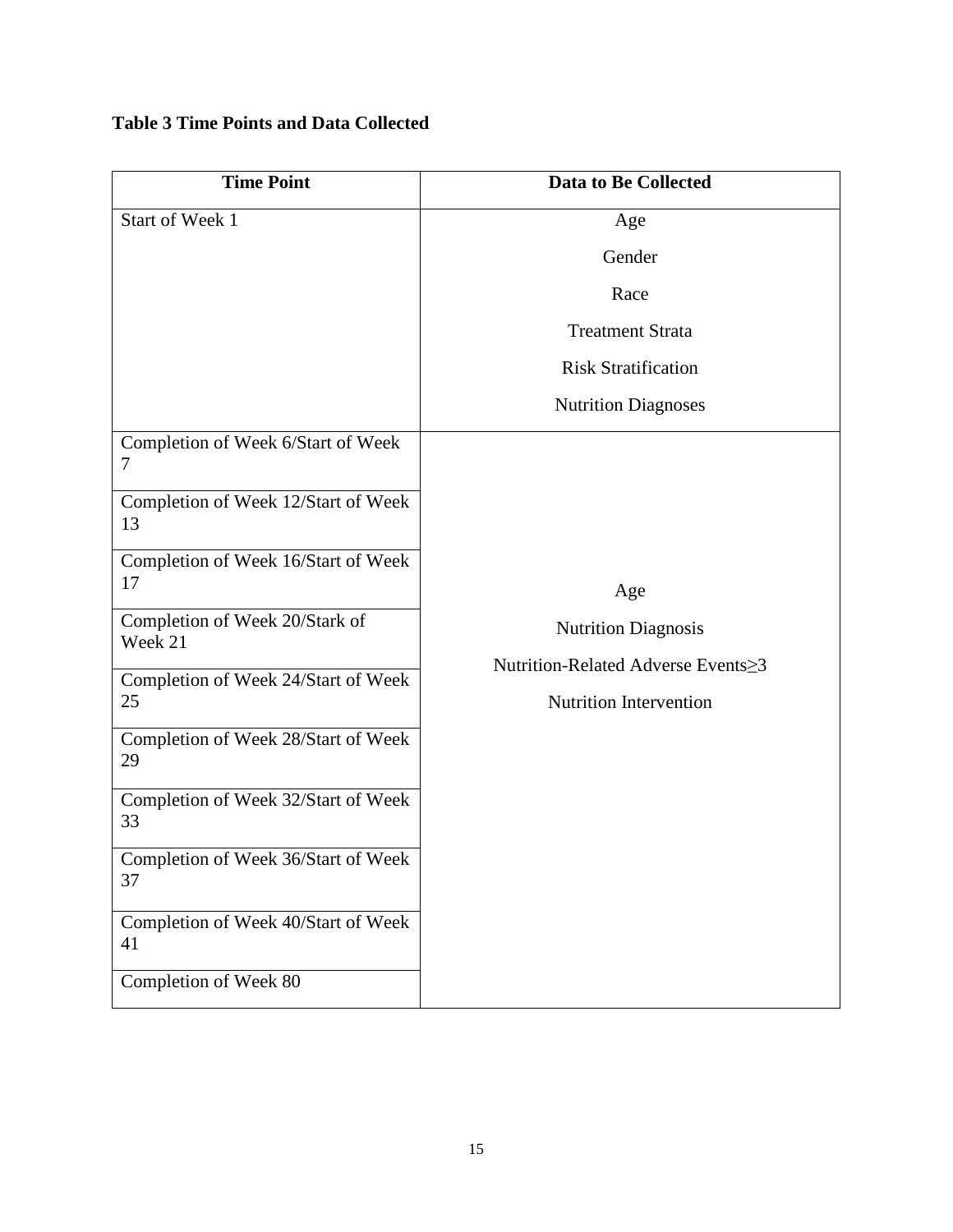### **Table 3 Time Points and Data Collected**

| <b>Time Point</b>                         | <b>Data to Be Collected</b>                         |
|-------------------------------------------|-----------------------------------------------------|
| Start of Week 1                           | Age                                                 |
|                                           | Gender                                              |
|                                           | Race                                                |
|                                           | <b>Treatment Strata</b>                             |
|                                           | <b>Risk Stratification</b>                          |
|                                           | <b>Nutrition Diagnoses</b>                          |
| Completion of Week 6/Start of Week<br>7   |                                                     |
| Completion of Week 12/Start of Week<br>13 |                                                     |
| Completion of Week 16/Start of Week<br>17 | Age                                                 |
| Completion of Week 20/Stark of<br>Week 21 | <b>Nutrition Diagnosis</b>                          |
| Completion of Week 24/Start of Week       | Nutrition-Related Adverse Events  ightarrow Systems |
| 25                                        | <b>Nutrition Intervention</b>                       |
| Completion of Week 28/Start of Week<br>29 |                                                     |
| Completion of Week 32/Start of Week<br>33 |                                                     |
| Completion of Week 36/Start of Week<br>37 |                                                     |
| Completion of Week 40/Start of Week<br>41 |                                                     |
| Completion of Week 80                     |                                                     |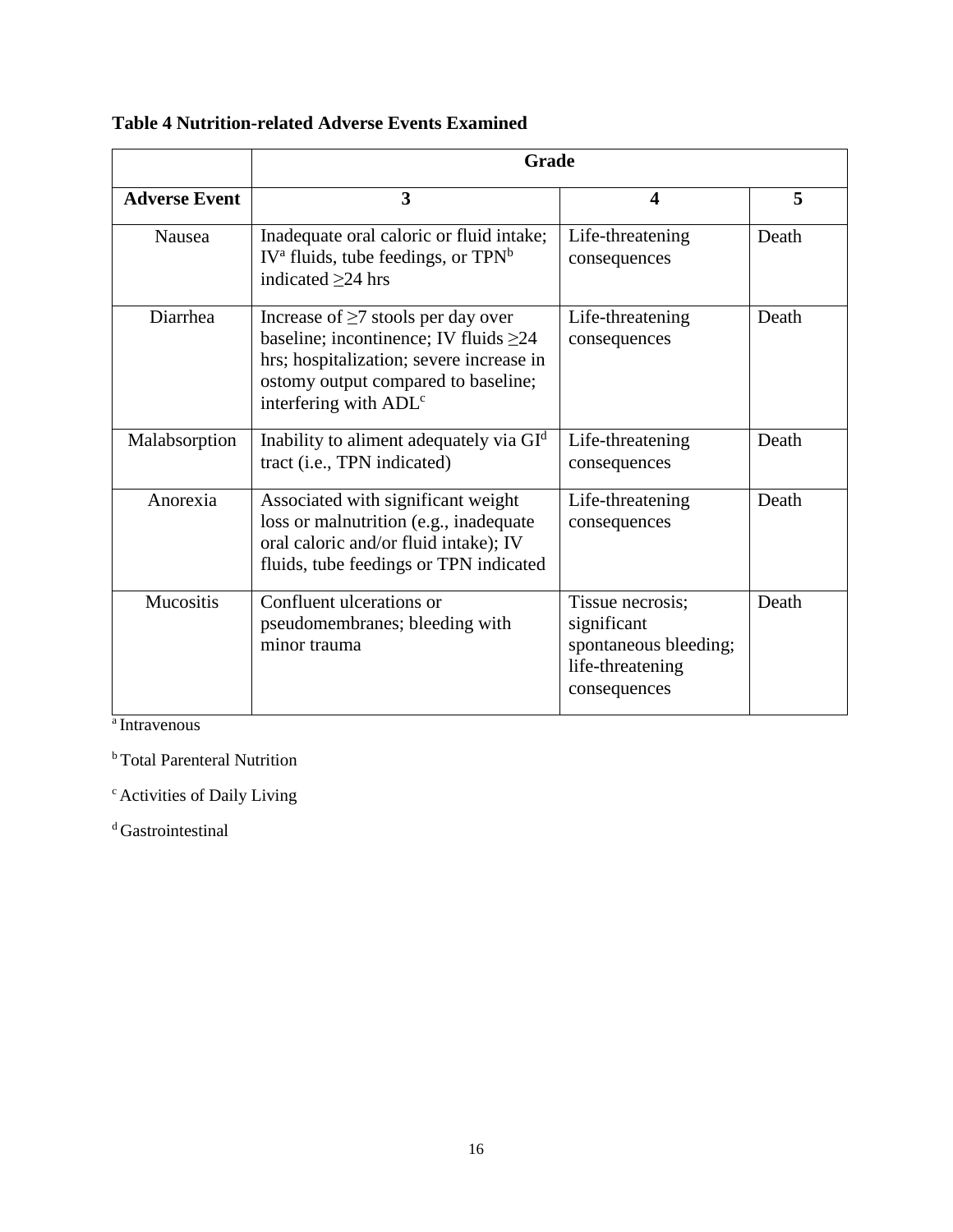**Table 4 Nutrition-related Adverse Events Examined**

|                      | Grade                                                                                                                                                                                                           |                                                                                              |       |
|----------------------|-----------------------------------------------------------------------------------------------------------------------------------------------------------------------------------------------------------------|----------------------------------------------------------------------------------------------|-------|
| <b>Adverse Event</b> | 3                                                                                                                                                                                                               | $\overline{\mathbf{4}}$                                                                      | 5     |
| <b>Nausea</b>        | Inadequate oral caloric or fluid intake;<br>$IV^a$ fluids, tube feedings, or $TPN^b$<br>indicated $\geq$ 24 hrs                                                                                                 | Life-threatening<br>consequences                                                             | Death |
| Diarrhea             | Increase of $\geq 7$ stools per day over<br>baseline; incontinence; IV fluids $\geq 24$<br>hrs; hospitalization; severe increase in<br>ostomy output compared to baseline;<br>interfering with ADL <sup>c</sup> | Life-threatening<br>consequences                                                             | Death |
| Malabsorption        | Inability to aliment adequately via GI <sup>d</sup><br>tract (i.e., TPN indicated)                                                                                                                              | Life-threatening<br>consequences                                                             | Death |
| Anorexia             | Associated with significant weight<br>loss or malnutrition (e.g., inadequate<br>oral caloric and/or fluid intake); IV<br>fluids, tube feedings or TPN indicated                                                 | Life-threatening<br>consequences                                                             | Death |
| <b>Mucositis</b>     | Confluent ulcerations or<br>pseudomembranes; bleeding with<br>minor trauma                                                                                                                                      | Tissue necrosis;<br>significant<br>spontaneous bleeding;<br>life-threatening<br>consequences | Death |

a Intravenous

**b**Total Parenteral Nutrition

<sup>c</sup> Activities of Daily Living

<sup>d</sup> Gastrointestinal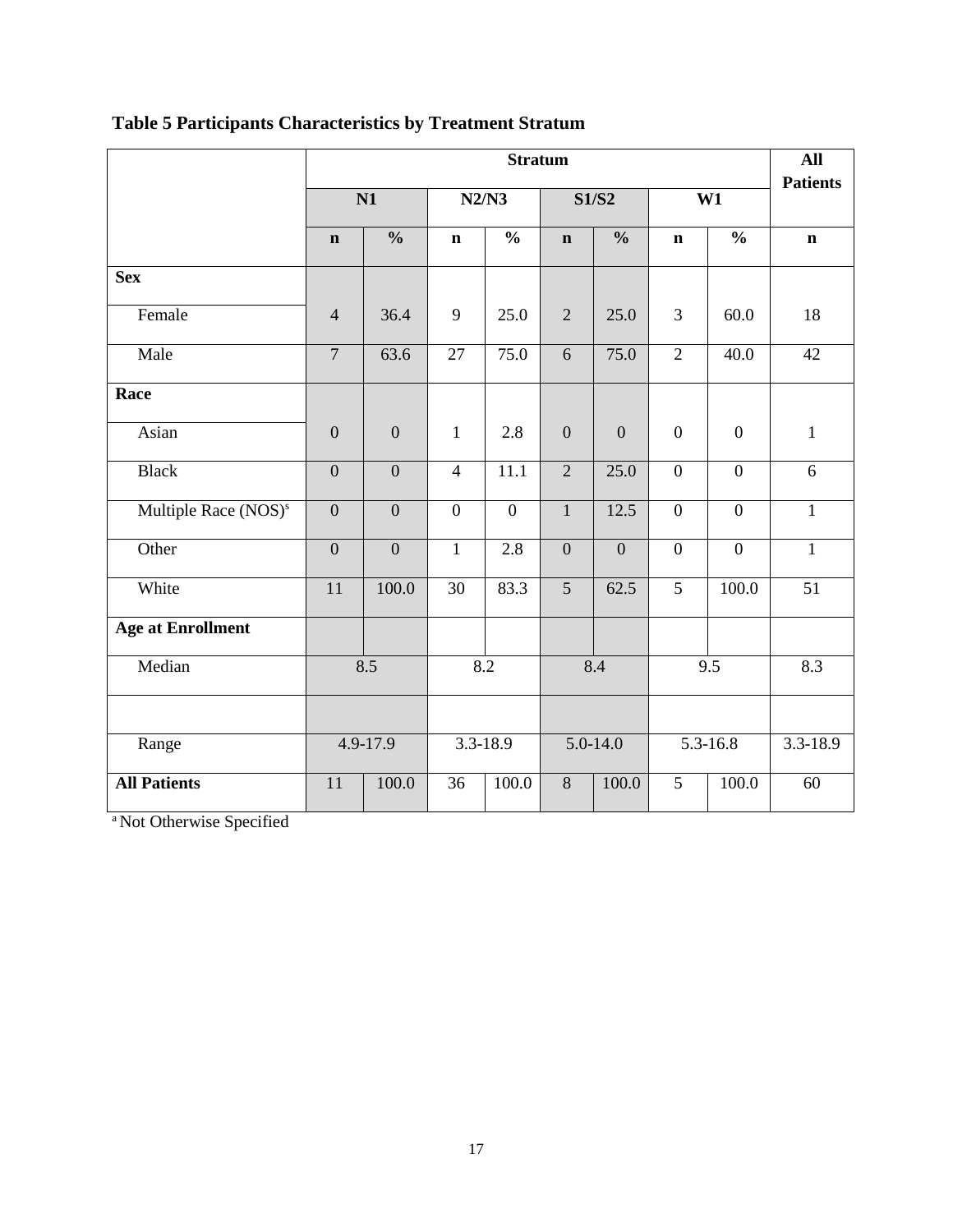|                                  |                 | <b>Stratum</b>   |                 |                |                  |                  |                  |                    |                 |
|----------------------------------|-----------------|------------------|-----------------|----------------|------------------|------------------|------------------|--------------------|-----------------|
|                                  | $\overline{N1}$ |                  | N2/N3           |                | <b>S1/S2</b>     |                  | W1               |                    | <b>Patients</b> |
|                                  | $\mathbf n$     | $\frac{0}{0}$    | $\mathbf n$     | $\frac{0}{0}$  | $\mathbf n$      | $\frac{0}{0}$    | $\mathbf n$      | $\frac{0}{0}$      | $\mathbf n$     |
| <b>Sex</b>                       |                 |                  |                 |                |                  |                  |                  |                    |                 |
| Female                           | $\overline{4}$  | 36.4             | 9               | 25.0           | $\overline{2}$   | 25.0             | 3                | 60.0               | 18              |
| Male                             | $\overline{7}$  | 63.6             | 27              | 75.0           | $\overline{6}$   | 75.0             | $\overline{2}$   | 40.0               | $\overline{42}$ |
| Race                             |                 |                  |                 |                |                  |                  |                  |                    |                 |
| Asian                            | $\overline{0}$  | $\mathbf{0}$     | $\mathbf{1}$    | 2.8            | $\boldsymbol{0}$ | $\boldsymbol{0}$ | $\boldsymbol{0}$ | $\mathbf{0}$       | $\mathbf{1}$    |
| <b>Black</b>                     | $\overline{0}$  | $\overline{0}$   | $\overline{4}$  | 11.1           | $\overline{2}$   | 25.0             | $\overline{0}$   | $\overline{0}$     | 6               |
| Multiple Race (NOS) <sup>s</sup> | $\overline{0}$  | $\overline{0}$   | $\overline{0}$  | $\overline{0}$ | $\mathbf{1}$     | 12.5             | $\overline{0}$   | $\overline{0}$     | $\mathbf{1}$    |
| Other                            | $\mathbf{0}$    | $\boldsymbol{0}$ | $\mathbf{1}$    | 2.8            | $\overline{0}$   | $\boldsymbol{0}$ | $\boldsymbol{0}$ | $\mathbf{0}$       | $\mathbf{1}$    |
| White                            | $\overline{11}$ | 100.0            | 30              | 83.3           | $\overline{5}$   | 62.5             | $\overline{5}$   | $\overline{100.0}$ | $\overline{51}$ |
| <b>Age at Enrollment</b>         |                 |                  |                 |                |                  |                  |                  |                    |                 |
| Median                           | 8.5             |                  | 8.2             |                | 8.4              |                  | 9.5              |                    | 8.3             |
|                                  |                 |                  |                 |                |                  |                  |                  |                    |                 |
| Range                            |                 | 4.9-17.9         |                 | 3.3-18.9       | 5.0-14.0         |                  | 5.3-16.8         |                    | 3.3-18.9        |
| <b>All Patients</b>              | 11              | 100.0            | $\overline{36}$ | 100.0          | 8                | 100.0            | 5                | 100.0              | 60              |

# **Table 5 Participants Characteristics by Treatment Stratum**

<sup>a</sup> Not Otherwise Specified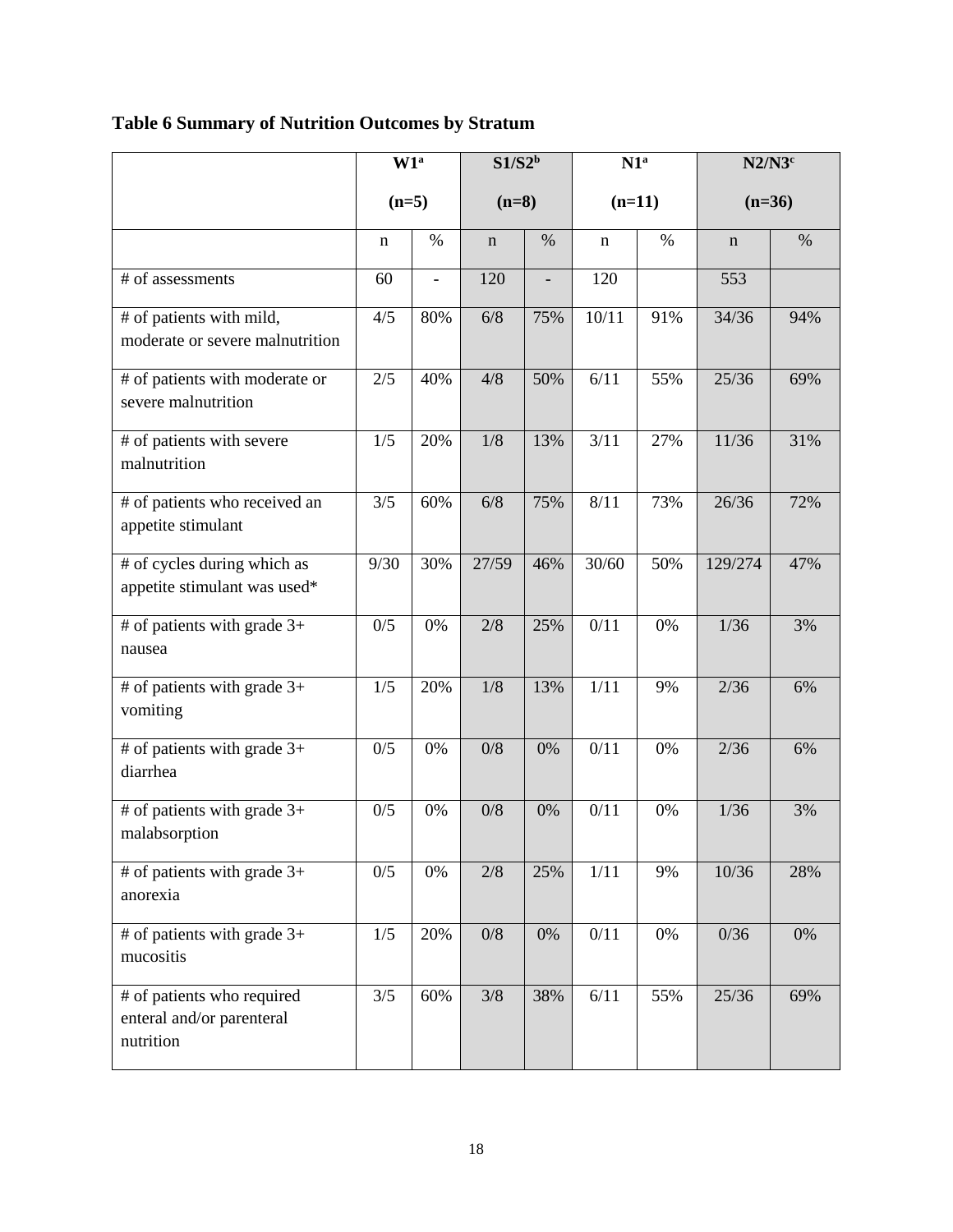| <b>Table 6 Summary of Nutrition Outcomes by Stratum</b> |
|---------------------------------------------------------|
|---------------------------------------------------------|

|                                                                      | W1 <sup>a</sup> |      | $S1/S2^b$   |       | N1 <sup>a</sup>   |       | $N2/N3^c$   |      |
|----------------------------------------------------------------------|-----------------|------|-------------|-------|-------------------|-------|-------------|------|
|                                                                      | $(n=5)$         |      | $(n=8)$     |       | $(n=11)$          |       | $(n=36)$    |      |
|                                                                      | n               | $\%$ | $\mathbf n$ | $\%$  | n                 | $\%$  | $\mathbf n$ | $\%$ |
| # of assessments                                                     | 60              |      | 120         |       | 120               |       | 553         |      |
| # of patients with mild,<br>moderate or severe malnutrition          | 4/5             | 80%  | 6/8         | 75%   | 10/11             | 91%   | 34/36       | 94%  |
| # of patients with moderate or<br>severe malnutrition                | 2/5             | 40%  | 4/8         | 50%   | 6/11              | 55%   | 25/36       | 69%  |
| # of patients with severe<br>malnutrition                            | 1/5             | 20%  | 1/8         | 13%   | 3/11              | 27%   | 11/36       | 31%  |
| # of patients who received an<br>appetite stimulant                  | 3/5             | 60%  | 6/8         | 75%   | 8/11              | 73%   | 26/36       | 72%  |
| # of cycles during which as<br>appetite stimulant was used*          | 9/30            | 30%  | 27/59       | 46%   | $\frac{1}{30/60}$ | 50%   | 129/274     | 47%  |
| # of patients with grade $3+$<br>nausea                              | 0/5             | 0%   | 2/8         | 25%   | 0/11              | 0%    | 1/36        | 3%   |
| # of patients with grade $3+$<br>vomiting                            | 1/5             | 20%  | 1/8         | 13%   | 1/11              | 9%    | 2/36        | 6%   |
| # of patients with grade $3+$<br>diarrhea                            | 0/5             | 0%   | 0/8         | 0%    | 0/11              | 0%    | 2/36        | 6%   |
| # of patients with grade $3+$<br>malabsorption                       | 0/5             | 0%   | 0/8         | 0%    | 0/11              | 0%    | 1/36        | 3%   |
| # of patients with grade $3+$<br>anorexia                            | 0/5             | 0%   | 2/8         | 25%   | 1/11              | 9%    | 10/36       | 28%  |
| # of patients with grade $3+$<br>mucositis                           | 1/5             | 20%  | $0/8$       | $0\%$ | 0/11              | $0\%$ | 0/36        | 0%   |
| # of patients who required<br>enteral and/or parenteral<br>nutrition | 3/5             | 60%  | 3/8         | 38%   | 6/11              | 55%   | 25/36       | 69%  |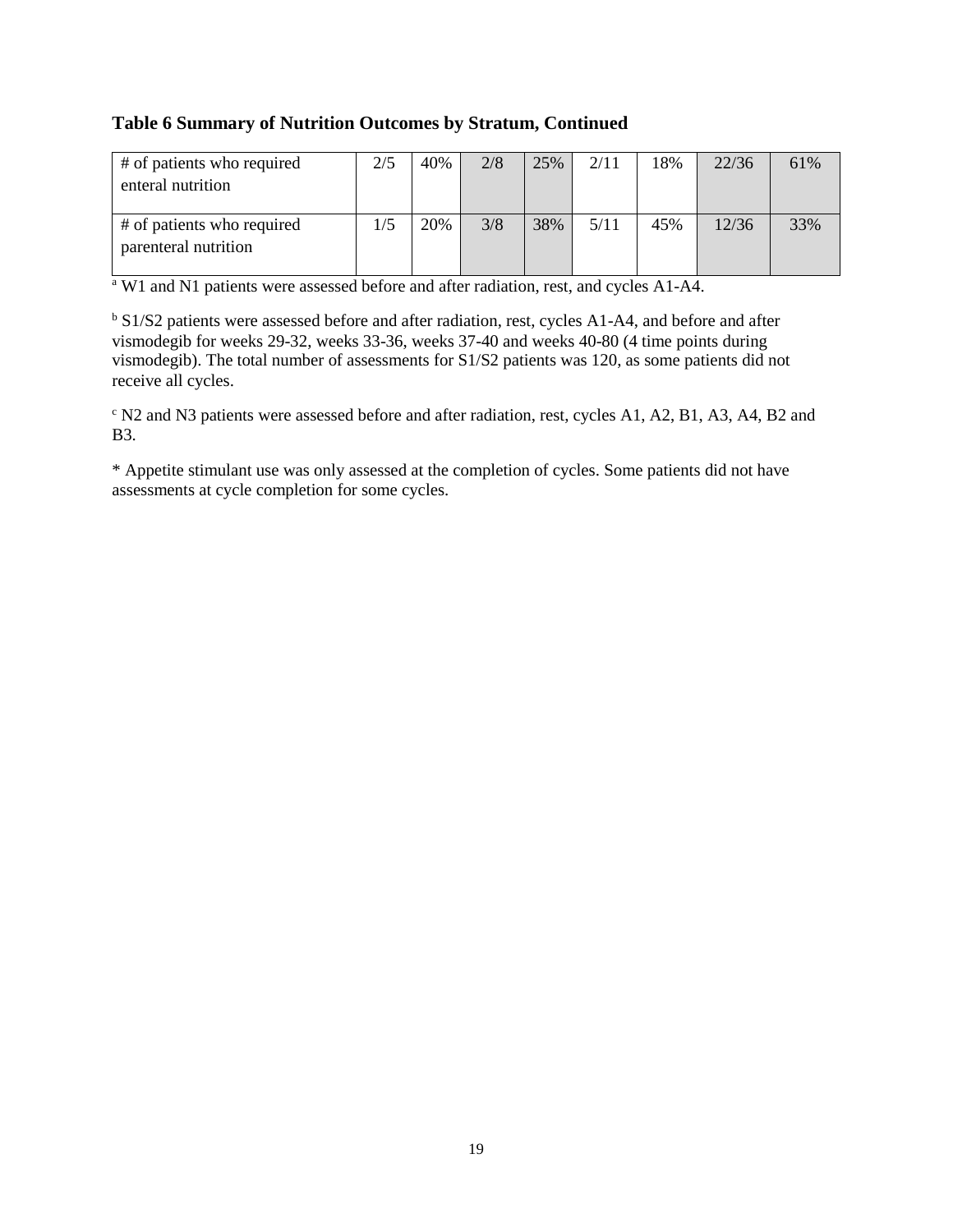#### **Table 6 Summary of Nutrition Outcomes by Stratum, Continued**

| # of patients who required<br>enteral nutrition    | 2/5 | 40% | 2/8 | 25% | 2/11 | 18% | 22/36 | 61% |
|----------------------------------------------------|-----|-----|-----|-----|------|-----|-------|-----|
| # of patients who required<br>parenteral nutrition | 1/5 | 20% | 3/8 | 38% | 5/11 | 45% | 12/36 | 33% |

<sup>a</sup> W1 and N1 patients were assessed before and after radiation, rest, and cycles A1-A4.

<sup>b</sup> S1/S2 patients were assessed before and after radiation, rest, cycles A1-A4, and before and after vismodegib for weeks 29-32, weeks 33-36, weeks 37-40 and weeks 40-80 (4 time points during vismodegib). The total number of assessments for S1/S2 patients was 120, as some patients did not receive all cycles.

<sup>c</sup> N2 and N3 patients were assessed before and after radiation, rest, cycles A1, A2, B1, A3, A4, B2 and B3.

\* Appetite stimulant use was only assessed at the completion of cycles. Some patients did not have assessments at cycle completion for some cycles.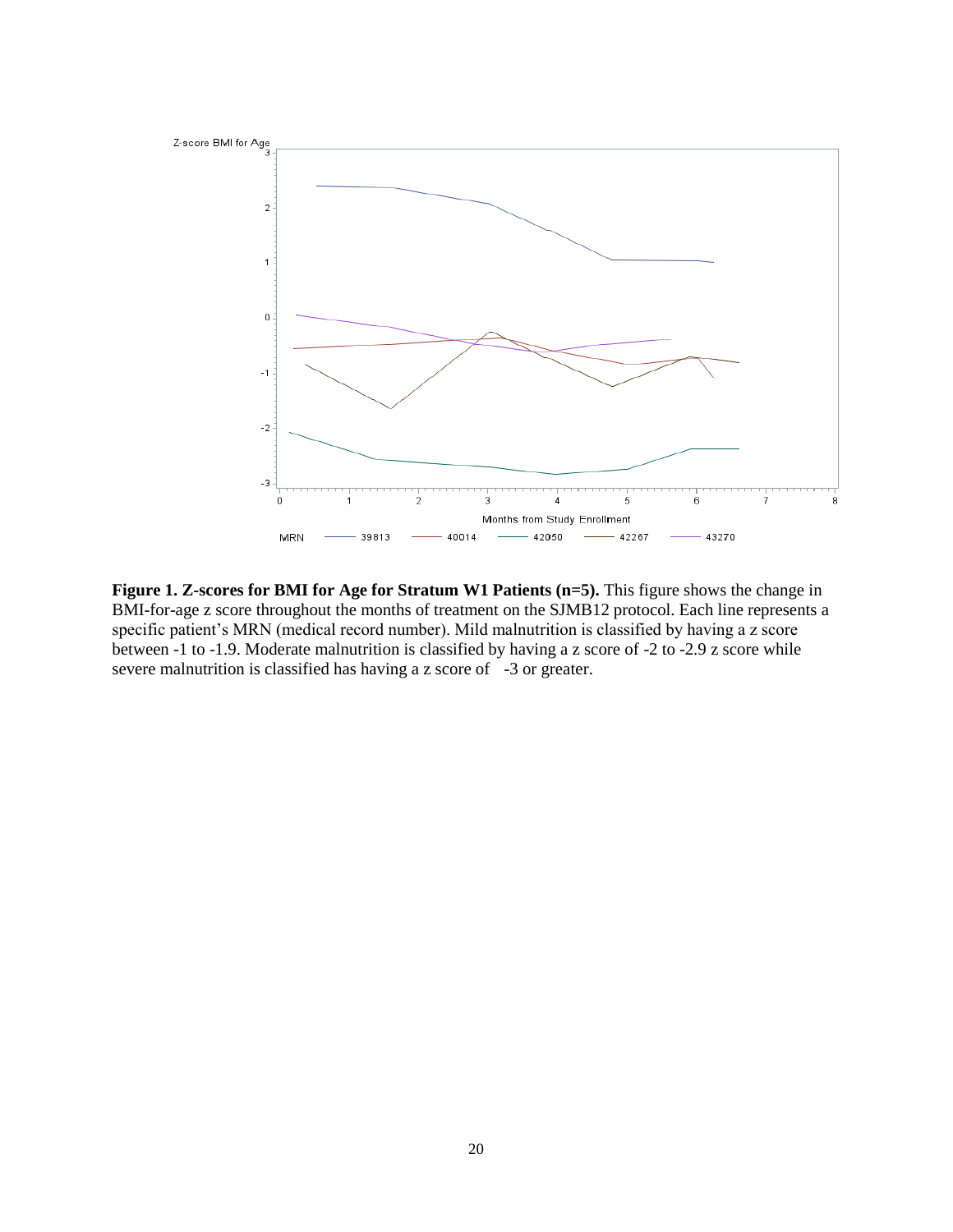

**Figure 1. Z-scores for BMI for Age for Stratum W1 Patients (n=5).** This figure shows the change in BMI-for-age z score throughout the months of treatment on the SJMB12 protocol. Each line represents a specific patient's MRN (medical record number). Mild malnutrition is classified by having a z score between -1 to -1.9. Moderate malnutrition is classified by having a z score of -2 to -2.9 z score while severe malnutrition is classified has having a z score of -3 or greater.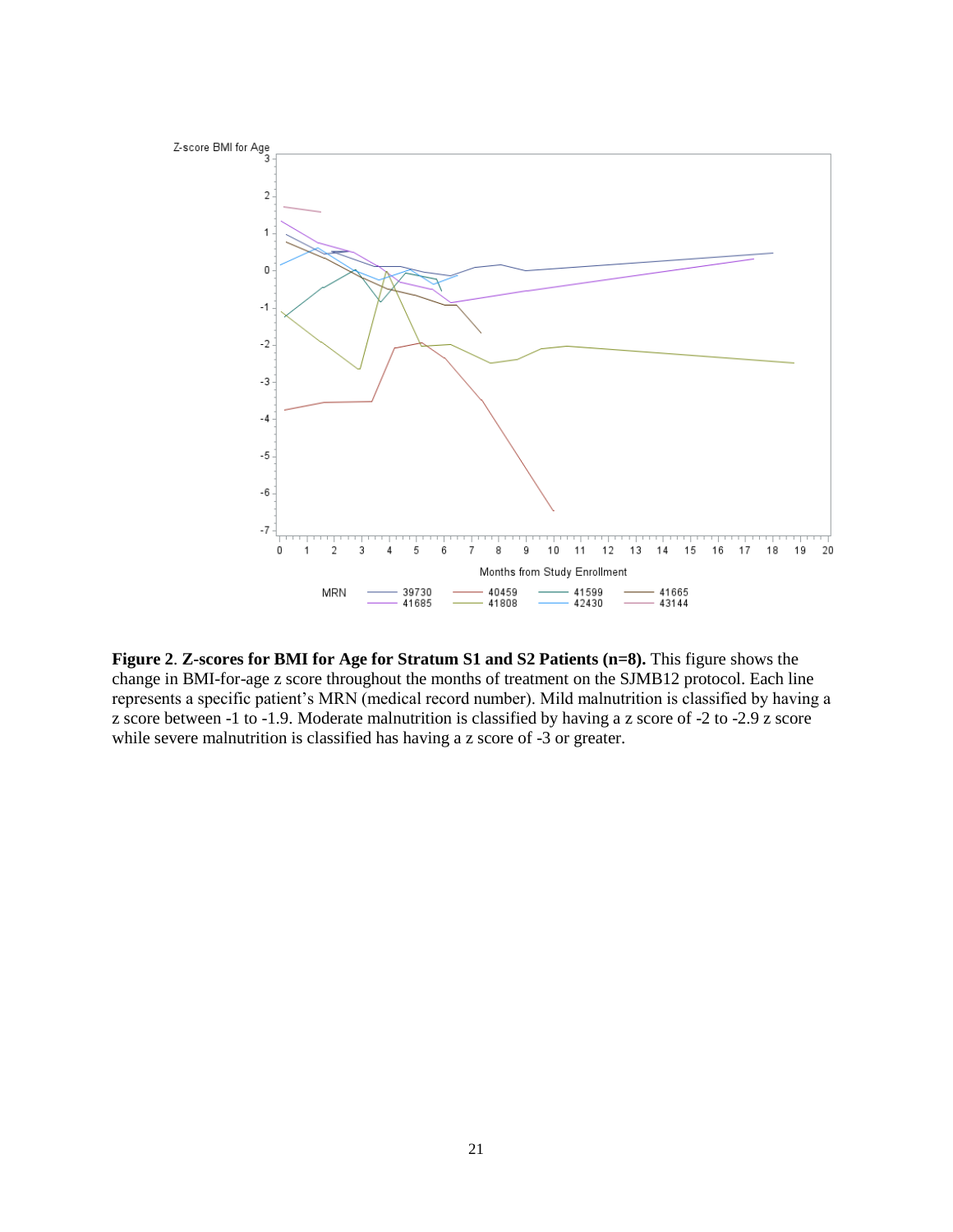

**Figure 2**. **Z-scores for BMI for Age for Stratum S1 and S2 Patients (n=8).** This figure shows the change in BMI-for-age z score throughout the months of treatment on the SJMB12 protocol. Each line represents a specific patient's MRN (medical record number). Mild malnutrition is classified by having a z score between -1 to -1.9. Moderate malnutrition is classified by having a z score of -2 to -2.9 z score while severe malnutrition is classified has having a z score of -3 or greater.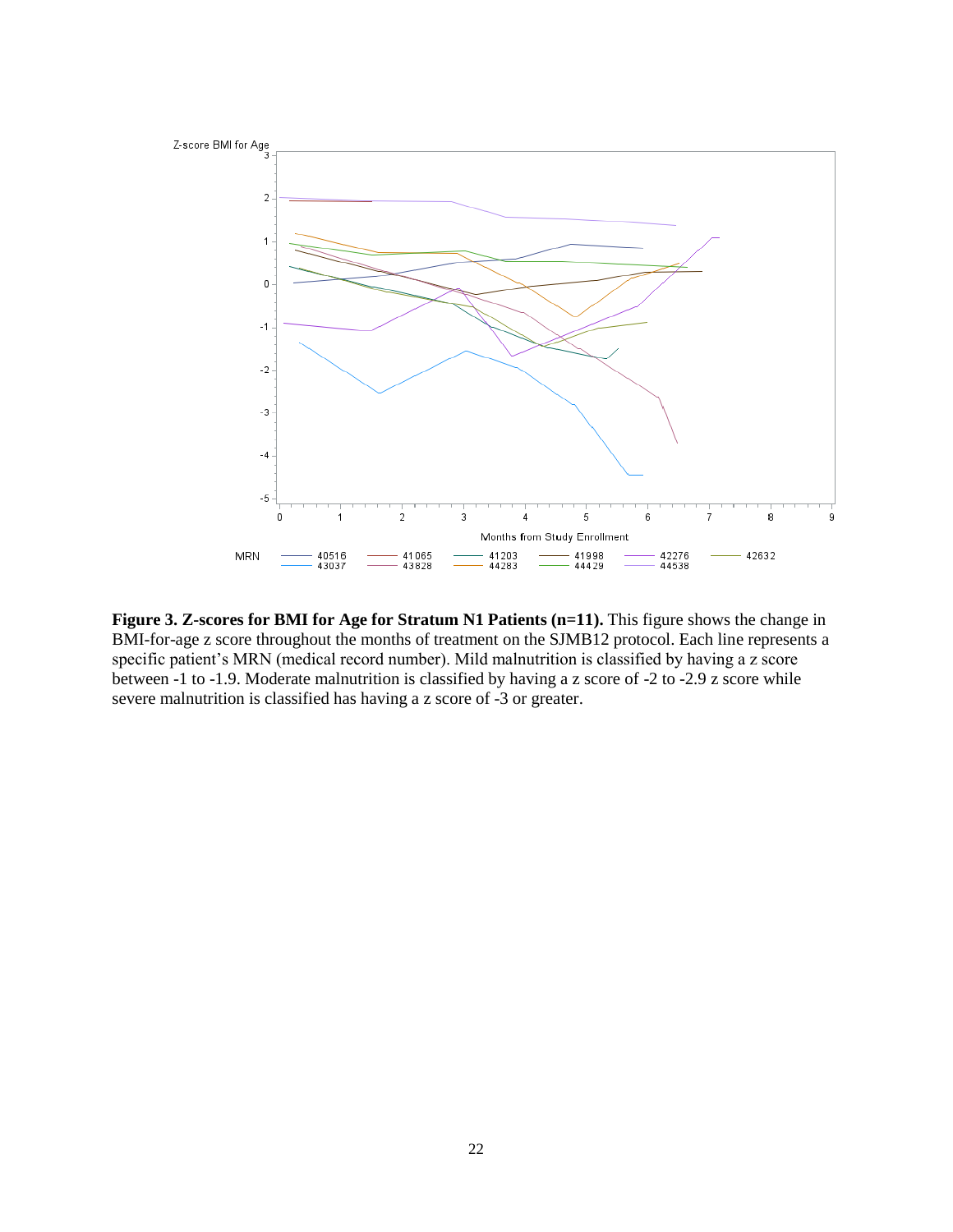

**Figure 3. Z-scores for BMI for Age for Stratum N1 Patients (n=11).** This figure shows the change in BMI-for-age z score throughout the months of treatment on the SJMB12 protocol. Each line represents a specific patient's MRN (medical record number). Mild malnutrition is classified by having a z score between -1 to -1.9. Moderate malnutrition is classified by having a z score of -2 to -2.9 z score while severe malnutrition is classified has having a z score of -3 or greater.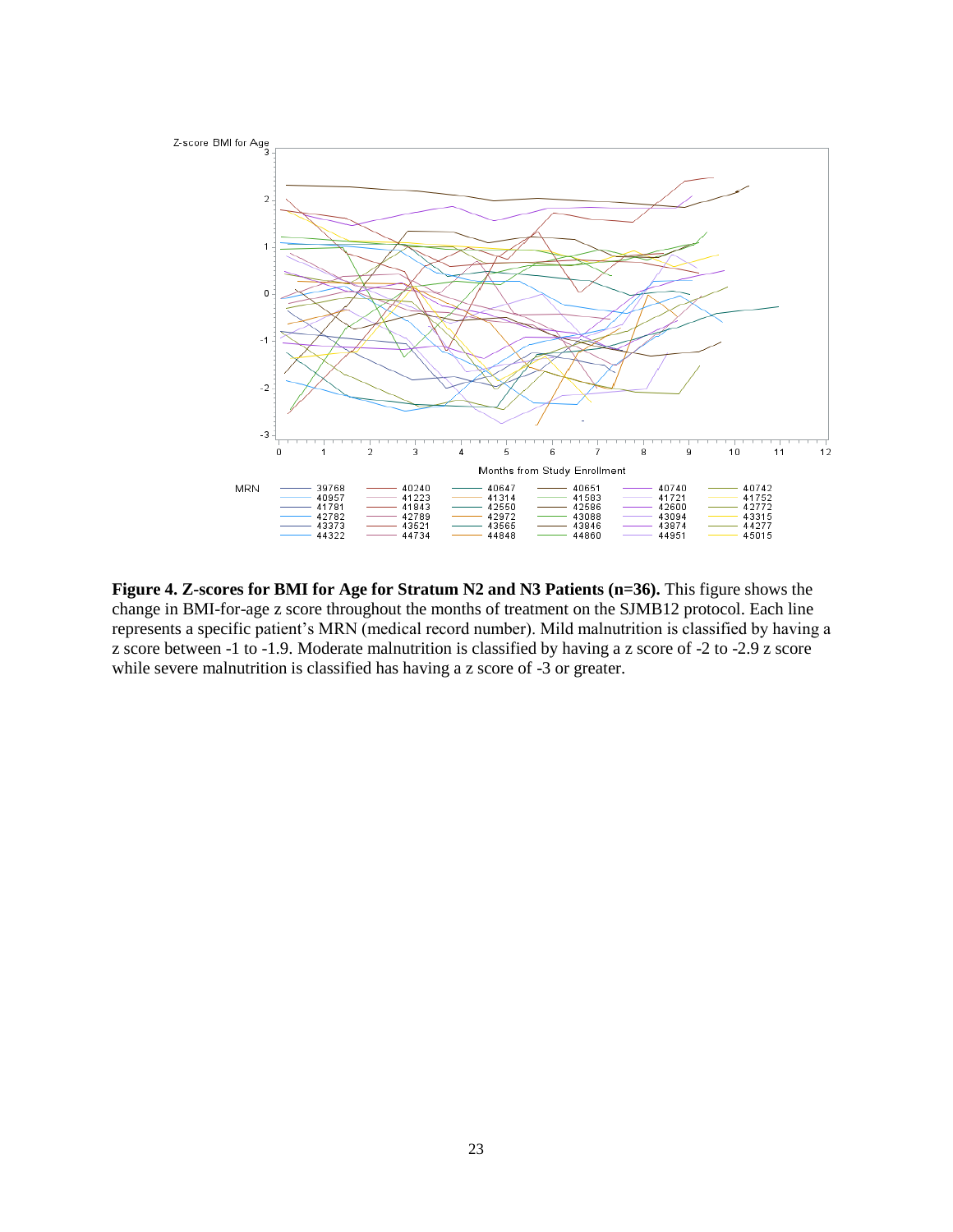

**Figure 4. Z-scores for BMI for Age for Stratum N2 and N3 Patients (n=36).** This figure shows the change in BMI-for-age z score throughout the months of treatment on the SJMB12 protocol. Each line represents a specific patient's MRN (medical record number). Mild malnutrition is classified by having a z score between -1 to -1.9. Moderate malnutrition is classified by having a z score of -2 to -2.9 z score while severe malnutrition is classified has having a z score of -3 or greater.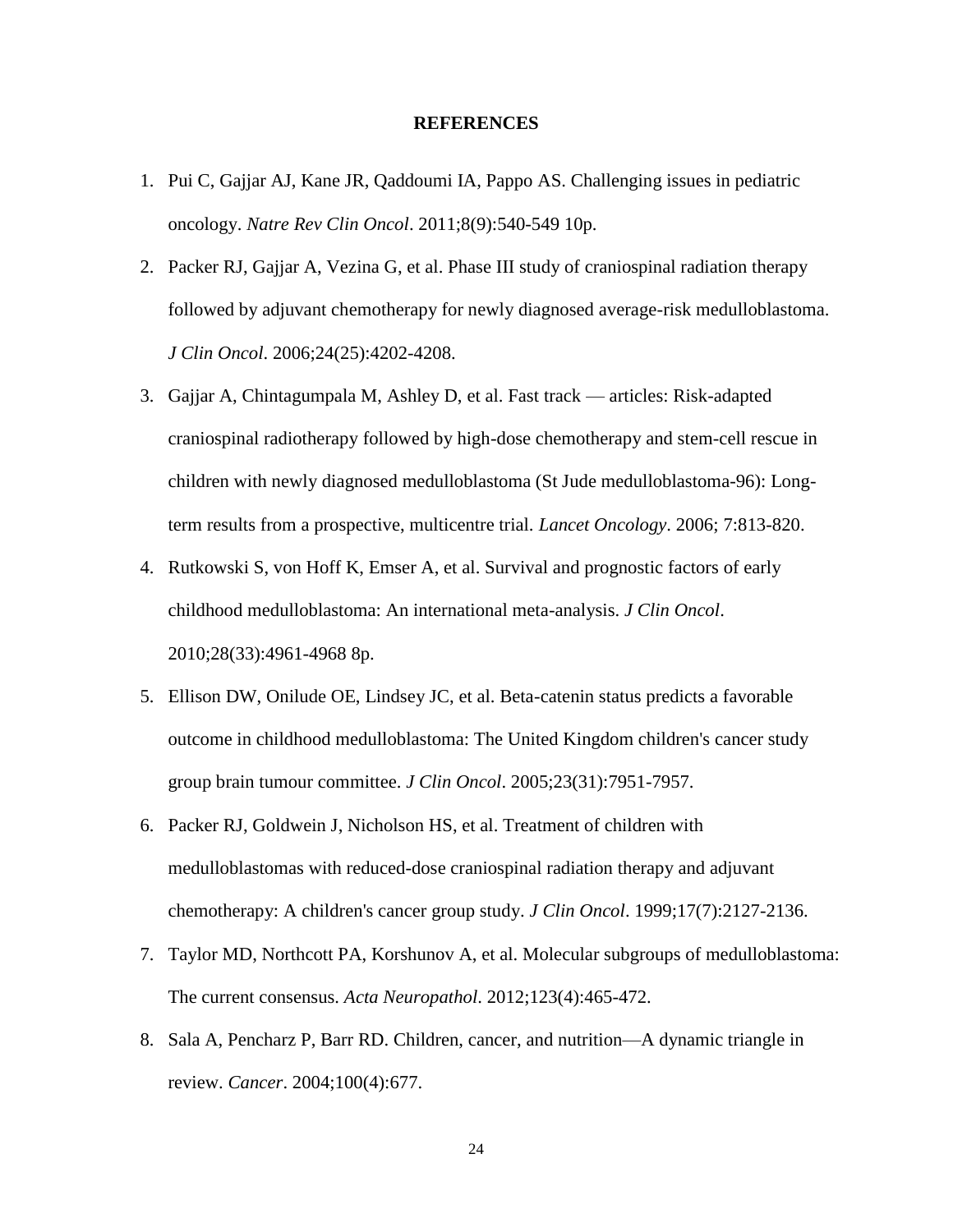#### **REFERENCES**

- 1. Pui C, Gajjar AJ, Kane JR, Qaddoumi IA, Pappo AS. Challenging issues in pediatric oncology. *Natre Rev Clin Oncol*. 2011;8(9):540-549 10p.
- 2. Packer RJ, Gajjar A, Vezina G, et al. Phase III study of craniospinal radiation therapy followed by adjuvant chemotherapy for newly diagnosed average-risk medulloblastoma. *J Clin Oncol*. 2006;24(25):4202-4208.
- 3. Gajjar A, Chintagumpala M, Ashley D, et al. Fast track articles: Risk-adapted craniospinal radiotherapy followed by high-dose chemotherapy and stem-cell rescue in children with newly diagnosed medulloblastoma (St Jude medulloblastoma-96): Longterm results from a prospective, multicentre trial. *Lancet Oncology*. 2006; 7:813-820.
- 4. Rutkowski S, von Hoff K, Emser A, et al. Survival and prognostic factors of early childhood medulloblastoma: An international meta-analysis. *J Clin Oncol*. 2010;28(33):4961-4968 8p.
- 5. Ellison DW, Onilude OE, Lindsey JC, et al. Beta-catenin status predicts a favorable outcome in childhood medulloblastoma: The United Kingdom children's cancer study group brain tumour committee. *J Clin Oncol*. 2005;23(31):7951-7957.
- 6. Packer RJ, Goldwein J, Nicholson HS, et al. Treatment of children with medulloblastomas with reduced-dose craniospinal radiation therapy and adjuvant chemotherapy: A children's cancer group study. *J Clin Oncol*. 1999;17(7):2127-2136.
- 7. Taylor MD, Northcott PA, Korshunov A, et al. Molecular subgroups of medulloblastoma: The current consensus. *Acta Neuropathol*. 2012;123(4):465-472.
- 8. Sala A, Pencharz P, Barr RD. Children, cancer, and nutrition—A dynamic triangle in review. *Cancer*. 2004;100(4):677.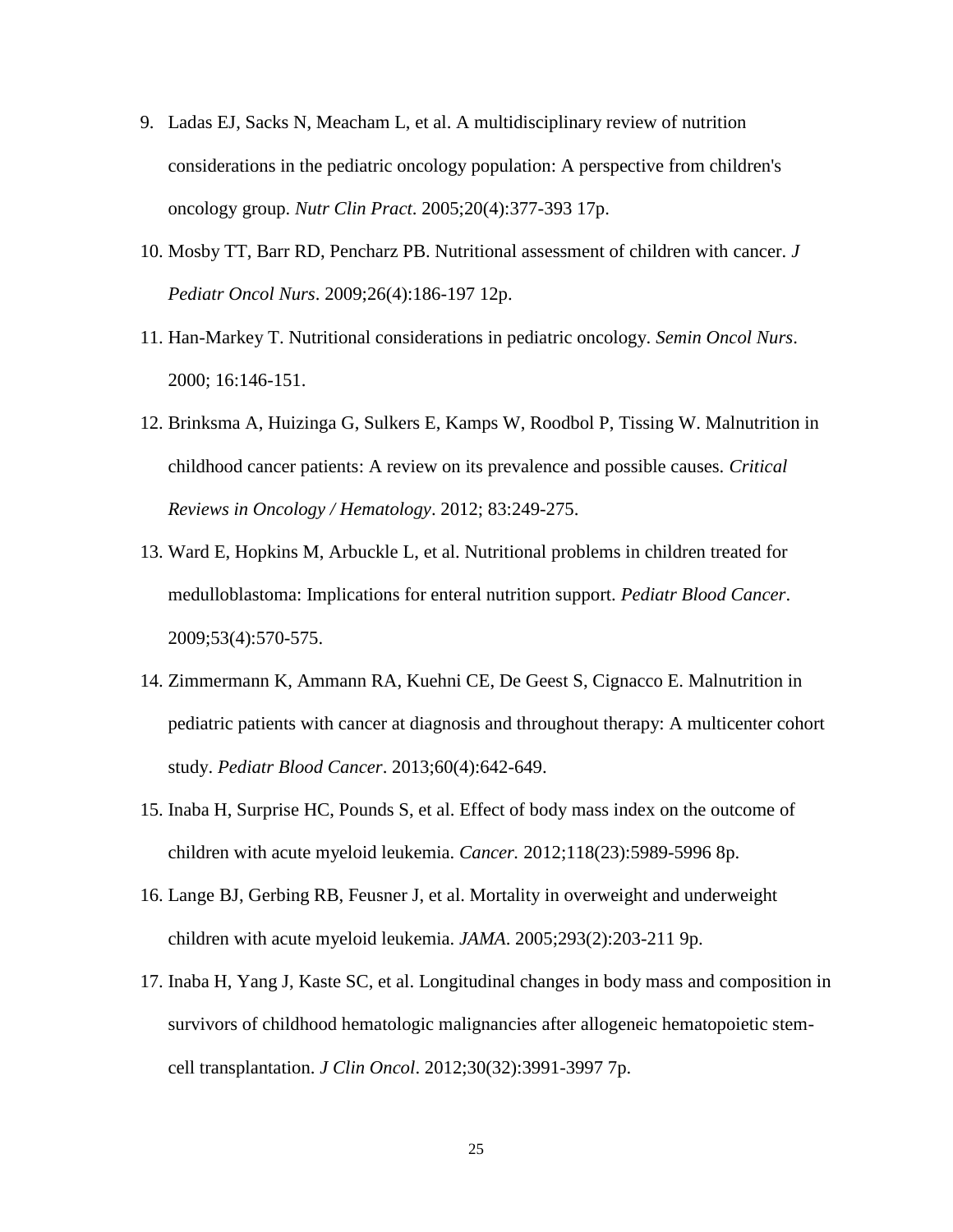- 9. Ladas EJ, Sacks N, Meacham L, et al. A multidisciplinary review of nutrition considerations in the pediatric oncology population: A perspective from children's oncology group. *Nutr Clin Pract*. 2005;20(4):377-393 17p.
- 10. Mosby TT, Barr RD, Pencharz PB. Nutritional assessment of children with cancer. *J Pediatr Oncol Nurs*. 2009;26(4):186-197 12p.
- 11. Han-Markey T. Nutritional considerations in pediatric oncology. *Semin Oncol Nurs*. 2000; 16:146-151.
- 12. Brinksma A, Huizinga G, Sulkers E, Kamps W, Roodbol P, Tissing W. Malnutrition in childhood cancer patients: A review on its prevalence and possible causes. *Critical Reviews in Oncology / Hematology*. 2012; 83:249-275.
- 13. Ward E, Hopkins M, Arbuckle L, et al. Nutritional problems in children treated for medulloblastoma: Implications for enteral nutrition support. *Pediatr Blood Cancer*. 2009;53(4):570-575.
- 14. Zimmermann K, Ammann RA, Kuehni CE, De Geest S, Cignacco E. Malnutrition in pediatric patients with cancer at diagnosis and throughout therapy: A multicenter cohort study. *Pediatr Blood Cancer*. 2013;60(4):642-649.
- 15. Inaba H, Surprise HC, Pounds S, et al. Effect of body mass index on the outcome of children with acute myeloid leukemia. *Cancer.* 2012;118(23):5989-5996 8p.
- 16. Lange BJ, Gerbing RB, Feusner J, et al. Mortality in overweight and underweight children with acute myeloid leukemia. *JAMA*. 2005;293(2):203-211 9p.
- 17. Inaba H, Yang J, Kaste SC, et al. Longitudinal changes in body mass and composition in survivors of childhood hematologic malignancies after allogeneic hematopoietic stemcell transplantation. *J Clin Oncol*. 2012;30(32):3991-3997 7p.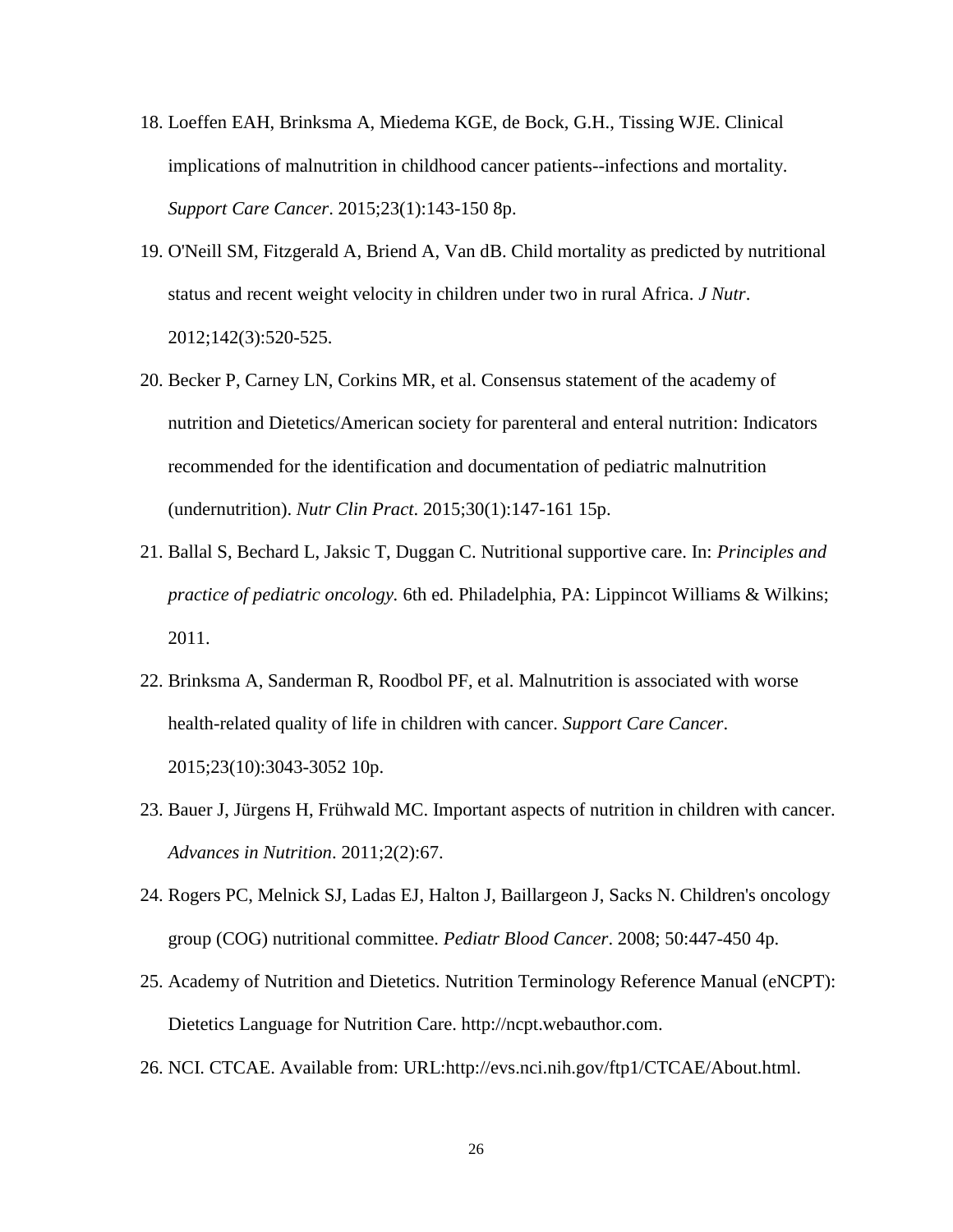- 18. Loeffen EAH, Brinksma A, Miedema KGE, de Bock, G.H., Tissing WJE. Clinical implications of malnutrition in childhood cancer patients--infections and mortality. *Support Care Cancer*. 2015;23(1):143-150 8p.
- 19. O'Neill SM, Fitzgerald A, Briend A, Van dB. Child mortality as predicted by nutritional status and recent weight velocity in children under two in rural Africa. *J Nutr*. 2012;142(3):520-525.
- 20. Becker P, Carney LN, Corkins MR, et al. Consensus statement of the academy of nutrition and Dietetics/American society for parenteral and enteral nutrition: Indicators recommended for the identification and documentation of pediatric malnutrition (undernutrition). *Nutr Clin Pract*. 2015;30(1):147-161 15p.
- 21. Ballal S, Bechard L, Jaksic T, Duggan C. Nutritional supportive care. In: *Principles and practice of pediatric oncology.* 6th ed. Philadelphia, PA: Lippincot Williams & Wilkins; 2011.
- 22. Brinksma A, Sanderman R, Roodbol PF, et al. Malnutrition is associated with worse health-related quality of life in children with cancer. *Support Care Cancer*. 2015;23(10):3043-3052 10p.
- 23. Bauer J, Jürgens H, Frühwald MC. Important aspects of nutrition in children with cancer. *Advances in Nutrition*. 2011;2(2):67.
- 24. Rogers PC, Melnick SJ, Ladas EJ, Halton J, Baillargeon J, Sacks N. Children's oncology group (COG) nutritional committee. *Pediatr Blood Cancer*. 2008; 50:447-450 4p.
- 25. Academy of Nutrition and Dietetics. Nutrition Terminology Reference Manual (eNCPT): Dietetics Language for Nutrition Care. http://ncpt.webauthor.com.
- 26. NCI. CTCAE. Available from: URL:http://evs.nci.nih.gov/ftp1/CTCAE/About.html.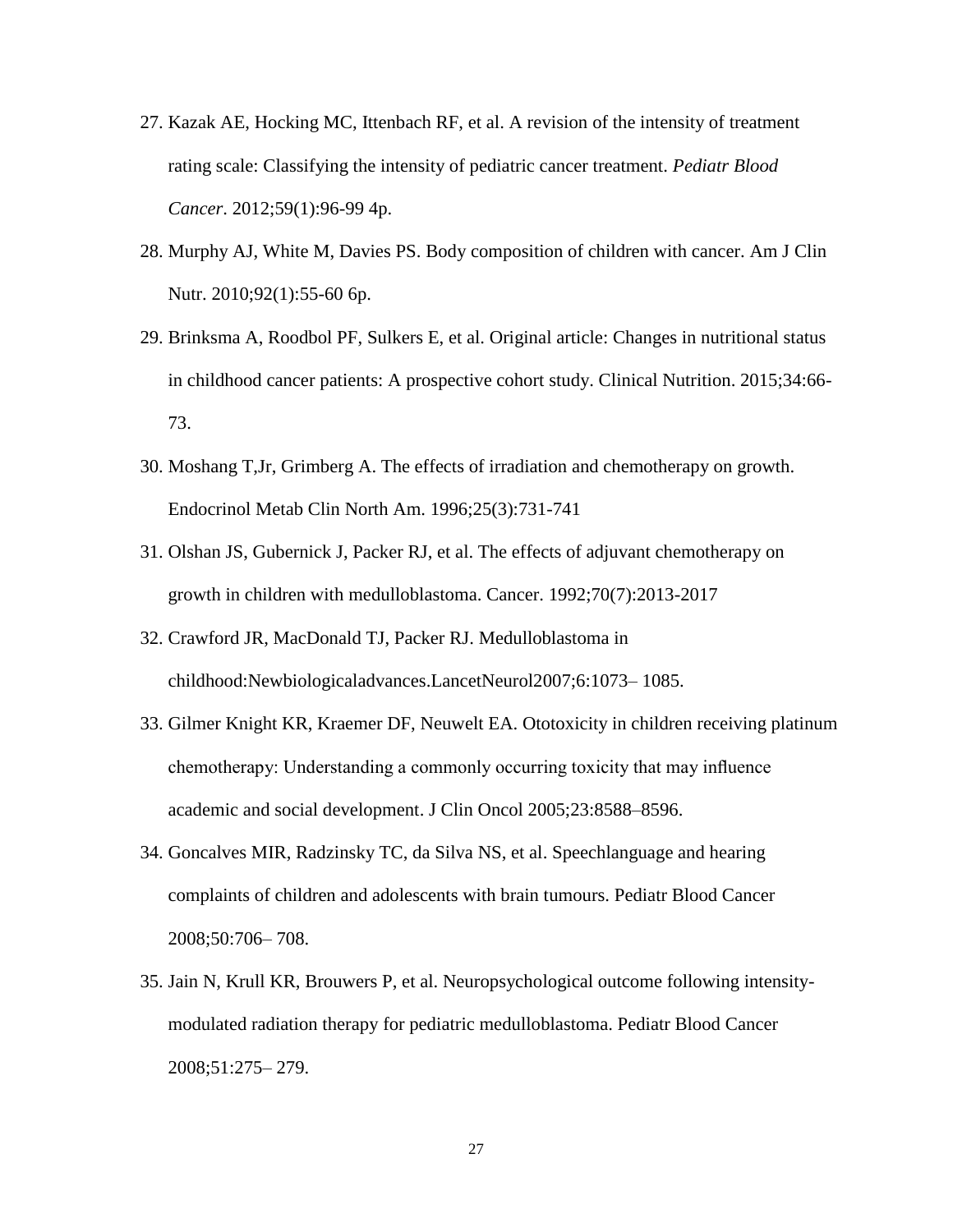- 27. Kazak AE, Hocking MC, Ittenbach RF, et al. A revision of the intensity of treatment rating scale: Classifying the intensity of pediatric cancer treatment. *Pediatr Blood Cancer*. 2012;59(1):96-99 4p.
- 28. Murphy AJ, White M, Davies PS. Body composition of children with cancer. Am J Clin Nutr. 2010;92(1):55-60 6p.
- 29. Brinksma A, Roodbol PF, Sulkers E, et al. Original article: Changes in nutritional status in childhood cancer patients: A prospective cohort study. Clinical Nutrition. 2015;34:66- 73.
- 30. Moshang T,Jr, Grimberg A. The effects of irradiation and chemotherapy on growth. Endocrinol Metab Clin North Am. 1996;25(3):731-741
- 31. Olshan JS, Gubernick J, Packer RJ, et al. The effects of adjuvant chemotherapy on growth in children with medulloblastoma. Cancer. 1992;70(7):2013-2017
- 32. Crawford JR, MacDonald TJ, Packer RJ. Medulloblastoma in childhood:Newbiologicaladvances.LancetNeurol2007;6:1073– 1085.
- 33. Gilmer Knight KR, Kraemer DF, Neuwelt EA. Ototoxicity in children receiving platinum chemotherapy: Understanding a commonly occurring toxicity that may influence academic and social development. J Clin Oncol 2005;23:8588–8596.
- 34. Goncalves MIR, Radzinsky TC, da Silva NS, et al. Speechlanguage and hearing complaints of children and adolescents with brain tumours. Pediatr Blood Cancer 2008;50:706– 708.
- 35. Jain N, Krull KR, Brouwers P, et al. Neuropsychological outcome following intensitymodulated radiation therapy for pediatric medulloblastoma. Pediatr Blood Cancer 2008;51:275– 279.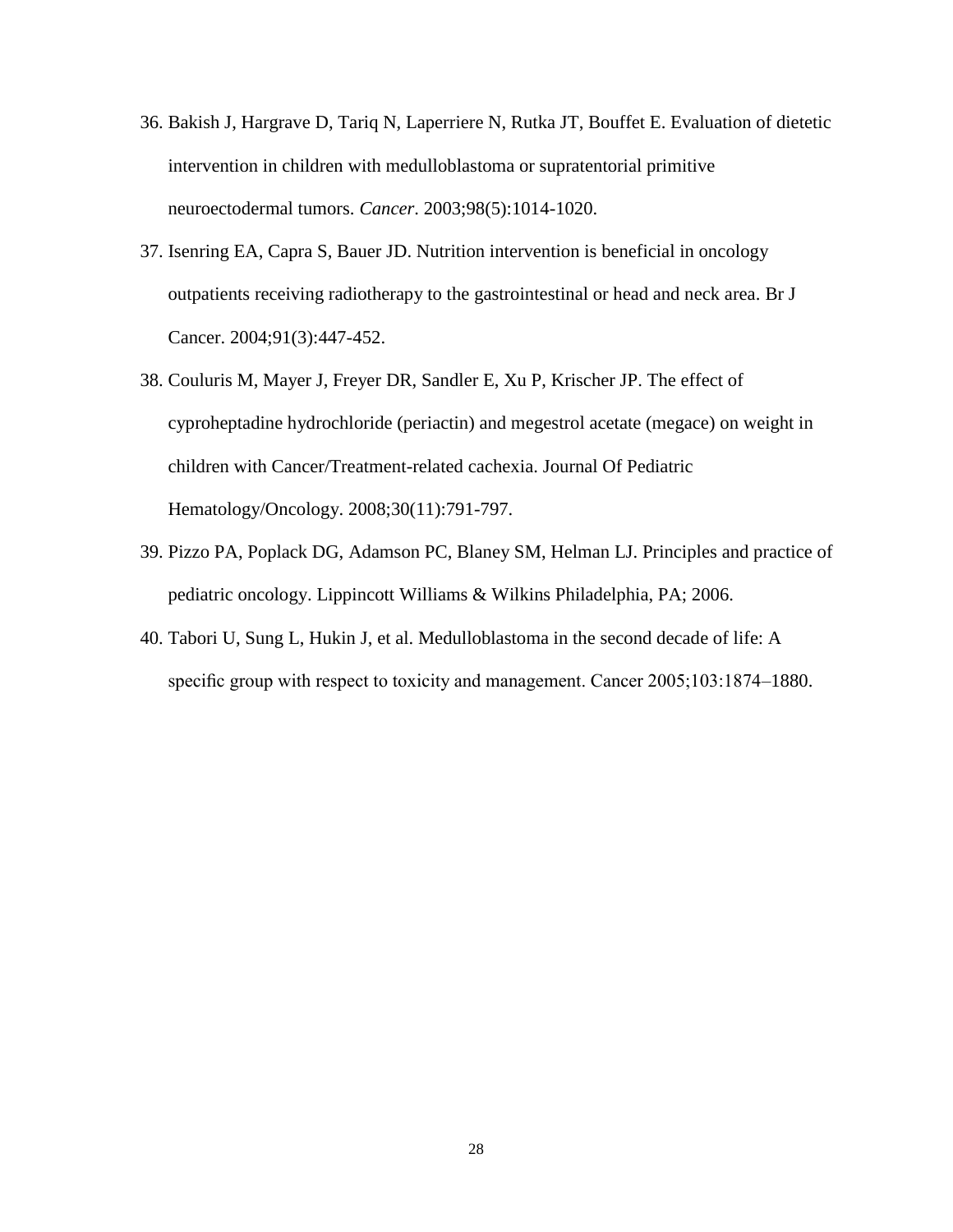- 36. Bakish J, Hargrave D, Tariq N, Laperriere N, Rutka JT, Bouffet E. Evaluation of dietetic intervention in children with medulloblastoma or supratentorial primitive neuroectodermal tumors. *Cancer*. 2003;98(5):1014-1020.
- 37. Isenring EA, Capra S, Bauer JD. Nutrition intervention is beneficial in oncology outpatients receiving radiotherapy to the gastrointestinal or head and neck area. Br J Cancer. 2004;91(3):447-452.
- 38. Couluris M, Mayer J, Freyer DR, Sandler E, Xu P, Krischer JP. The effect of cyproheptadine hydrochloride (periactin) and megestrol acetate (megace) on weight in children with Cancer/Treatment-related cachexia. Journal Of Pediatric Hematology/Oncology. 2008;30(11):791-797.
- 39. Pizzo PA, Poplack DG, Adamson PC, Blaney SM, Helman LJ. Principles and practice of pediatric oncology. Lippincott Williams & Wilkins Philadelphia, PA; 2006.
- 40. Tabori U, Sung L, Hukin J, et al. Medulloblastoma in the second decade of life: A specific group with respect to toxicity and management. Cancer 2005;103:1874–1880.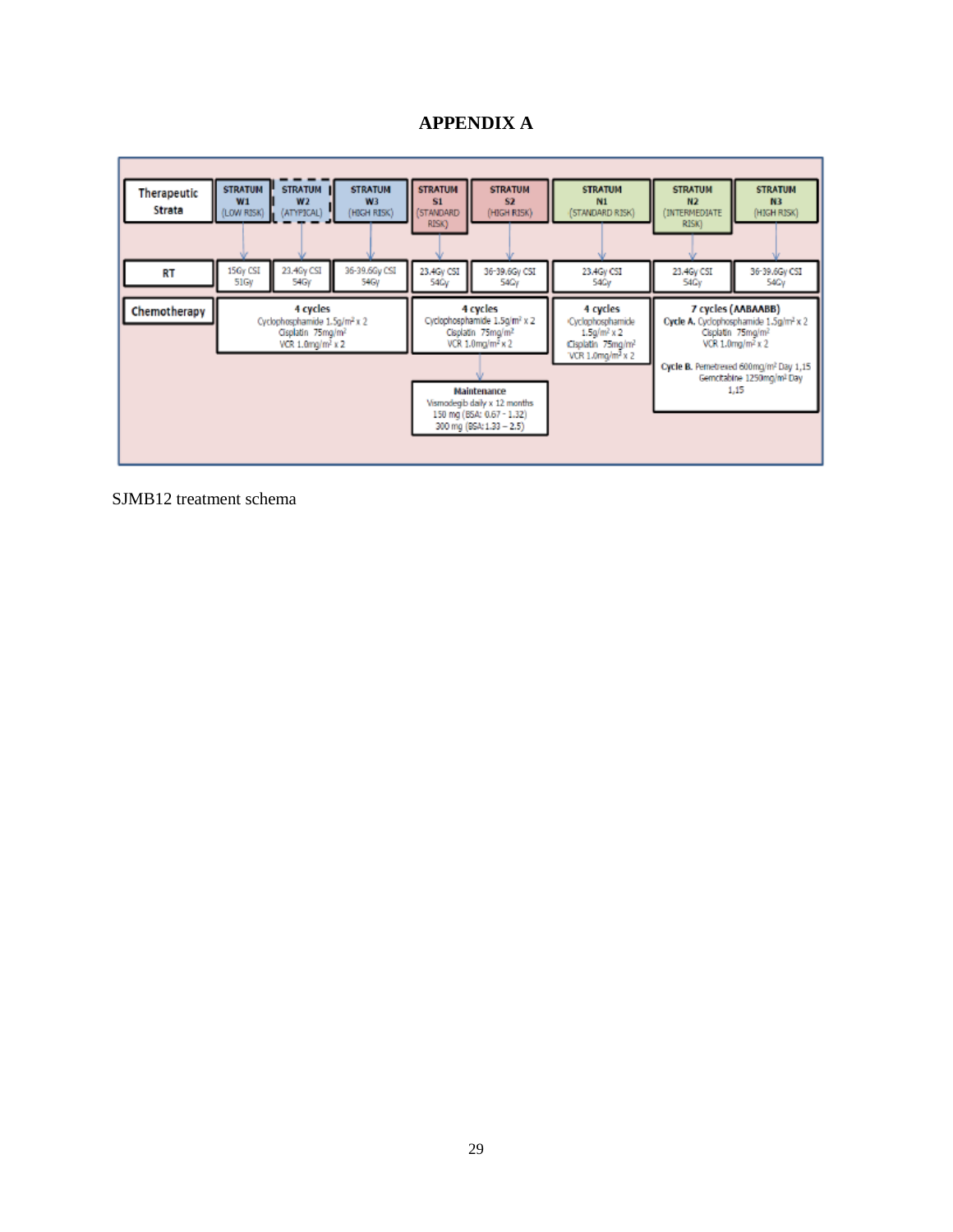#### **APPENDIX A**



SJMB12 treatment schema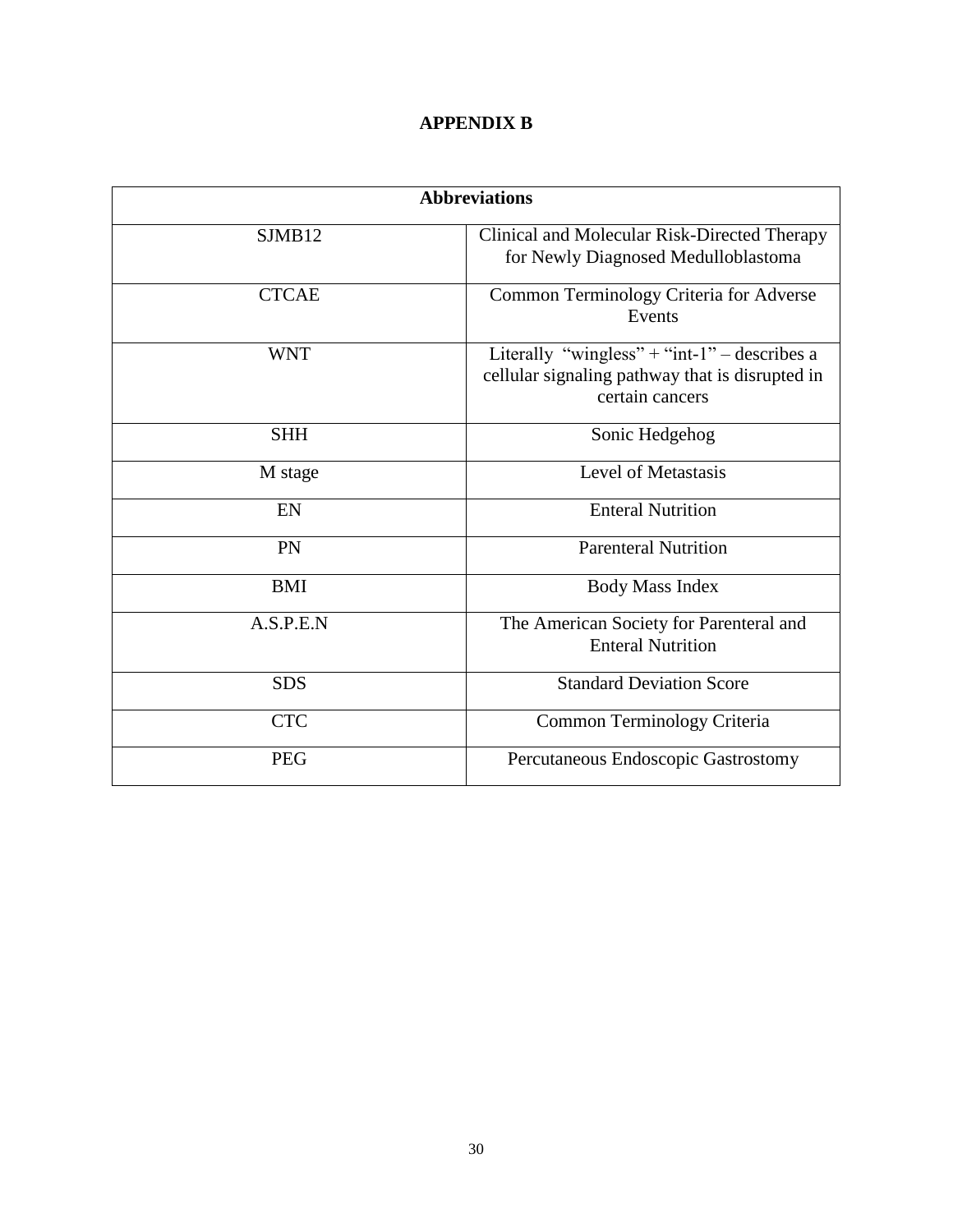### **APPENDIX B**

| <b>Abbreviations</b> |                                                                                                                    |
|----------------------|--------------------------------------------------------------------------------------------------------------------|
| SIMB12               | Clinical and Molecular Risk-Directed Therapy<br>for Newly Diagnosed Medulloblastoma                                |
| <b>CTCAE</b>         | Common Terminology Criteria for Adverse<br>Events                                                                  |
| <b>WNT</b>           | Literally "wingless" + "int-1" – describes a<br>cellular signaling pathway that is disrupted in<br>certain cancers |
| <b>SHH</b>           | Sonic Hedgehog                                                                                                     |
| M stage              | Level of Metastasis                                                                                                |
| EN                   | <b>Enteral Nutrition</b>                                                                                           |
| PN                   | <b>Parenteral Nutrition</b>                                                                                        |
| <b>BMI</b>           | <b>Body Mass Index</b>                                                                                             |
| A.S.P.E.N            | The American Society for Parenteral and<br><b>Enteral Nutrition</b>                                                |
| <b>SDS</b>           | <b>Standard Deviation Score</b>                                                                                    |
| <b>CTC</b>           | Common Terminology Criteria                                                                                        |
| <b>PEG</b>           | Percutaneous Endoscopic Gastrostomy                                                                                |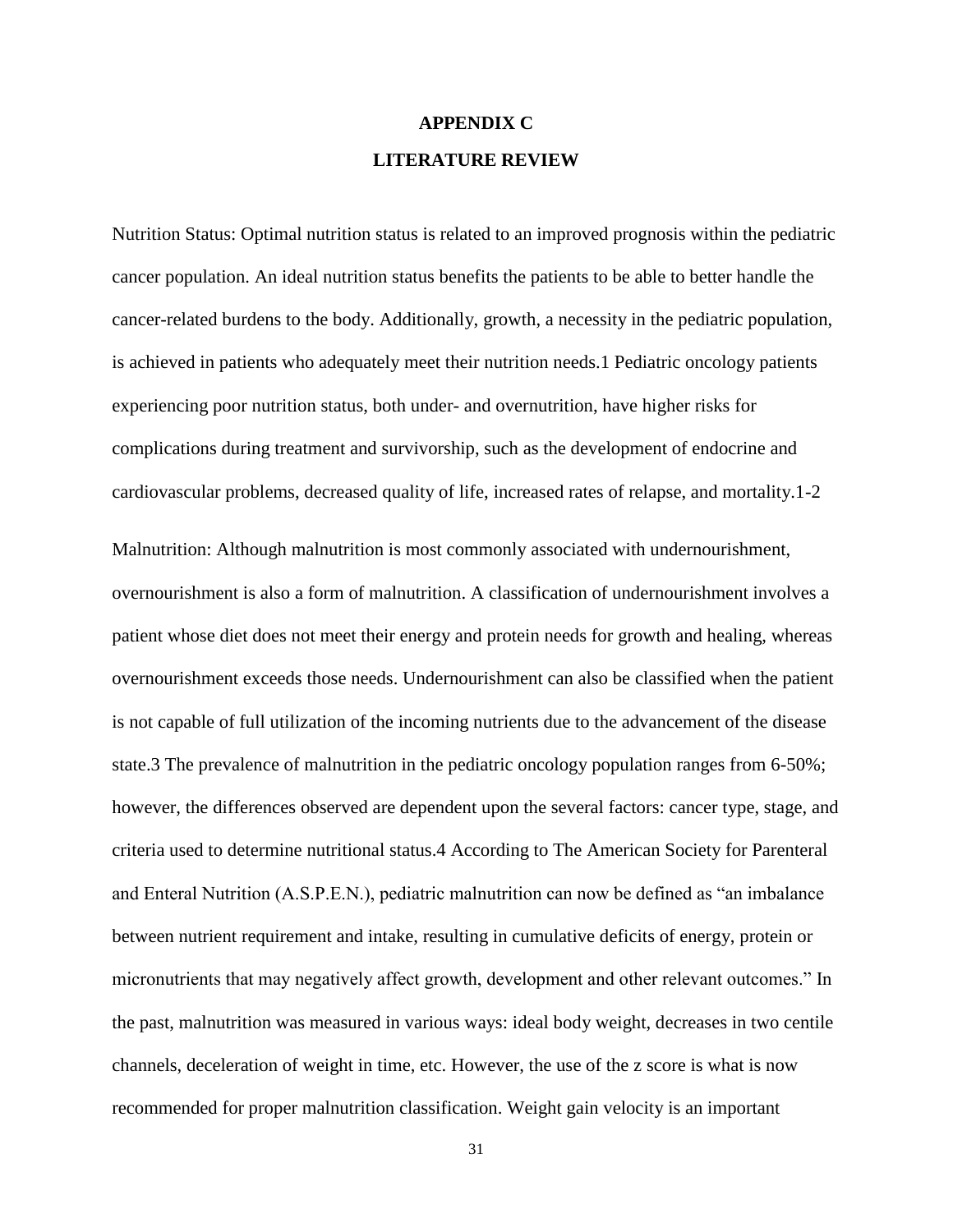# **APPENDIX C LITERATURE REVIEW**

Nutrition Status: Optimal nutrition status is related to an improved prognosis within the pediatric cancer population. An ideal nutrition status benefits the patients to be able to better handle the cancer-related burdens to the body. Additionally, growth, a necessity in the pediatric population, is achieved in patients who adequately meet their nutrition needs.1 Pediatric oncology patients experiencing poor nutrition status, both under- and overnutrition, have higher risks for complications during treatment and survivorship, such as the development of endocrine and cardiovascular problems, decreased quality of life, increased rates of relapse, and mortality.1-2

Malnutrition: Although malnutrition is most commonly associated with undernourishment, overnourishment is also a form of malnutrition. A classification of undernourishment involves a patient whose diet does not meet their energy and protein needs for growth and healing, whereas overnourishment exceeds those needs. Undernourishment can also be classified when the patient is not capable of full utilization of the incoming nutrients due to the advancement of the disease state.3 The prevalence of malnutrition in the pediatric oncology population ranges from 6-50%; however, the differences observed are dependent upon the several factors: cancer type, stage, and criteria used to determine nutritional status.4 According to The American Society for Parenteral and Enteral Nutrition (A.S.P.E.N.), pediatric malnutrition can now be defined as "an imbalance between nutrient requirement and intake, resulting in cumulative deficits of energy, protein or micronutrients that may negatively affect growth, development and other relevant outcomes." In the past, malnutrition was measured in various ways: ideal body weight, decreases in two centile channels, deceleration of weight in time, etc. However, the use of the z score is what is now recommended for proper malnutrition classification. Weight gain velocity is an important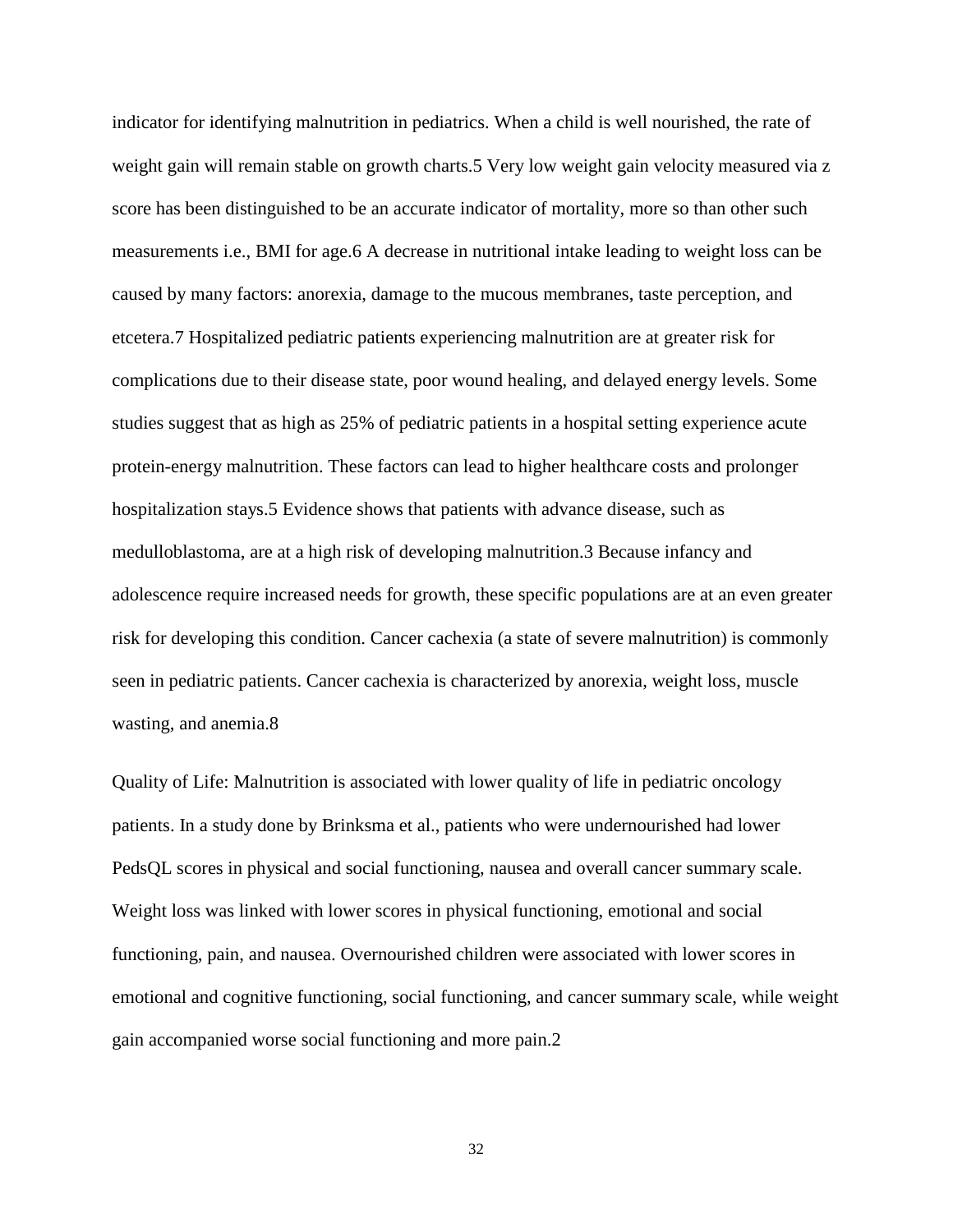indicator for identifying malnutrition in pediatrics. When a child is well nourished, the rate of weight gain will remain stable on growth charts.5 Very low weight gain velocity measured via z score has been distinguished to be an accurate indicator of mortality, more so than other such measurements i.e., BMI for age.6 A decrease in nutritional intake leading to weight loss can be caused by many factors: anorexia, damage to the mucous membranes, taste perception, and etcetera.7 Hospitalized pediatric patients experiencing malnutrition are at greater risk for complications due to their disease state, poor wound healing, and delayed energy levels. Some studies suggest that as high as 25% of pediatric patients in a hospital setting experience acute protein-energy malnutrition. These factors can lead to higher healthcare costs and prolonger hospitalization stays.5 Evidence shows that patients with advance disease, such as medulloblastoma, are at a high risk of developing malnutrition.3 Because infancy and adolescence require increased needs for growth, these specific populations are at an even greater risk for developing this condition. Cancer cachexia (a state of severe malnutrition) is commonly seen in pediatric patients. Cancer cachexia is characterized by anorexia, weight loss, muscle wasting, and anemia.8

Quality of Life: Malnutrition is associated with lower quality of life in pediatric oncology patients. In a study done by Brinksma et al., patients who were undernourished had lower PedsQL scores in physical and social functioning, nausea and overall cancer summary scale. Weight loss was linked with lower scores in physical functioning, emotional and social functioning, pain, and nausea. Overnourished children were associated with lower scores in emotional and cognitive functioning, social functioning, and cancer summary scale, while weight gain accompanied worse social functioning and more pain.2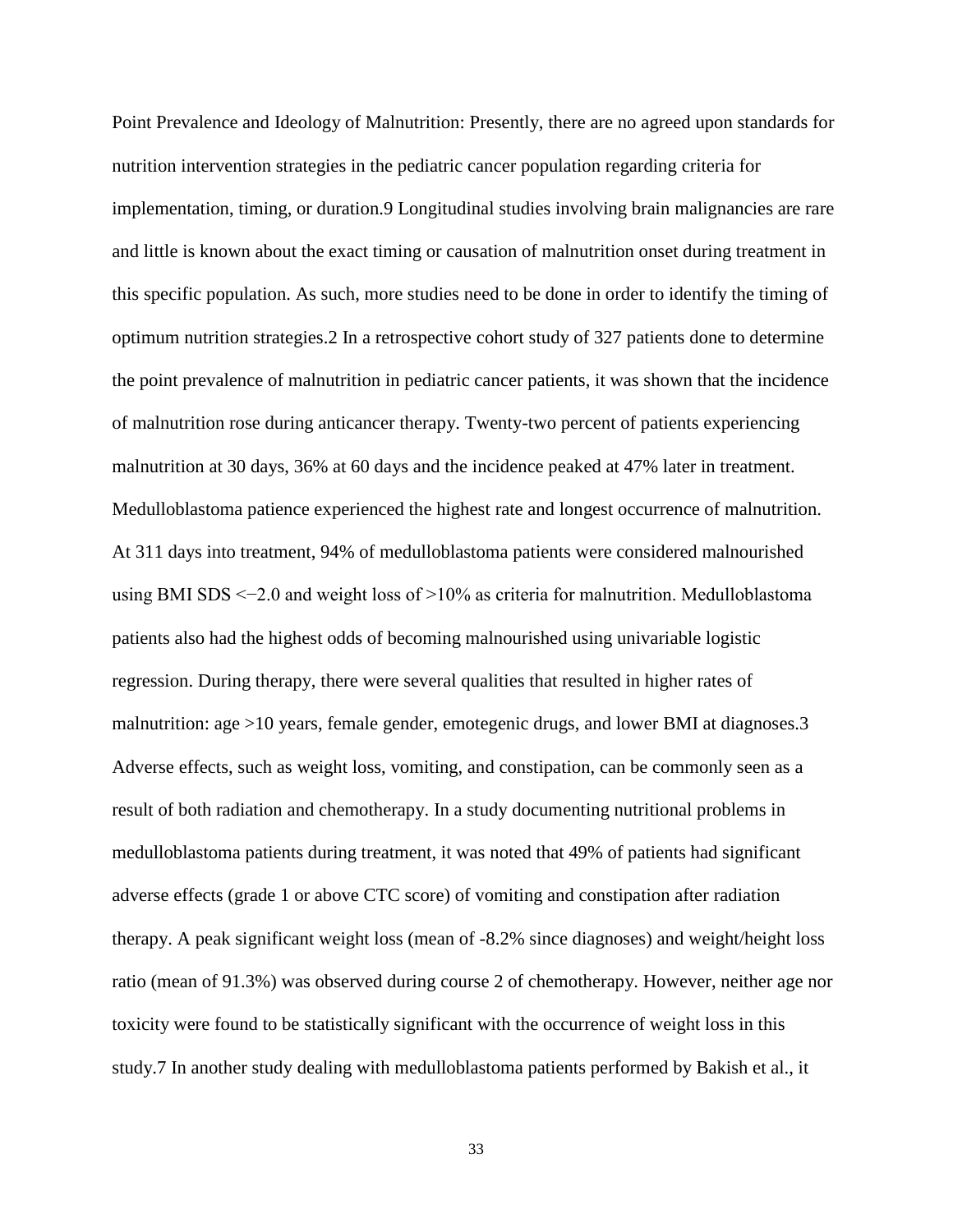Point Prevalence and Ideology of Malnutrition: Presently, there are no agreed upon standards for nutrition intervention strategies in the pediatric cancer population regarding criteria for implementation, timing, or duration.9 Longitudinal studies involving brain malignancies are rare and little is known about the exact timing or causation of malnutrition onset during treatment in this specific population. As such, more studies need to be done in order to identify the timing of optimum nutrition strategies.2 In a retrospective cohort study of 327 patients done to determine the point prevalence of malnutrition in pediatric cancer patients, it was shown that the incidence of malnutrition rose during anticancer therapy. Twenty-two percent of patients experiencing malnutrition at 30 days, 36% at 60 days and the incidence peaked at 47% later in treatment. Medulloblastoma patience experienced the highest rate and longest occurrence of malnutrition. At 311 days into treatment, 94% of medulloblastoma patients were considered malnourished using BMI SDS <−2.0 and weight loss of >10% as criteria for malnutrition. Medulloblastoma patients also had the highest odds of becoming malnourished using univariable logistic regression. During therapy, there were several qualities that resulted in higher rates of malnutrition: age >10 years, female gender, emotegenic drugs, and lower BMI at diagnoses.3 Adverse effects, such as weight loss, vomiting, and constipation, can be commonly seen as a result of both radiation and chemotherapy. In a study documenting nutritional problems in medulloblastoma patients during treatment, it was noted that 49% of patients had significant adverse effects (grade 1 or above CTC score) of vomiting and constipation after radiation therapy. A peak significant weight loss (mean of -8.2% since diagnoses) and weight/height loss ratio (mean of 91.3%) was observed during course 2 of chemotherapy. However, neither age nor toxicity were found to be statistically significant with the occurrence of weight loss in this study.7 In another study dealing with medulloblastoma patients performed by Bakish et al., it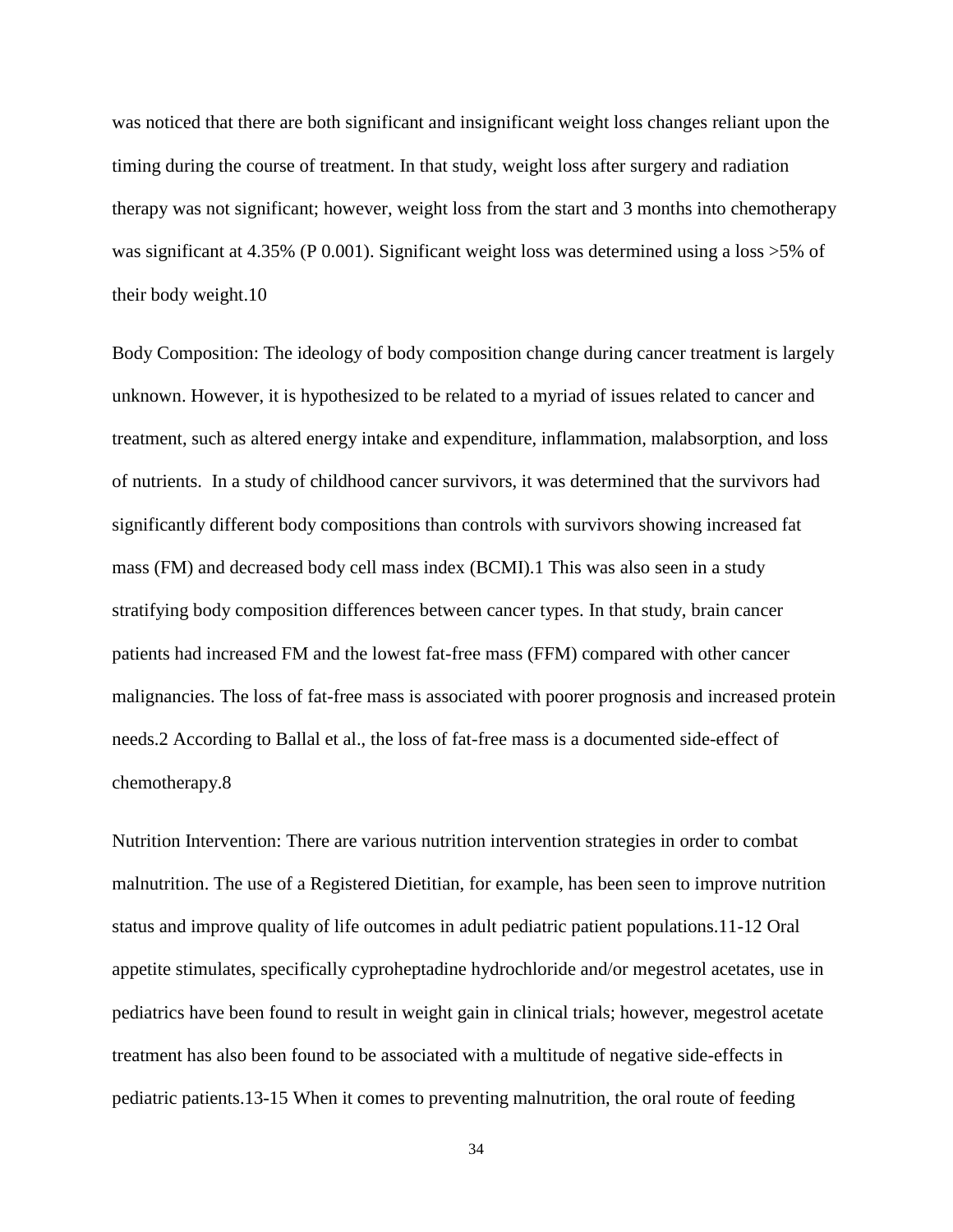was noticed that there are both significant and insignificant weight loss changes reliant upon the timing during the course of treatment. In that study, weight loss after surgery and radiation therapy was not significant; however, weight loss from the start and 3 months into chemotherapy was significant at 4.35% (P 0.001). Significant weight loss was determined using a loss >5% of their body weight.10

Body Composition: The ideology of body composition change during cancer treatment is largely unknown. However, it is hypothesized to be related to a myriad of issues related to cancer and treatment, such as altered energy intake and expenditure, inflammation, malabsorption, and loss of nutrients. In a study of childhood cancer survivors, it was determined that the survivors had significantly different body compositions than controls with survivors showing increased fat mass (FM) and decreased body cell mass index (BCMI).1 This was also seen in a study stratifying body composition differences between cancer types. In that study, brain cancer patients had increased FM and the lowest fat-free mass (FFM) compared with other cancer malignancies. The loss of fat-free mass is associated with poorer prognosis and increased protein needs.2 According to Ballal et al., the loss of fat-free mass is a documented side-effect of chemotherapy.8

Nutrition Intervention: There are various nutrition intervention strategies in order to combat malnutrition. The use of a Registered Dietitian, for example, has been seen to improve nutrition status and improve quality of life outcomes in adult pediatric patient populations.11-12 Oral appetite stimulates, specifically cyproheptadine hydrochloride and/or megestrol acetates, use in pediatrics have been found to result in weight gain in clinical trials; however, megestrol acetate treatment has also been found to be associated with a multitude of negative side-effects in pediatric patients.13-15 When it comes to preventing malnutrition, the oral route of feeding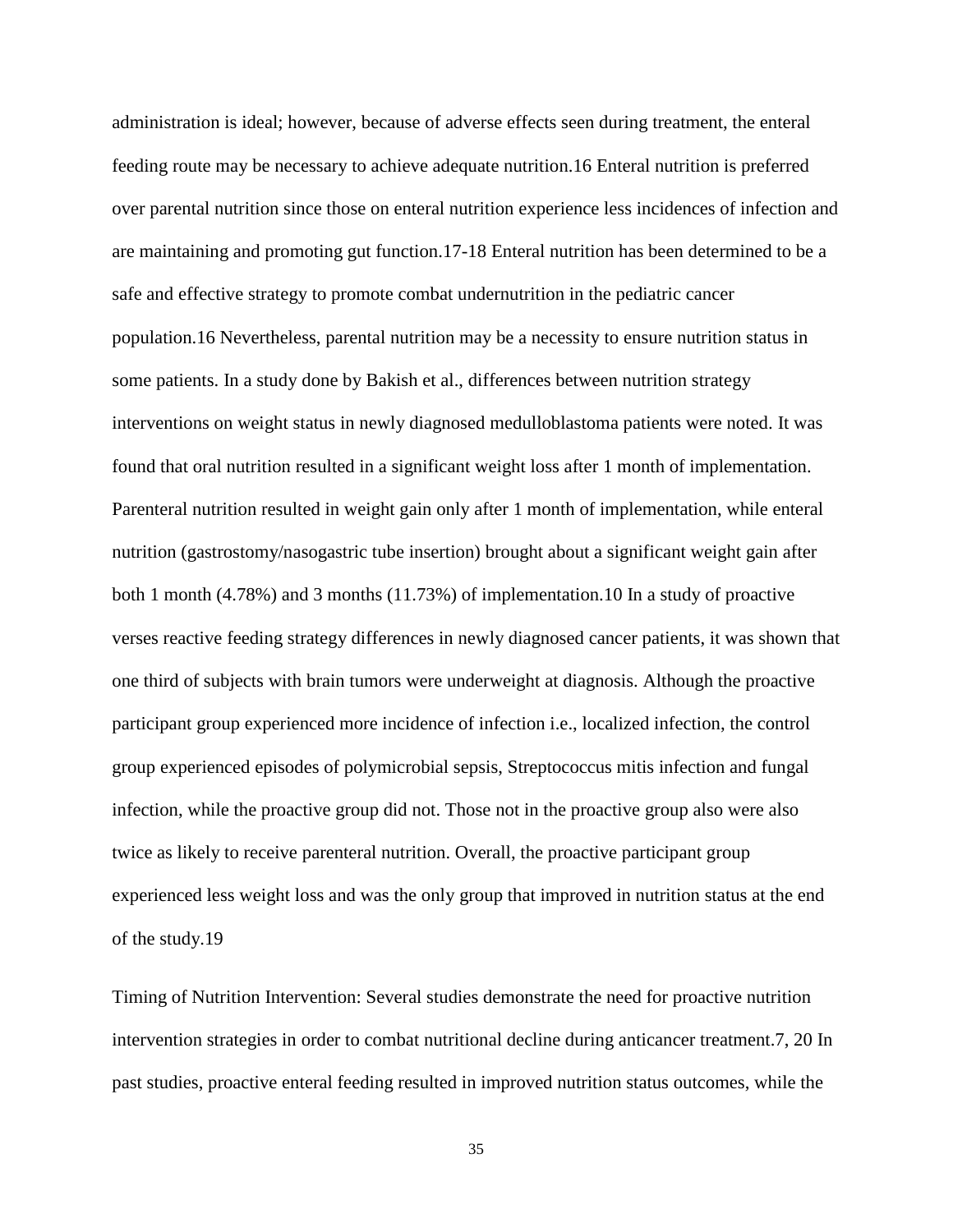administration is ideal; however, because of adverse effects seen during treatment, the enteral feeding route may be necessary to achieve adequate nutrition.16 Enteral nutrition is preferred over parental nutrition since those on enteral nutrition experience less incidences of infection and are maintaining and promoting gut function.17-18 Enteral nutrition has been determined to be a safe and effective strategy to promote combat undernutrition in the pediatric cancer population.16 Nevertheless, parental nutrition may be a necessity to ensure nutrition status in some patients. In a study done by Bakish et al., differences between nutrition strategy interventions on weight status in newly diagnosed medulloblastoma patients were noted. It was found that oral nutrition resulted in a significant weight loss after 1 month of implementation. Parenteral nutrition resulted in weight gain only after 1 month of implementation, while enteral nutrition (gastrostomy/nasogastric tube insertion) brought about a significant weight gain after both 1 month (4.78%) and 3 months (11.73%) of implementation.10 In a study of proactive verses reactive feeding strategy differences in newly diagnosed cancer patients, it was shown that one third of subjects with brain tumors were underweight at diagnosis. Although the proactive participant group experienced more incidence of infection i.e., localized infection, the control group experienced episodes of polymicrobial sepsis, Streptococcus mitis infection and fungal infection, while the proactive group did not. Those not in the proactive group also were also twice as likely to receive parenteral nutrition. Overall, the proactive participant group experienced less weight loss and was the only group that improved in nutrition status at the end of the study.19

Timing of Nutrition Intervention: Several studies demonstrate the need for proactive nutrition intervention strategies in order to combat nutritional decline during anticancer treatment.7, 20 In past studies, proactive enteral feeding resulted in improved nutrition status outcomes, while the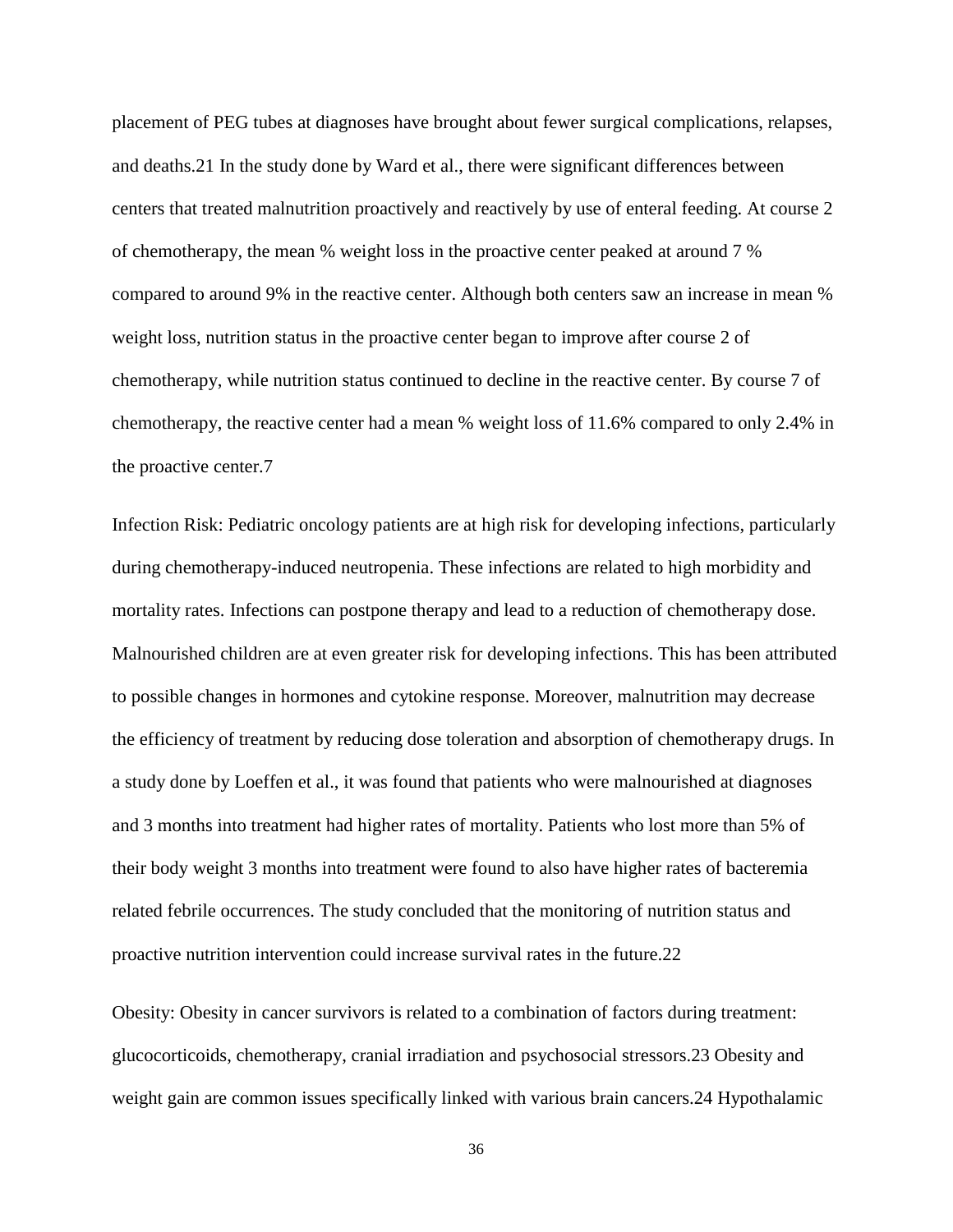placement of PEG tubes at diagnoses have brought about fewer surgical complications, relapses, and deaths.21 In the study done by Ward et al., there were significant differences between centers that treated malnutrition proactively and reactively by use of enteral feeding. At course 2 of chemotherapy, the mean % weight loss in the proactive center peaked at around 7 % compared to around 9% in the reactive center. Although both centers saw an increase in mean % weight loss, nutrition status in the proactive center began to improve after course 2 of chemotherapy, while nutrition status continued to decline in the reactive center. By course 7 of chemotherapy, the reactive center had a mean % weight loss of 11.6% compared to only 2.4% in the proactive center.7

Infection Risk: Pediatric oncology patients are at high risk for developing infections, particularly during chemotherapy-induced neutropenia. These infections are related to high morbidity and mortality rates. Infections can postpone therapy and lead to a reduction of chemotherapy dose. Malnourished children are at even greater risk for developing infections. This has been attributed to possible changes in hormones and cytokine response. Moreover, malnutrition may decrease the efficiency of treatment by reducing dose toleration and absorption of chemotherapy drugs. In a study done by Loeffen et al., it was found that patients who were malnourished at diagnoses and 3 months into treatment had higher rates of mortality. Patients who lost more than 5% of their body weight 3 months into treatment were found to also have higher rates of bacteremia related febrile occurrences. The study concluded that the monitoring of nutrition status and proactive nutrition intervention could increase survival rates in the future.22

Obesity: Obesity in cancer survivors is related to a combination of factors during treatment: glucocorticoids, chemotherapy, cranial irradiation and psychosocial stressors.23 Obesity and weight gain are common issues specifically linked with various brain cancers.24 Hypothalamic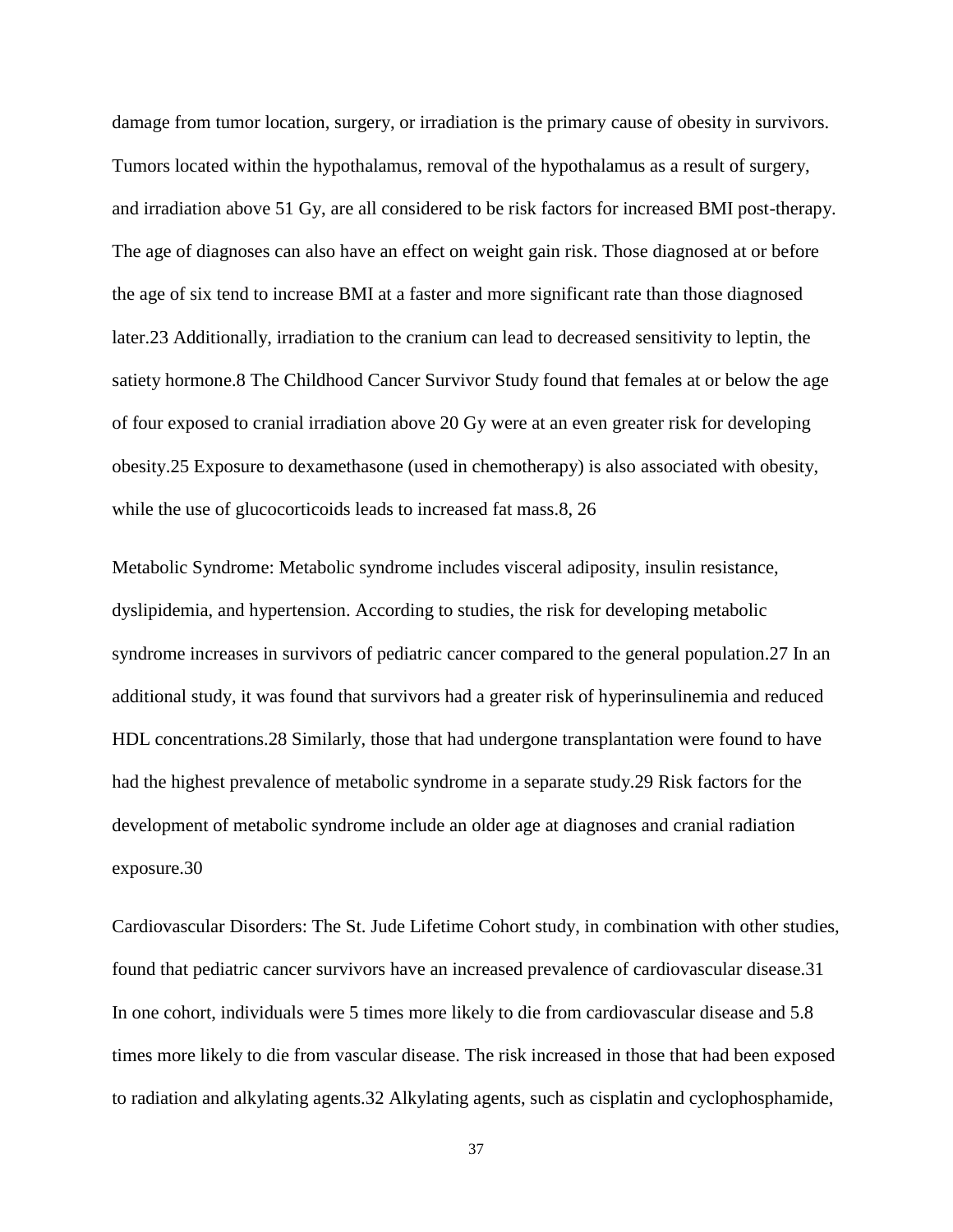damage from tumor location, surgery, or irradiation is the primary cause of obesity in survivors. Tumors located within the hypothalamus, removal of the hypothalamus as a result of surgery, and irradiation above 51 Gy, are all considered to be risk factors for increased BMI post-therapy. The age of diagnoses can also have an effect on weight gain risk. Those diagnosed at or before the age of six tend to increase BMI at a faster and more significant rate than those diagnosed later.23 Additionally, irradiation to the cranium can lead to decreased sensitivity to leptin, the satiety hormone.8 The Childhood Cancer Survivor Study found that females at or below the age of four exposed to cranial irradiation above 20 Gy were at an even greater risk for developing obesity.25 Exposure to dexamethasone (used in chemotherapy) is also associated with obesity, while the use of glucocorticoids leads to increased fat mass.8, 26

Metabolic Syndrome: Metabolic syndrome includes visceral adiposity, insulin resistance, dyslipidemia, and hypertension. According to studies, the risk for developing metabolic syndrome increases in survivors of pediatric cancer compared to the general population.27 In an additional study, it was found that survivors had a greater risk of hyperinsulinemia and reduced HDL concentrations.28 Similarly, those that had undergone transplantation were found to have had the highest prevalence of metabolic syndrome in a separate study.29 Risk factors for the development of metabolic syndrome include an older age at diagnoses and cranial radiation exposure.30

Cardiovascular Disorders: The St. Jude Lifetime Cohort study, in combination with other studies, found that pediatric cancer survivors have an increased prevalence of cardiovascular disease.31 In one cohort, individuals were 5 times more likely to die from cardiovascular disease and 5.8 times more likely to die from vascular disease. The risk increased in those that had been exposed to radiation and alkylating agents.32 Alkylating agents, such as cisplatin and cyclophosphamide,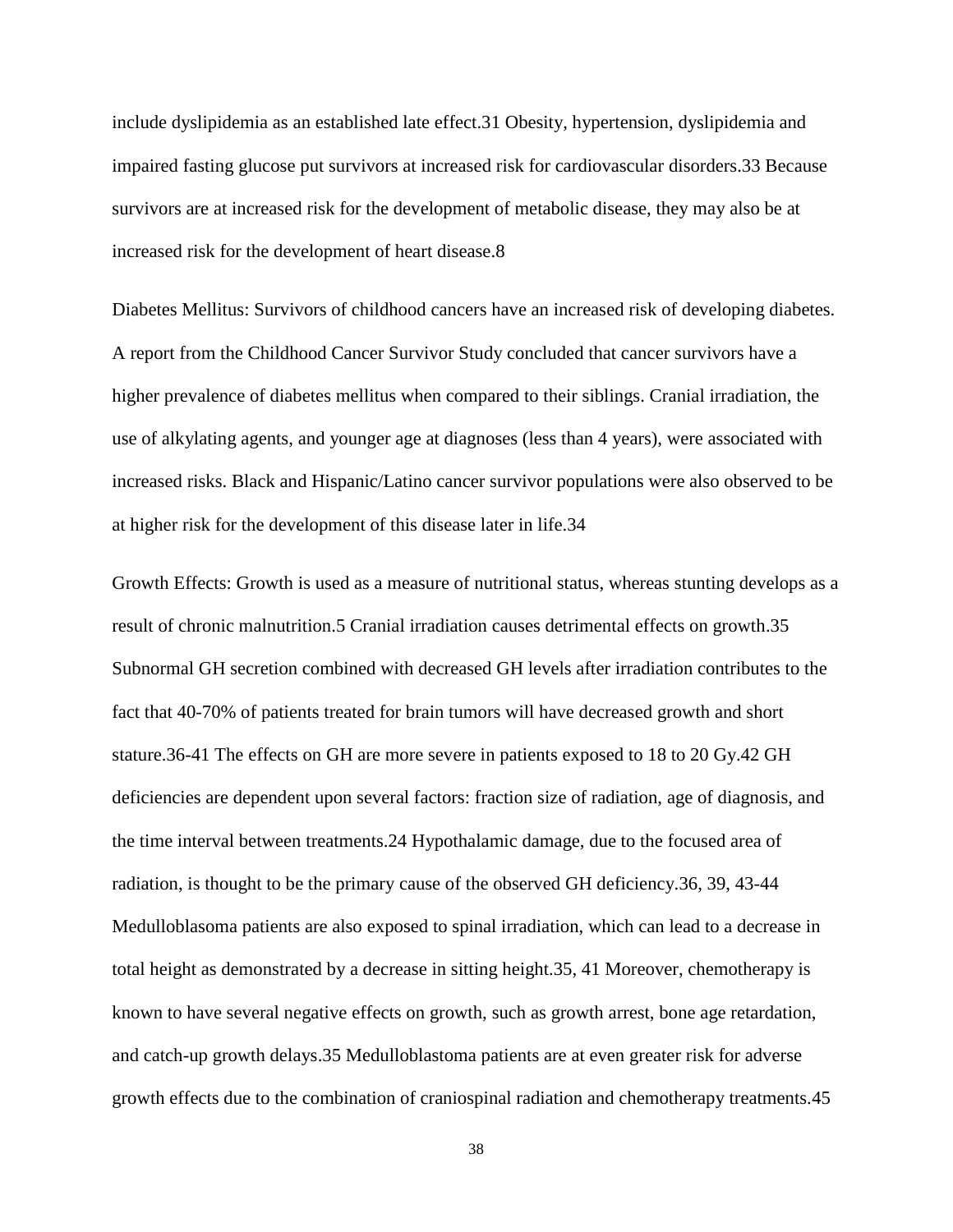include dyslipidemia as an established late effect.31 Obesity, hypertension, dyslipidemia and impaired fasting glucose put survivors at increased risk for cardiovascular disorders.33 Because survivors are at increased risk for the development of metabolic disease, they may also be at increased risk for the development of heart disease.8

Diabetes Mellitus: Survivors of childhood cancers have an increased risk of developing diabetes. A report from the Childhood Cancer Survivor Study concluded that cancer survivors have a higher prevalence of diabetes mellitus when compared to their siblings. Cranial irradiation, the use of alkylating agents, and younger age at diagnoses (less than 4 years), were associated with increased risks. Black and Hispanic/Latino cancer survivor populations were also observed to be at higher risk for the development of this disease later in life.34

Growth Effects: Growth is used as a measure of nutritional status, whereas stunting develops as a result of chronic malnutrition.5 Cranial irradiation causes detrimental effects on growth.35 Subnormal GH secretion combined with decreased GH levels after irradiation contributes to the fact that 40-70% of patients treated for brain tumors will have decreased growth and short stature.36-41 The effects on GH are more severe in patients exposed to 18 to 20 Gy.42 GH deficiencies are dependent upon several factors: fraction size of radiation, age of diagnosis, and the time interval between treatments.24 Hypothalamic damage, due to the focused area of radiation, is thought to be the primary cause of the observed GH deficiency.36, 39, 43-44 Medulloblasoma patients are also exposed to spinal irradiation, which can lead to a decrease in total height as demonstrated by a decrease in sitting height.35, 41 Moreover, chemotherapy is known to have several negative effects on growth, such as growth arrest, bone age retardation, and catch-up growth delays.35 Medulloblastoma patients are at even greater risk for adverse growth effects due to the combination of craniospinal radiation and chemotherapy treatments.45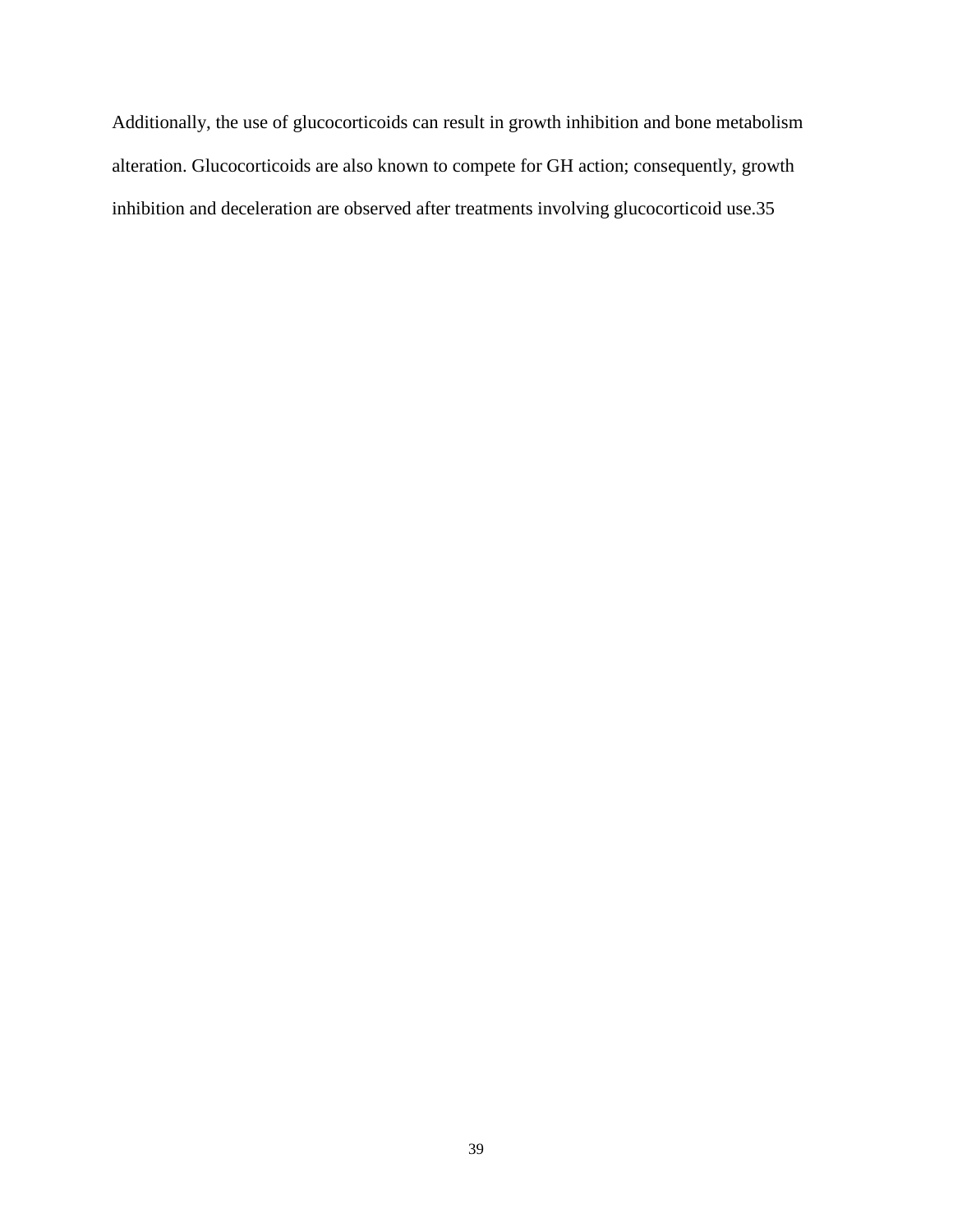Additionally, the use of glucocorticoids can result in growth inhibition and bone metabolism alteration. Glucocorticoids are also known to compete for GH action; consequently, growth inhibition and deceleration are observed after treatments involving glucocorticoid use.35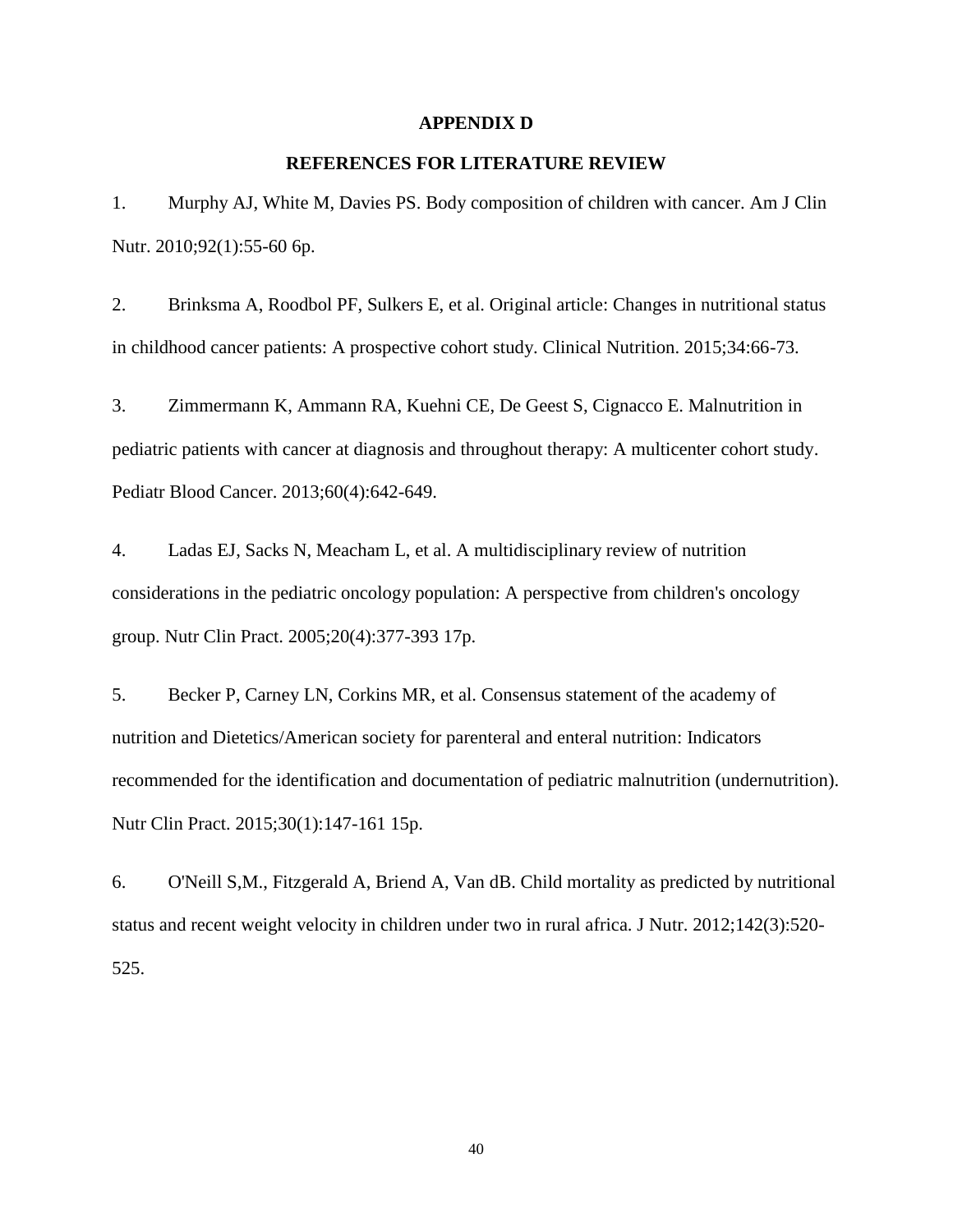#### **APPENDIX D**

#### **REFERENCES FOR LITERATURE REVIEW**

1. Murphy AJ, White M, Davies PS. Body composition of children with cancer. Am J Clin Nutr. 2010;92(1):55-60 6p.

2. Brinksma A, Roodbol PF, Sulkers E, et al. Original article: Changes in nutritional status in childhood cancer patients: A prospective cohort study. Clinical Nutrition. 2015;34:66-73.

3. Zimmermann K, Ammann RA, Kuehni CE, De Geest S, Cignacco E. Malnutrition in pediatric patients with cancer at diagnosis and throughout therapy: A multicenter cohort study. Pediatr Blood Cancer. 2013;60(4):642-649.

4. Ladas EJ, Sacks N, Meacham L, et al. A multidisciplinary review of nutrition considerations in the pediatric oncology population: A perspective from children's oncology group. Nutr Clin Pract. 2005;20(4):377-393 17p.

5. Becker P, Carney LN, Corkins MR, et al. Consensus statement of the academy of nutrition and Dietetics/American society for parenteral and enteral nutrition: Indicators recommended for the identification and documentation of pediatric malnutrition (undernutrition). Nutr Clin Pract. 2015;30(1):147-161 15p.

6. O'Neill S,M., Fitzgerald A, Briend A, Van dB. Child mortality as predicted by nutritional status and recent weight velocity in children under two in rural africa. J Nutr. 2012;142(3):520- 525.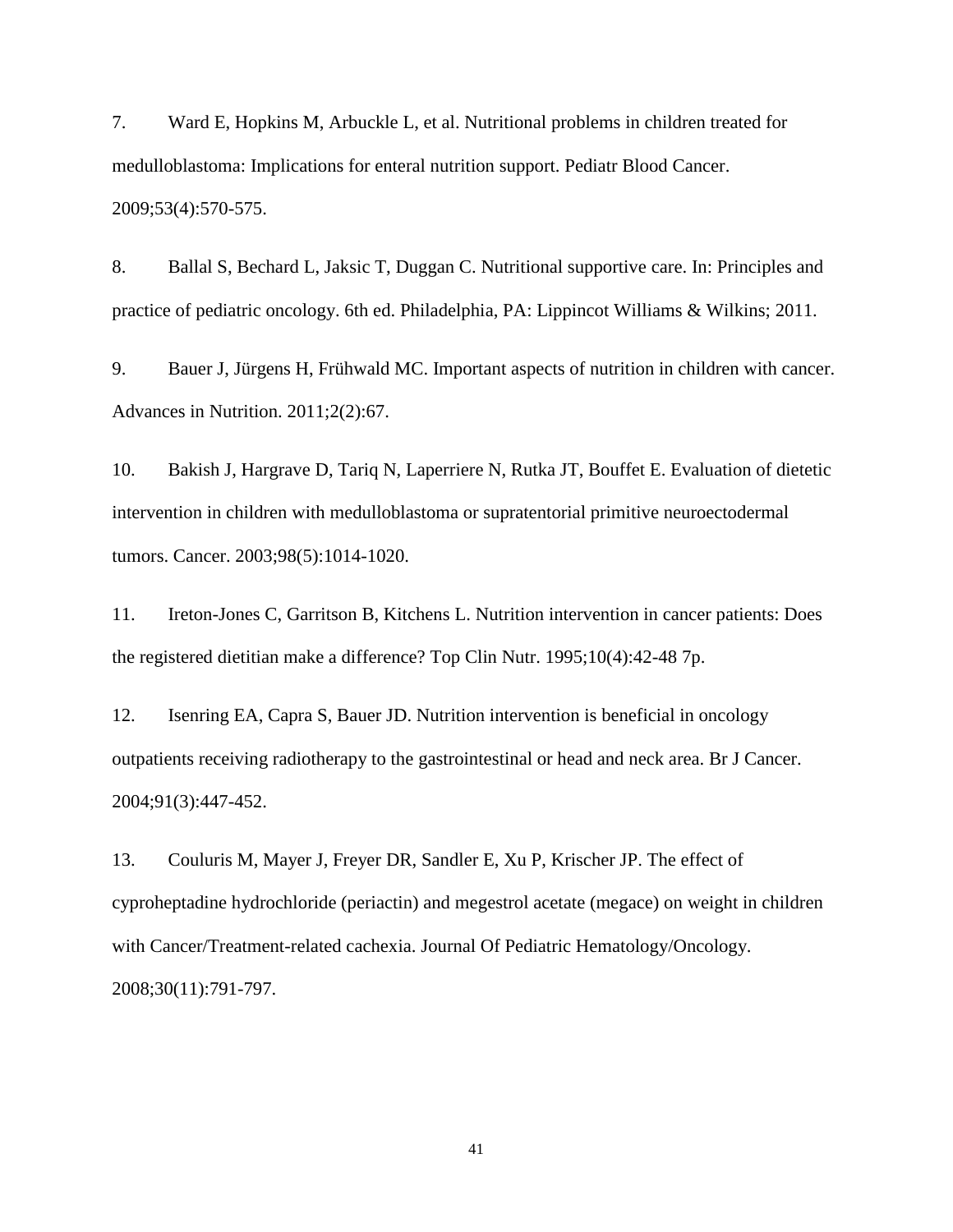7. Ward E, Hopkins M, Arbuckle L, et al. Nutritional problems in children treated for medulloblastoma: Implications for enteral nutrition support. Pediatr Blood Cancer. 2009;53(4):570-575.

8. Ballal S, Bechard L, Jaksic T, Duggan C. Nutritional supportive care. In: Principles and practice of pediatric oncology. 6th ed. Philadelphia, PA: Lippincot Williams & Wilkins; 2011.

9. Bauer J, Jürgens H, Frühwald MC. Important aspects of nutrition in children with cancer. Advances in Nutrition. 2011;2(2):67.

10. Bakish J, Hargrave D, Tariq N, Laperriere N, Rutka JT, Bouffet E. Evaluation of dietetic intervention in children with medulloblastoma or supratentorial primitive neuroectodermal tumors. Cancer. 2003;98(5):1014-1020.

11. Ireton-Jones C, Garritson B, Kitchens L. Nutrition intervention in cancer patients: Does the registered dietitian make a difference? Top Clin Nutr. 1995;10(4):42-48 7p.

12. Isenring EA, Capra S, Bauer JD. Nutrition intervention is beneficial in oncology outpatients receiving radiotherapy to the gastrointestinal or head and neck area. Br J Cancer. 2004;91(3):447-452.

13. Couluris M, Mayer J, Freyer DR, Sandler E, Xu P, Krischer JP. The effect of cyproheptadine hydrochloride (periactin) and megestrol acetate (megace) on weight in children with Cancer/Treatment-related cachexia. Journal Of Pediatric Hematology/Oncology. 2008;30(11):791-797.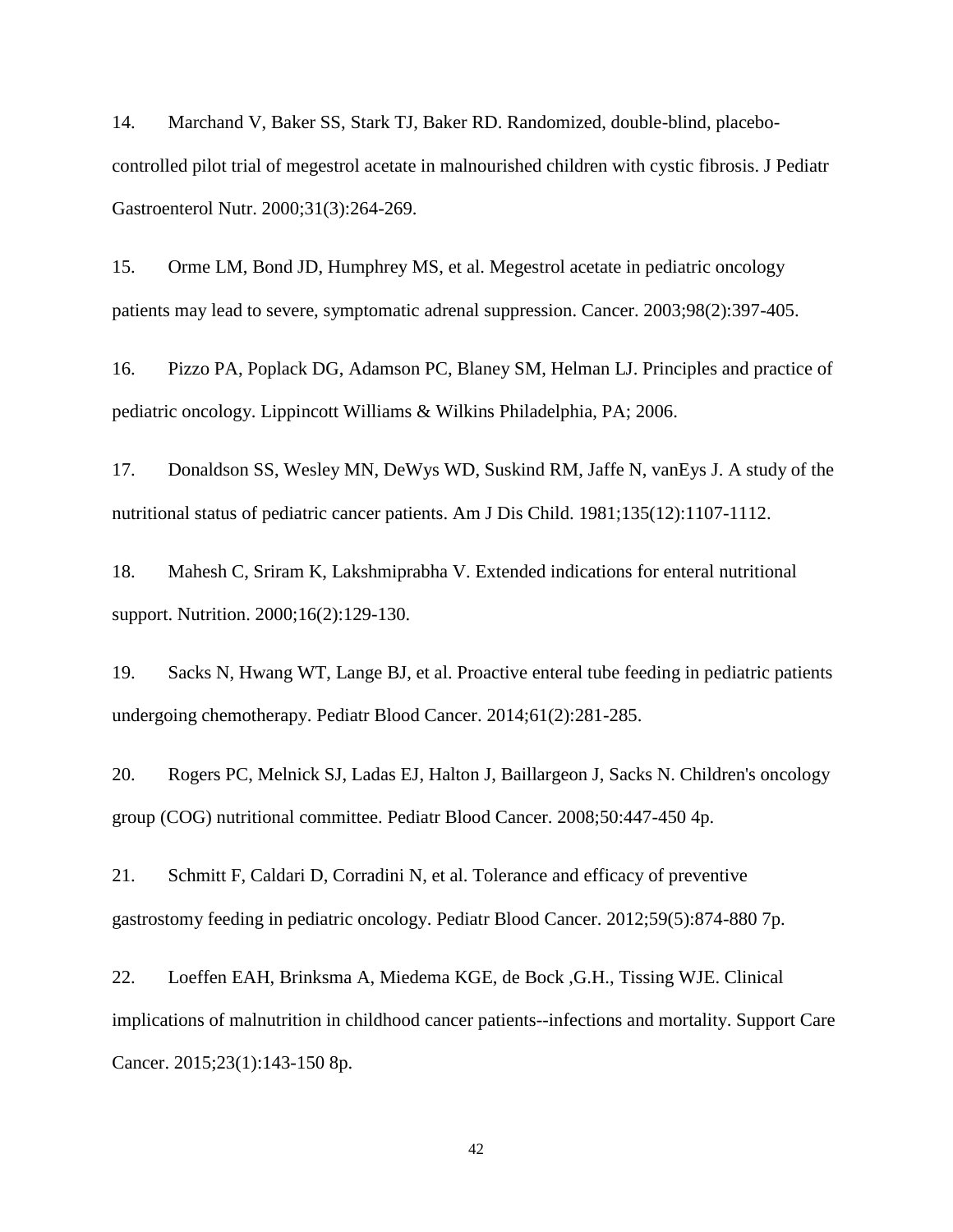14. Marchand V, Baker SS, Stark TJ, Baker RD. Randomized, double-blind, placebocontrolled pilot trial of megestrol acetate in malnourished children with cystic fibrosis. J Pediatr Gastroenterol Nutr. 2000;31(3):264-269.

15. Orme LM, Bond JD, Humphrey MS, et al. Megestrol acetate in pediatric oncology patients may lead to severe, symptomatic adrenal suppression. Cancer. 2003;98(2):397-405.

16. Pizzo PA, Poplack DG, Adamson PC, Blaney SM, Helman LJ. Principles and practice of pediatric oncology. Lippincott Williams & Wilkins Philadelphia, PA; 2006.

17. Donaldson SS, Wesley MN, DeWys WD, Suskind RM, Jaffe N, vanEys J. A study of the nutritional status of pediatric cancer patients. Am J Dis Child. 1981;135(12):1107-1112.

18. Mahesh C, Sriram K, Lakshmiprabha V. Extended indications for enteral nutritional support. Nutrition. 2000;16(2):129-130.

19. Sacks N, Hwang WT, Lange BJ, et al. Proactive enteral tube feeding in pediatric patients undergoing chemotherapy. Pediatr Blood Cancer. 2014;61(2):281-285.

20. Rogers PC, Melnick SJ, Ladas EJ, Halton J, Baillargeon J, Sacks N. Children's oncology group (COG) nutritional committee. Pediatr Blood Cancer. 2008;50:447-450 4p.

21. Schmitt F, Caldari D, Corradini N, et al. Tolerance and efficacy of preventive gastrostomy feeding in pediatric oncology. Pediatr Blood Cancer. 2012;59(5):874-880 7p.

22. Loeffen EAH, Brinksma A, Miedema KGE, de Bock ,G.H., Tissing WJE. Clinical implications of malnutrition in childhood cancer patients--infections and mortality. Support Care Cancer. 2015;23(1):143-150 8p.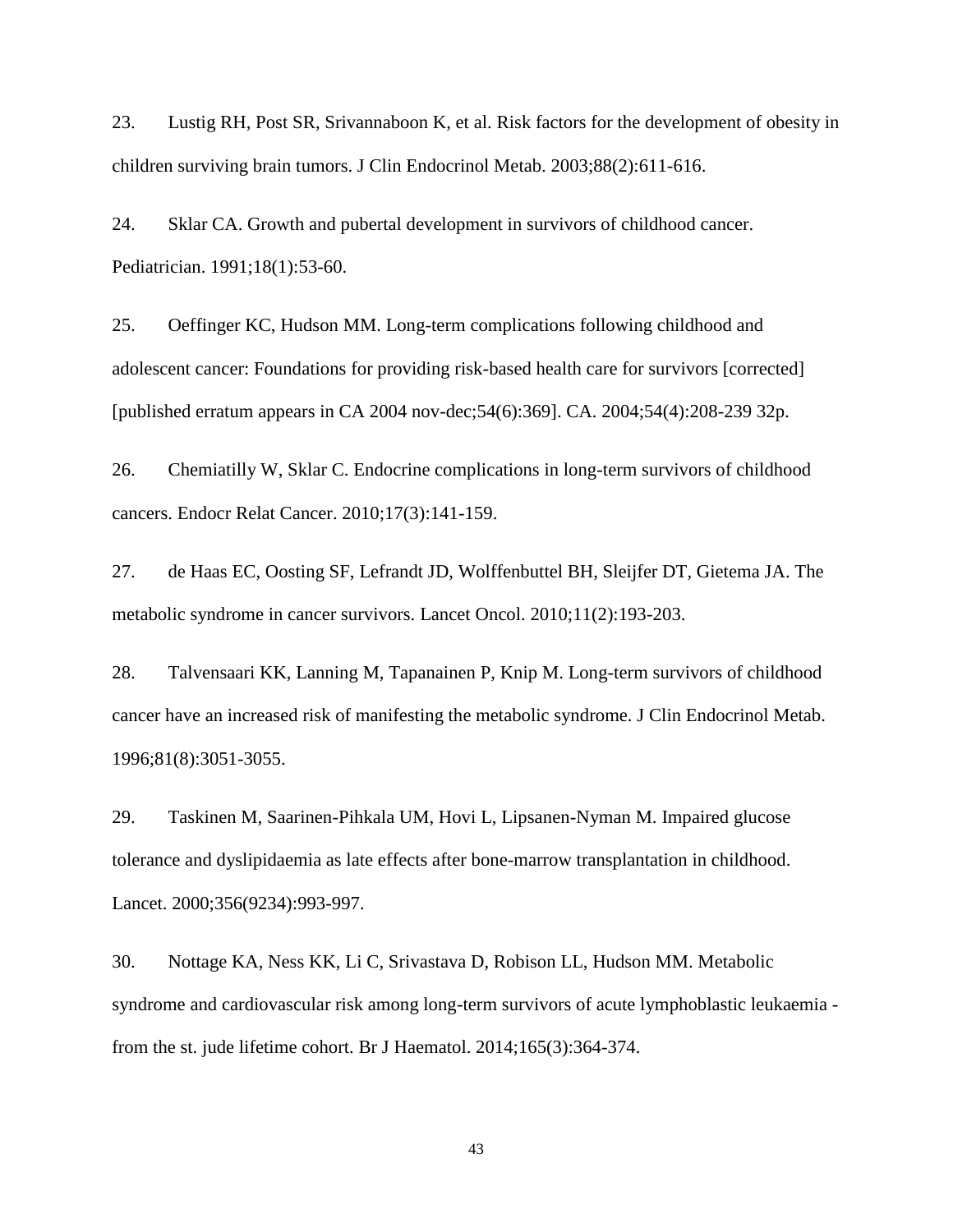23. Lustig RH, Post SR, Srivannaboon K, et al. Risk factors for the development of obesity in children surviving brain tumors. J Clin Endocrinol Metab. 2003;88(2):611-616.

24. Sklar CA. Growth and pubertal development in survivors of childhood cancer. Pediatrician. 1991;18(1):53-60.

25. Oeffinger KC, Hudson MM. Long-term complications following childhood and adolescent cancer: Foundations for providing risk-based health care for survivors [corrected] [published erratum appears in CA 2004 nov-dec;54(6):369]. CA. 2004;54(4):208-239 32p.

26. Chemiatilly W, Sklar C. Endocrine complications in long-term survivors of childhood cancers. Endocr Relat Cancer. 2010;17(3):141-159.

27. de Haas EC, Oosting SF, Lefrandt JD, Wolffenbuttel BH, Sleijfer DT, Gietema JA. The metabolic syndrome in cancer survivors. Lancet Oncol. 2010;11(2):193-203.

28. Talvensaari KK, Lanning M, Tapanainen P, Knip M. Long-term survivors of childhood cancer have an increased risk of manifesting the metabolic syndrome. J Clin Endocrinol Metab. 1996;81(8):3051-3055.

29. Taskinen M, Saarinen-Pihkala UM, Hovi L, Lipsanen-Nyman M. Impaired glucose tolerance and dyslipidaemia as late effects after bone-marrow transplantation in childhood. Lancet. 2000;356(9234):993-997.

30. Nottage KA, Ness KK, Li C, Srivastava D, Robison LL, Hudson MM. Metabolic syndrome and cardiovascular risk among long-term survivors of acute lymphoblastic leukaemia from the st. jude lifetime cohort. Br J Haematol. 2014;165(3):364-374.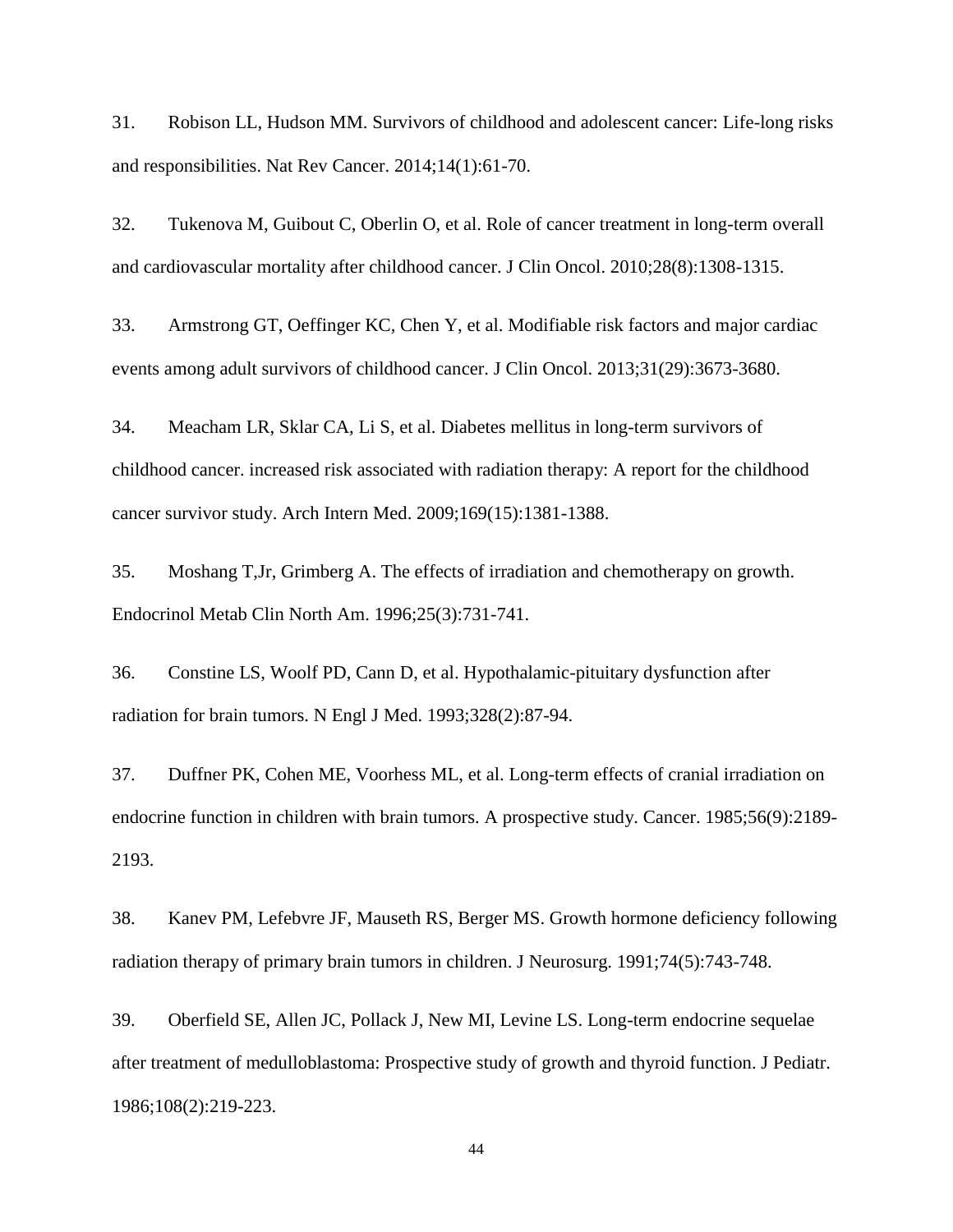31. Robison LL, Hudson MM. Survivors of childhood and adolescent cancer: Life-long risks and responsibilities. Nat Rev Cancer. 2014;14(1):61-70.

32. Tukenova M, Guibout C, Oberlin O, et al. Role of cancer treatment in long-term overall and cardiovascular mortality after childhood cancer. J Clin Oncol. 2010;28(8):1308-1315.

33. Armstrong GT, Oeffinger KC, Chen Y, et al. Modifiable risk factors and major cardiac events among adult survivors of childhood cancer. J Clin Oncol. 2013;31(29):3673-3680.

34. Meacham LR, Sklar CA, Li S, et al. Diabetes mellitus in long-term survivors of childhood cancer. increased risk associated with radiation therapy: A report for the childhood cancer survivor study. Arch Intern Med. 2009;169(15):1381-1388.

35. Moshang T,Jr, Grimberg A. The effects of irradiation and chemotherapy on growth. Endocrinol Metab Clin North Am. 1996;25(3):731-741.

36. Constine LS, Woolf PD, Cann D, et al. Hypothalamic-pituitary dysfunction after radiation for brain tumors. N Engl J Med. 1993;328(2):87-94.

37. Duffner PK, Cohen ME, Voorhess ML, et al. Long-term effects of cranial irradiation on endocrine function in children with brain tumors. A prospective study. Cancer. 1985;56(9):2189- 2193.

38. Kanev PM, Lefebvre JF, Mauseth RS, Berger MS. Growth hormone deficiency following radiation therapy of primary brain tumors in children. J Neurosurg. 1991;74(5):743-748.

39. Oberfield SE, Allen JC, Pollack J, New MI, Levine LS. Long-term endocrine sequelae after treatment of medulloblastoma: Prospective study of growth and thyroid function. J Pediatr. 1986;108(2):219-223.